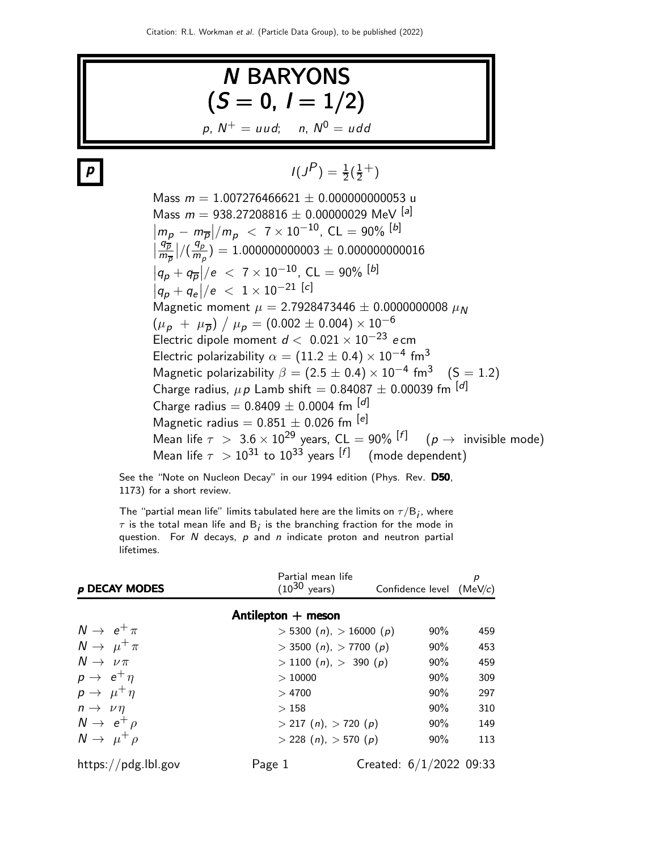

See the "Note on Nucleon Decay" in our 1994 edition (Phys. Rev. D50, 1173) for a short review.

The "partial mean life" limits tabulated here are the limits on  $\tau/\mathsf{B}_i$ , where  $\tau$  is the total mean life and  $\boldsymbol{\mathsf{B}}_{\boldsymbol{j}}$  is the branching fraction for the mode in question. For  $N$  decays,  $p$  and  $n$  indicate proton and neutron partial lifetimes.

| p DECAY MODES              | Partial mean life<br>$(10^{30} \text{ years})$ | Confidence level $(MeV/c)$ | р   |
|----------------------------|------------------------------------------------|----------------------------|-----|
|                            | Antilepton + meson                             |                            |     |
| $N \rightarrow e^+ \pi$    | $> 5300 (n)$ , $> 16000 (p)$                   | $90\%$                     | 459 |
| $N \rightarrow \mu^+ \pi$  | $>$ 3500 (n), $>$ 7700 (p)                     | $90\%$                     | 453 |
| $N \rightarrow \nu \pi$    | $>$ 1100 ( <i>n</i> ), $>$ 390 ( <i>p</i> )    | 90%                        | 459 |
| $p \rightarrow e^+ \eta$   | >10000                                         | $90\%$                     | 309 |
| $p \rightarrow \mu^+ \eta$ | >4700                                          | $90\%$                     | 297 |
| $n \rightarrow \nu \eta$   | >158                                           | $90\%$                     | 310 |
| $N \rightarrow e^+ \rho$   | $>$ 217 (n), $>$ 720 (p)                       | $90\%$                     | 149 |
| $N \rightarrow \mu^+ \rho$ | $>$ 228 (n), $>$ 570 (p)                       | 90%                        | 113 |
| https://pdg.lbl.gov        | Page 1                                         | Created: $6/1/2022$ 09:33  |     |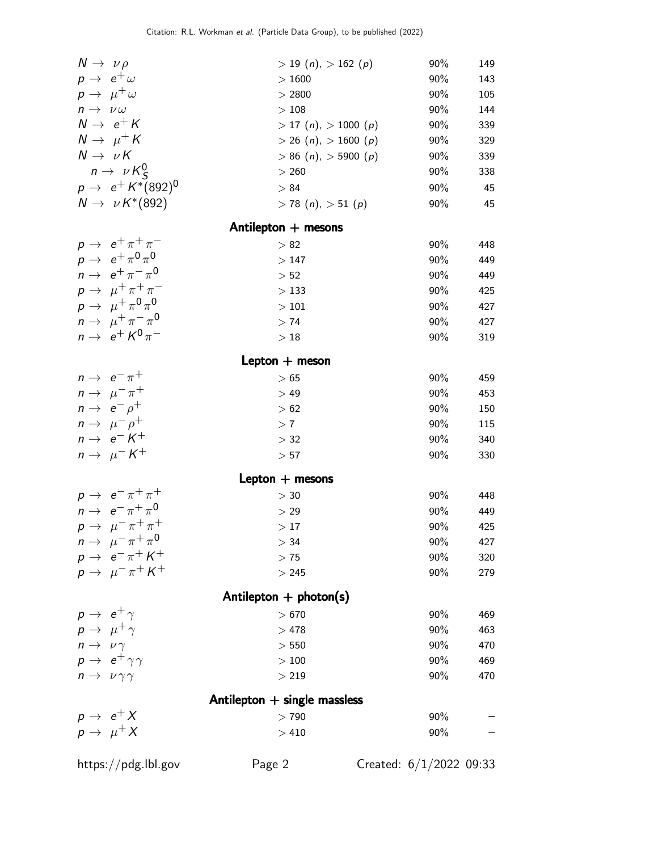| $N \rightarrow \nu \rho$                                           | $> 19$ (n), $> 162$ (p)                    | 90%                       | 149 |
|--------------------------------------------------------------------|--------------------------------------------|---------------------------|-----|
| $p \rightarrow e^+ \omega$                                         | >1600                                      | 90%                       | 143 |
| $p \rightarrow \mu^+ \omega$                                       | > 2800                                     | 90%                       | 105 |
| $n \to \nu \omega$                                                 | >108                                       | 90%                       | 144 |
| $N \rightarrow e^+ K$                                              | $>$ 17 ( <i>n</i> ), $>$ 1000 ( <i>p</i> ) | 90%                       | 339 |
| $N \rightarrow \mu^+ K$                                            | $>$ 26 ( <i>n</i> ), $>$ 1600 ( <i>p</i> ) | 90%                       | 329 |
| $N \rightarrow \nu K$                                              | $> 86$ (n), $> 5900$ (p)                   | 90%                       | 339 |
| $n \to \nu K_S^0$                                                  | > 260                                      | 90%                       | 338 |
| $p \to e^+ K^*(892)^0$                                             | > 84                                       | 90%                       | 45  |
| $N \rightarrow \nu K^*(892)$                                       | $> 78$ (n), $> 51$ (p)                     | 90%                       | 45  |
|                                                                    |                                            |                           |     |
|                                                                    | Antilepton $+$ mesons                      |                           |     |
| $p \rightarrow e^+ \pi^+ \pi^-$                                    | > 82                                       | 90%                       | 448 |
| $p \rightarrow e^+ \pi^0 \pi^0$<br>$n \rightarrow e^+ \pi^- \pi^0$ | >147                                       | 90%                       | 449 |
|                                                                    | $> 52$                                     | 90%                       | 449 |
| $p \rightarrow \mu^+ \pi^+ \pi^-$                                  | >133                                       | 90%                       | 425 |
| $p \rightarrow \mu^+ \pi^0 \pi^0$                                  | $>101$                                     | 90%                       | 427 |
| $n \to \mu^+ \pi^- \pi^0$                                          | > 74                                       | 90%                       | 427 |
| $n \rightarrow e^+ K^0 \pi^-$                                      | $>18\,$                                    | 90%                       | 319 |
|                                                                    | Lepton $+$ meson                           |                           |     |
| $n \rightarrow e^- \pi^+$                                          | >65                                        | 90%                       | 459 |
| $n \to \mu^- \pi^+$                                                | >49                                        | 90%                       | 453 |
| $n \rightarrow e^- \rho^+$                                         | >62                                        | 90%                       | 150 |
| $n \rightarrow \mu^- \rho^+$                                       | > 7                                        | 90%                       | 115 |
| $n \rightarrow e^- K^+$                                            | $>$ 32                                     | 90%                       | 340 |
| $n \to \mu^- K^+$                                                  | > 57                                       | 90%                       | 330 |
|                                                                    | Lepton $+$ mesons                          |                           |     |
| $p \rightarrow e^- \pi^+ \pi^+$                                    | > 30                                       | 90%                       | 448 |
| $n \to e^- \pi^+ \pi^0$                                            | > 29                                       | 90%                       | 449 |
| $p \rightarrow \mu^- \pi^+ \pi^+$                                  | >17                                        | 90%                       | 425 |
| $n \to \mu^- \pi^+ \pi^0$                                          | $>$ 34                                     | 90%                       | 427 |
| $p \rightarrow e^- \pi^+ K^+$                                      | >75                                        | 90%                       | 320 |
| $p \rightarrow \mu^- \pi^+ K^+$                                    | > 245                                      | 90%                       | 279 |
|                                                                    |                                            |                           |     |
|                                                                    | Antilepton $+$ photon(s)                   |                           |     |
| $p \rightarrow e^+ \gamma$                                         | >670                                       | 90%                       | 469 |
| $p \rightarrow \mu^+ \gamma$                                       | >478                                       | 90%                       | 463 |
| $n \to \nu \gamma$                                                 | > 550                                      | 90%                       | 470 |
| $p \rightarrow e^+ \gamma \gamma$                                  | $>100\,$                                   | 90%                       | 469 |
| $n \to \nu \gamma \gamma$                                          | > 219                                      | 90%                       | 470 |
|                                                                    | Antilepton $+$ single massless             |                           |     |
| $p \rightarrow e^+ X$                                              | >790                                       | 90%                       |     |
| $p \rightarrow \mu^{+} X$                                          | >410                                       | 90%                       |     |
| https://pdg.lbl.gov                                                | Page 2                                     | Created: $6/1/2022$ 09:33 |     |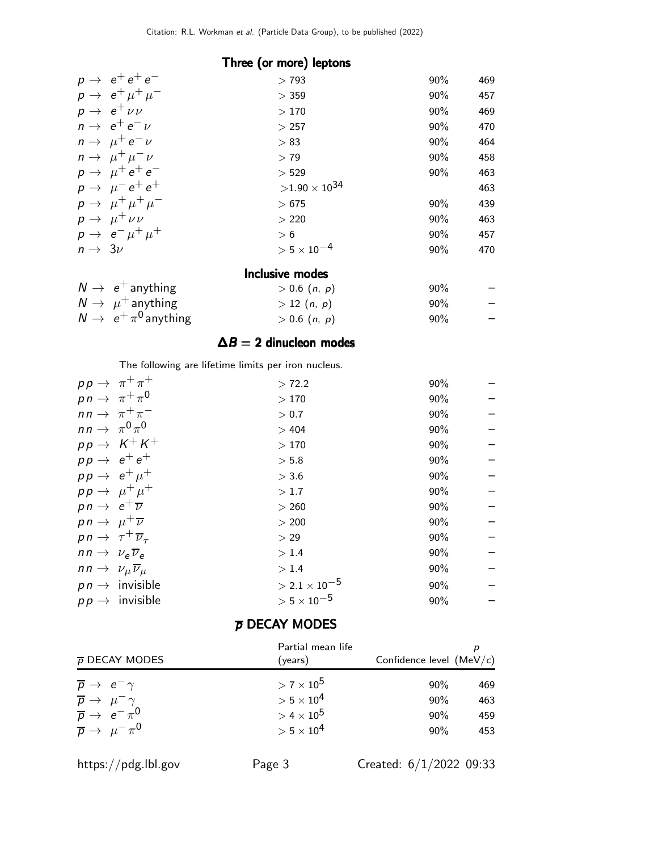| Three (or more) leptons           |                      |        |     |
|-----------------------------------|----------------------|--------|-----|
| $p \rightarrow e^+e^+e^-$         | >793                 | $90\%$ | 469 |
| $p \rightarrow e^+ \mu^+ \mu^-$   | $>$ 359              | 90%    | 457 |
| $p \rightarrow e^+ \nu \nu$       | >170                 | $90\%$ | 469 |
| $n \rightarrow e^+e^-\nu$         | >257                 | 90%    | 470 |
| $n \rightarrow \mu^+ e^- \nu$     | > 83                 | 90%    | 464 |
| $n \rightarrow \mu^+ \mu^- \nu$   | > 79                 | 90%    | 458 |
| $p \rightarrow \mu^+ e^+ e^-$     | > 529                | $90\%$ | 463 |
| $p \rightarrow \mu^- e^+ e^+$     | $>1.90\times10^{34}$ |        | 463 |
| $p \rightarrow \mu^+ \mu^+ \mu^-$ | >675                 | $90\%$ | 439 |
| $p \rightarrow \mu^+ \nu \nu$     | > 220                | $90\%$ | 463 |
| $p \rightarrow e^- \mu^+ \mu^+$   | > 6                  | 90%    | 457 |
| $n \rightarrow 3\nu$              | $> 5 \times 10^{-4}$ | 90%    | 470 |
| <b>Inclusive modes</b>            |                      |        |     |

| $N \rightarrow e^+$ anything       | $> 0.6$ $(n, p)$ | $90\%$ | $-$                      |
|------------------------------------|------------------|--------|--------------------------|
| $N \rightarrow \mu^+$ anything     | > 12(n, p)       | $90\%$ | $-$                      |
| $N \rightarrow e^+ \pi^0$ anything | $> 0.6$ $(n, p)$ | $90\%$ | $\overline{\phantom{0}}$ |

#### $\Delta B = 2$  dinucleon modes

The following are lifetime limits per iron nucleus.

|                                                 | $pp \rightarrow \pi^+ \pi^+$ | > 72.2                 | 90% |  |
|-------------------------------------------------|------------------------------|------------------------|-----|--|
| $p n \rightarrow \pi^+ \pi^0$                   |                              | >170                   | 90% |  |
|                                                 | $nn \rightarrow \pi^+ \pi^-$ | > 0.7                  | 90% |  |
| $nn \rightarrow \pi^0 \pi^0$                    |                              | >404                   | 90% |  |
|                                                 | $pp \rightarrow K^+K^+$      | >170                   | 90% |  |
| $pp \rightarrow e^+e^+$                         |                              | > 5.8                  | 90% |  |
| $pp \rightarrow e^+ \mu^+$                      |                              | > 3.6                  | 90% |  |
|                                                 | $pp \rightarrow \mu^+ \mu^+$ | >1.7                   | 90% |  |
| $p n \rightarrow e^+ \overline{\nu}$            |                              | > 260                  | 90% |  |
| $pn \rightarrow \mu^+ \overline{\nu}$           |                              | > 200                  | 90% |  |
| $pn \rightarrow \tau^+ \overline{\nu}_{\tau}$   |                              | > 29                   | 90% |  |
| $nn \rightarrow \nu_e \overline{\nu}_e$         |                              | > 1.4                  | 90% |  |
| $nn \rightarrow \nu_{\mu} \overline{\nu}_{\mu}$ |                              | > 1.4                  | 90% |  |
|                                                 | $p n \rightarrow$ invisible  | $> 2.1 \times 10^{-5}$ | 90% |  |
|                                                 | $p p \rightarrow$ invisible  | $> 5 \times 10^{-5}$   | 90% |  |
|                                                 |                              |                        |     |  |

#### $\overline{p}$  DECAY MODES

| $\bar{p}$ DECAY MODES                                                                  | Partial mean life<br>(years)   | Confidence level $(MeV/c)$ |     |
|----------------------------------------------------------------------------------------|--------------------------------|----------------------------|-----|
| $\overline{p} \rightarrow e^- \gamma$                                                  | $> 7 \times 10^5$              | $90\%$                     | 469 |
|                                                                                        | $> 5 \times 10^4$              | $90\%$                     | 463 |
| $\frac{\overline{p}}{\overline{p}} \rightarrow \frac{\mu^-}{e^-} \frac{\gamma}{\pi^0}$ | $>$ 4 $\times$ 10 <sup>5</sup> | $90\%$                     | 459 |
| $\overline{p} \rightarrow \mu^- \pi^0$                                                 | $> 5 \times 10^4$              | $90\%$                     | 453 |

https://pdg.lbl.gov Page 3 Created: 6/1/2022 09:33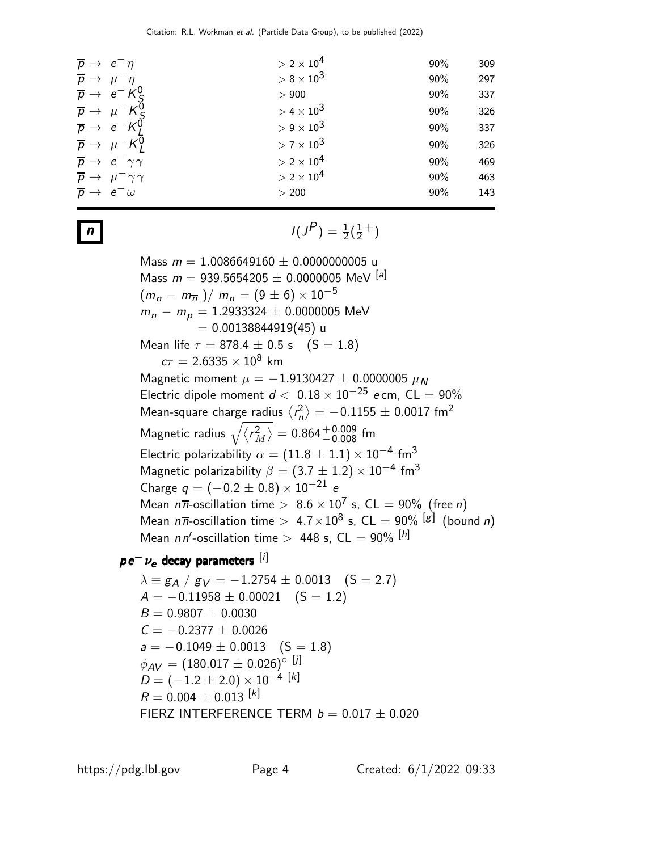| $\overline{p} \rightarrow e^- \eta$            | $>$ 2 $\times$ 10 <sup>4</sup><br>90% | 309 |
|------------------------------------------------|---------------------------------------|-----|
| $\overline{p} \rightarrow \mu^- \eta$          | $> 8 \times 10^3$<br>90%              | 297 |
| $\overline{p} \rightarrow e^{-} K_c^0$         | 90%<br>> 900                          | 337 |
| $\overline{p} \rightarrow \mu^- K_s^0$         | $> 4 \times 10^3$<br>90%              | 326 |
| $\overline{p} \rightarrow e^{-} K^{0}$         | $> 9 \times 10^3$<br>90%              | 337 |
| $\overline{p} \rightarrow \mu^- K_I^0$         | $> 7 \times 10^3$<br>90%              | 326 |
| $\overline{p} \rightarrow e^- \gamma \gamma$   | $> 2 \times 10^4$<br>90%              | 469 |
| $\overline{p} \rightarrow \mu^- \gamma \gamma$ | $> 2 \times 10^4$<br>90%              | 463 |
| $\overline{p} \rightarrow e^- \omega$          | 90%<br>> 200                          | 143 |
|                                                |                                       |     |

 $n$   $I(J)$  $P$ <sub>)</sub> =  $\frac{1}{2}(\frac{1}{2})$  $(\frac{1}{2}^{+})$ 

> Mass  $m = 1.0086649160 \pm 0.0000000005$  u Mass  $m = 939.5654205 \pm 0.0000005$  MeV  $^{[a]}$  $(m_n - m_{\overline{n}})/m_n = (9 \pm 6) \times 10^{-5}$  $m_n - m_p = 1.2933324 \pm 0.0000005$  MeV  $= 0.00138844919(45)$ u Mean life  $\tau = 878.4 \pm 0.5$  s  $(S = 1.8)$  $c\tau = 2.6335 \times 10^8$  km Magnetic moment  $\mu = -1.9130427 \pm 0.0000005 \mu_N$ Electric dipole moment  $d < 0.18 \times 10^{-25}$  e cm, CL = 90% Mean-square charge radius  $\langle r_n^2 \rangle$  $\left\langle \rho_n^2 \right\rangle = -0.1155 \pm 0.0017$  fm $^2$ Magnetic radius  $\sqrt{\langle r_{\Lambda}^2\rangle}$  $\left<^2_M\right>=0.864^{+0.009}_{-0.008}~$ fm Electric polarizability  $\alpha=(11.8\pm1.1)\times10^{-4}$  fm $^3$ Magnetic polarizability  $\beta=(3.7\pm1.2)\times10^{-4}$  fm $^3$ Charge  $q = (-0.2 \pm 0.8) \times 10^{-21}$  e Mean  $n\overline{n}$ -oscillation time  $> 8.6 \times 10^7$  s, CL  $= 90\%$  (free n) Mean  $n\overline{n}$ -oscillation time  $>$  4.7 $\times10^8$  s, CL  $=$  90%  $^{[g]}$  (bound  $n)$ Mean  $nn'$ -oscillation time  $>$  448 s, CL  $=$  90%  $^{[h]}$

 $p e^- \nu_e$  decay parameters [i]

 $\lambda = g_A / g_V = -1.2754 \pm 0.0013$  (S = 2.7)  $A = -0.11958 \pm 0.00021$  (S = 1.2)  $B = 0.9807 \pm 0.0030$  $C = -0.2377 \pm 0.0026$  $a = -0.1049 \pm 0.0013$  (S = 1.8)  $\phi_{AV} = (180.017 \pm 0.026)$ ° [j]  $D = (-1.2 \pm 2.0) \times 10^{-4}$  [k]  $R = 0.004 \pm 0.013$ <sup>[k]</sup> FIERZ INTERFERENCE TERM  $b = 0.017 \pm 0.020$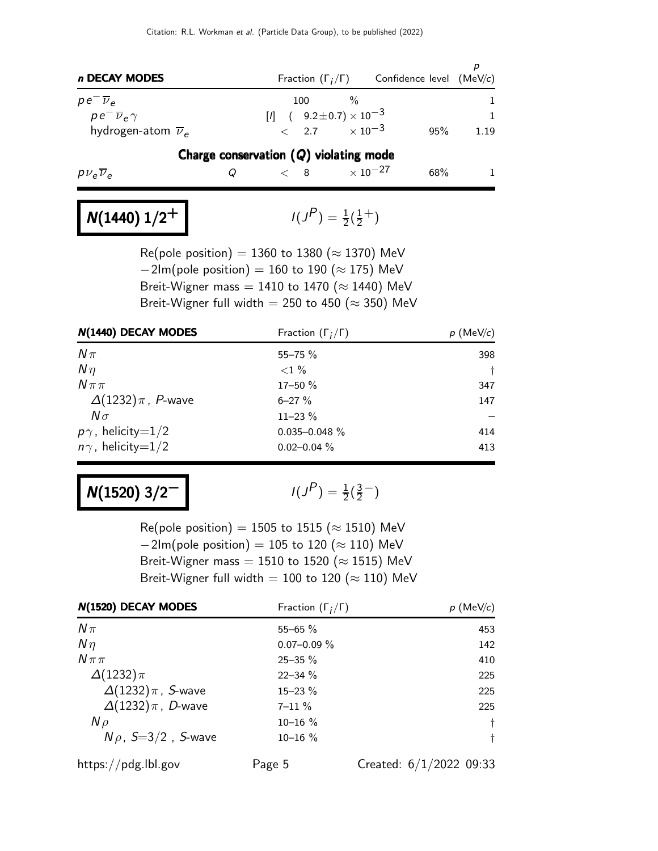| n DECAY MODES                    |                                          | Fraction $(\Gamma_i/\Gamma)$ Confidence level (MeV/c) |              |
|----------------------------------|------------------------------------------|-------------------------------------------------------|--------------|
| $pe \nu_e$                       | $\%$<br>100                              |                                                       |              |
| $p e^- \overline{\nu}_e \gamma$  | $[1]$ ( $9.2 \pm 0.7$ ) $\times 10^{-3}$ |                                                       | $\mathbf{1}$ |
| hydrogen-atom $\overline{\nu}_e$ | $< 2.7 \times 10^{-3}$                   | 95%                                                   | 1.19         |
|                                  | Charge conservation $(Q)$ violating mode |                                                       |              |
| $p\nu_e \nu_e$                   | $< 8$ $\times$ 10 <sup>-27</sup>         | 68%                                                   |              |
|                                  |                                          |                                                       |              |

### $N(1440)$   $1/2^+$

 $P$ <sub>)</sub> =  $\frac{1}{2}(\frac{1}{2})$  $(\frac{1}{2}^{+})$ 

Re(pole position) = 1360 to 1380 ( $\approx$  1370) MeV  $-2$ Im(pole position) = 160 to 190 ( $\approx$  175) MeV Breit-Wigner mass = 1410 to 1470 ( $\approx$  1440) MeV Breit-Wigner full width = 250 to 450 ( $\approx$  350) MeV

| N(1440) DECAY MODES        | Fraction $(\Gamma_i/\Gamma)$ | $p$ (MeV/c) |
|----------------------------|------------------------------|-------------|
| $N\pi$                     | $55 - 75%$                   | 398         |
| $N\eta$                    | ${<}1\%$                     | Ť.          |
| $N\pi\pi$                  | 17-50 %                      | 347         |
| $\Delta(1232)\pi$ , P-wave | $6 - 27 \%$                  | 147         |
| $N\sigma$                  | $11 - 23%$                   |             |
| $p\gamma$ , helicity=1/2   | $0.035 - 0.048 \%$           | 414         |
| $n\gamma$ , helicity=1/2   | $0.02 - 0.04 \%$             | 413         |

### $N(1520)$  3/2<sup>-1</sup>

 $P$ ) =  $\frac{1}{2}(\frac{3}{2})$  $\frac{3}{2}$  – )

Re(pole position) = 1505 to 1515 ( $\approx$  1510) MeV  $-2$ Im(pole position) = 105 to 120 ( $\approx$  110) MeV Breit-Wigner mass = 1510 to 1520 ( $\approx$  1515) MeV Breit-Wigner full width = 100 to 120 ( $\approx$  110) MeV

| N(1520) DECAY MODES        | Fraction $(\Gamma_i/\Gamma)$ | $p \text{ (MeV/c)}$       |
|----------------------------|------------------------------|---------------------------|
| $N\pi$                     | $55 - 65 \%$                 | 453                       |
| $N\eta$                    | $0.07 - 0.09 \%$             | 142                       |
| $N \pi \pi$                | $25 - 35 \%$                 | 410                       |
| $\Delta(1232)\pi$          | $22 - 34 \%$                 | 225                       |
| $\Delta(1232)\pi$ , S-wave | $15 - 23%$                   | 225                       |
| $\Delta(1232)\pi$ , D-wave | $7 - 11 \%$                  | 225                       |
| $N \rho$                   | $10 - 16 \%$                 | $\dagger$                 |
| $N\rho$ , $S=3/2$ , S-wave | $10 - 16 \%$                 | Ť.                        |
| https://pdg.lbl.gov        | Page 5                       | Created: $6/1/2022$ 09:33 |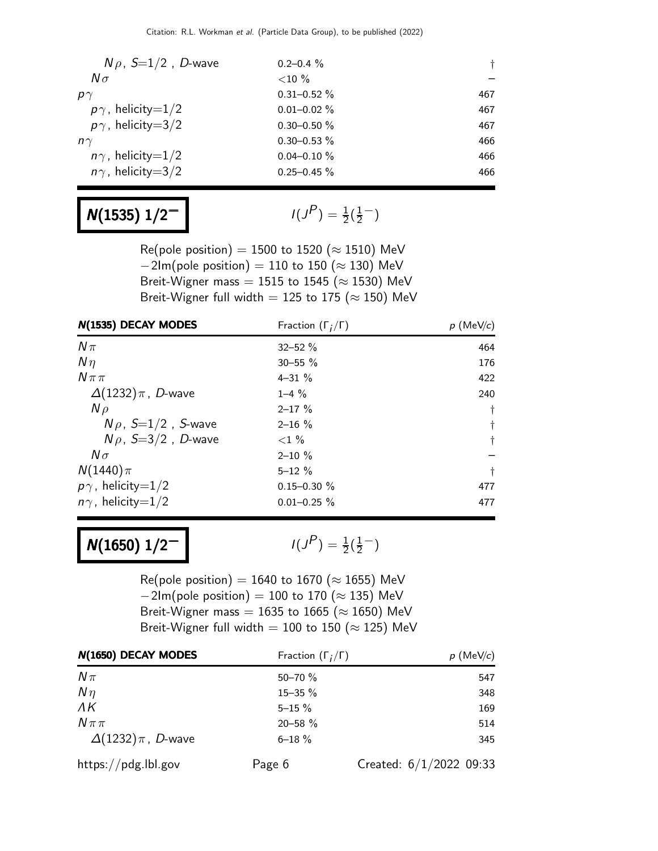| $N\rho$ , $S=1/2$ , D-wave | $0.2 - 0.4 \%$   |     |
|----------------------------|------------------|-----|
| $N\sigma$                  | ${<}10\%$        |     |
| $p\gamma$                  | $0.31 - 0.52 \%$ | 467 |
| $p\gamma$ , helicity=1/2   | $0.01 - 0.02 \%$ | 467 |
| $p\gamma$ , helicity=3/2   | $0.30 - 0.50 \%$ | 467 |
| $n\gamma$                  | $0.30 - 0.53 \%$ | 466 |
| $n\gamma$ , helicity=1/2   | $0.04 - 0.10 \%$ | 466 |
| $n\gamma$ , helicity=3/2   | $0.25 - 0.45 \%$ | 466 |

## $N(1535)$   $1/2^-$

 $P$ ) =  $\frac{1}{2}(\frac{1}{2})$  $\frac{1}{2}$   $^{-}$ )

Re(pole position) = 1500 to 1520 ( $\approx$  1510) MeV  $-2$ Im(pole position) = 110 to 150 ( $\approx$  130) MeV Breit-Wigner mass = 1515 to 1545 ( $\approx$  1530) MeV Breit-Wigner full width = 125 to 175 ( $\approx$  150) MeV

| N(1535) DECAY MODES        | Fraction $(\Gamma_i/\Gamma)$ | $p$ (MeV/c) |
|----------------------------|------------------------------|-------------|
| $N\pi$                     | $32 - 52%$                   | 464         |
| $N\eta$                    | $30 - 55 \%$                 | 176         |
| $N\pi\pi$                  | $4 - 31 \%$                  | 422         |
| $\Delta(1232)\pi$ , D-wave | $1 - 4\%$                    | 240         |
| $N \rho$                   | $2 - 17 \%$                  | Ť.          |
| $N\rho$ , $S=1/2$ , S-wave | $2 - 16 \%$                  | $\dagger$   |
| $N\rho$ , S=3/2, D-wave    | ${<}1\%$                     | $\dagger$   |
| $N\sigma$                  | $2 - 10 \%$                  |             |
| $N(1440)\pi$               | $5 - 12 \%$                  | $\ddagger$  |
| $p\gamma$ , helicity=1/2   | $0.15 - 0.30 \%$             | 477         |
| $n\gamma$ , helicity=1/2   | $0.01 - 0.25 \%$             | 477         |

### $N(1650)$   $1/2^-$

 $P$ <sub>)</sub> =  $\frac{1}{2}(\frac{1}{2})$  $\frac{1}{2}^{-}$ 

Re(pole position) = 1640 to 1670 ( $\approx$  1655) MeV  $-2$ Im(pole position) = 100 to 170 ( $\approx$  135) MeV Breit-Wigner mass = 1635 to 1665 ( $\approx$  1650) MeV Breit-Wigner full width = 100 to 150 ( $\approx$  125) MeV

| N(1650) DECAY MODES        | Fraction $(\Gamma_i/\Gamma)$ | $p$ (MeV/c)               |
|----------------------------|------------------------------|---------------------------|
| $N\pi$                     | $50 - 70 \%$                 | 547                       |
| $N\eta$                    | 15-35 %                      | 348                       |
| $\Lambda K$                | $5 - 15 \%$                  | 169                       |
| $N\pi\pi$                  | 20-58 %                      | 514                       |
| $\Delta(1232)\pi$ , D-wave | $6 - 18 \%$                  | 345                       |
| https://pdg.lbl.gov        | Page 6                       | Created: $6/1/2022$ 09:33 |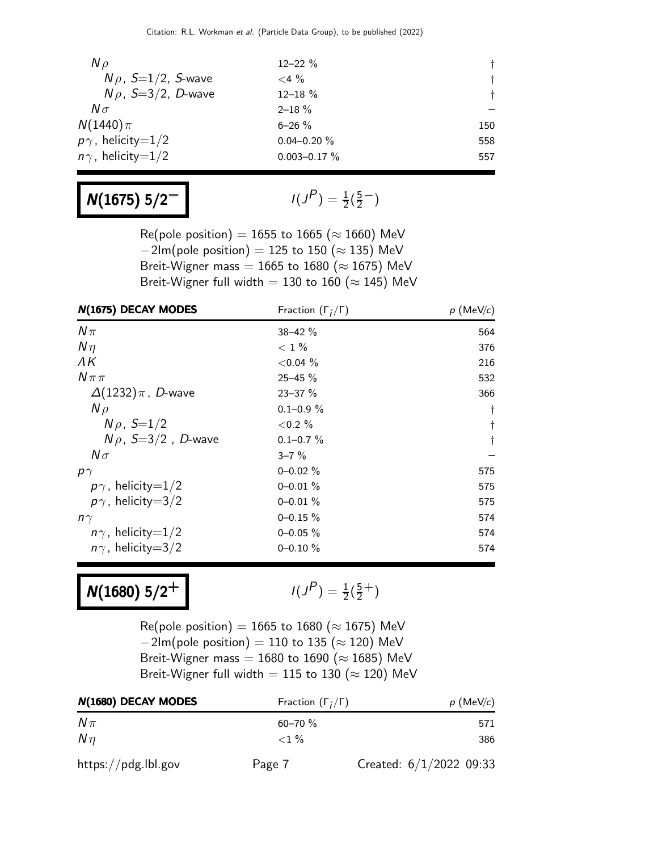| $N \rho$                   | $12 - 22 \%$      | $+$   |
|----------------------------|-------------------|-------|
| $N\rho$ , $S=1/2$ , S-wave | $<$ 4 $\%$        | $+$   |
| $N\rho$ , S=3/2, D-wave    | $12 - 18 \%$      | $\pm$ |
| $N\sigma$                  | $2 - 18 \%$       |       |
| $N(1440)\pi$               | $6 - 26$ %        | 150   |
| $p\gamma$ , helicity=1/2   | $0.04 - 0.20 \%$  | 558   |
| $n\gamma$ , helicity=1/2   | $0.003 - 0.17 \%$ | 557   |

## $N(1675) 5/2^-$

$$
I(J^P) = \frac{1}{2}(\frac{5}{2}^-)
$$

Re(pole position) = 1655 to 1665 ( $\approx$  1660) MeV  $-2$ Im(pole position) = 125 to 150 ( $\approx$  135) MeV Breit-Wigner mass = 1665 to 1680 ( $\approx$  1675) MeV Breit-Wigner full width = 130 to 160 ( $\approx$  145) MeV

| N(1675) DECAY MODES        | Fraction $(\Gamma_i/\Gamma)$ | $p$ (MeV/c) |
|----------------------------|------------------------------|-------------|
| $N\pi$                     | 38-42 %                      | 564         |
| $N\eta$                    | $< 1\%$                      | 376         |
| ΛK                         | ${<}0.04\%$                  | 216         |
| $N \pi \pi$                | $25 - 45 \%$                 | 532         |
| $\Delta(1232)\pi$ , D-wave | $23 - 37 \%$                 | 366         |
| $N \rho$                   | $0.1 - 0.9 \%$               | $\dagger$   |
| $N \rho$ , $S=1/2$         | ${<}0.2\%$                   | $^\dagger$  |
| $N\rho$ , S=3/2, D-wave    | $0.1 - 0.7 \%$               | $\dagger$   |
| $N\sigma$                  | $3 - 7\%$                    |             |
| $p\gamma$                  | $0 - 0.02 \%$                | 575         |
| $p\gamma$ , helicity=1/2   | $0 - 0.01 \%$                | 575         |
| $p\gamma$ , helicity=3/2   | $0 - 0.01 \%$                | 575         |
| $n\gamma$                  | $0 - 0.15 \%$                | 574         |
| $n\gamma$ , helicity=1/2   | $0 - 0.05 \%$                | 574         |
| $n\gamma$ , helicity=3/2   | $0 - 0.10 \%$                | 574         |

# $N(1680)$  5/2<sup>+</sup>

$$
I(J^P) = \frac{1}{2}(\frac{5}{2}^+)
$$

Re(pole position) = 1665 to 1680 ( $\approx$  1675) MeV  $-2$ Im(pole position) = 110 to 135 ( $\approx$  120) MeV Breit-Wigner mass = 1680 to 1690 ( $\approx$  1685) MeV Breit-Wigner full width = 115 to 130 ( $\approx$  120) MeV

| N(1680) DECAY MODES | Fraction $(\Gamma_i/\Gamma)$ | $p$ (MeV/c)             |
|---------------------|------------------------------|-------------------------|
| $N\pi$              | $60 - 70 \%$                 | 571                     |
| $N\eta$             | $< 1\%$                      | 386                     |
| https://pdg.lbl.gov | Page 7                       | Created: 6/1/2022 09:33 |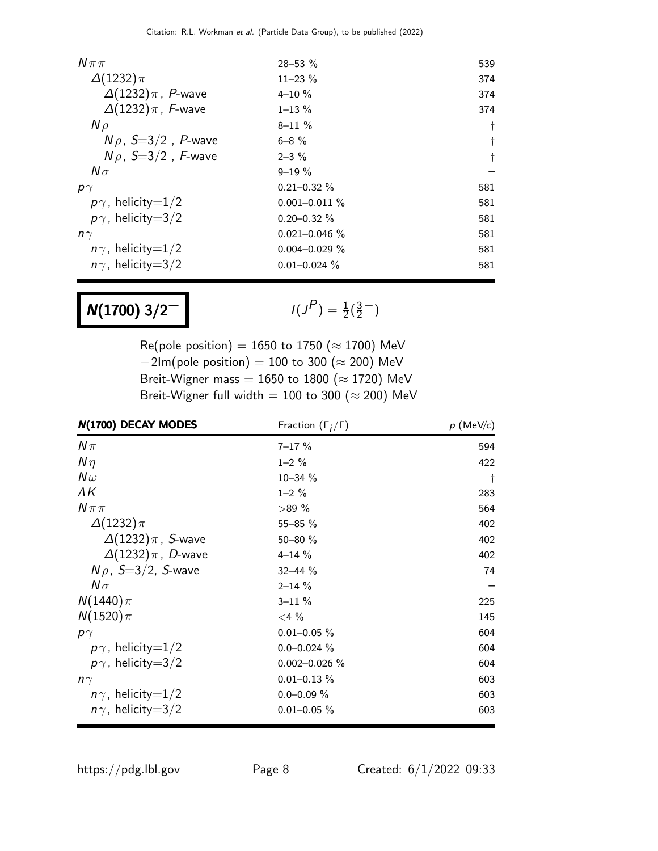| $N \pi \pi$                | $28 - 53 \%$       | 539 |
|----------------------------|--------------------|-----|
| $\Delta(1232)\pi$          | $11 - 23 \%$       | 374 |
| $\Delta(1232)\pi$ , P-wave | $4 - 10 \%$        | 374 |
| $\Delta(1232)\pi$ , F-wave | $1 - 13 \%$        | 374 |
| $N \rho$                   | $8 - 11 \%$        | t   |
| $N\rho$ , S=3/2, P-wave    | $6 - 8 \%$         |     |
| $N\rho$ , S=3/2, F-wave    | $2 - 3\%$          | t   |
| $N\sigma$                  | $9 - 19 \%$        |     |
| $p\gamma$                  | $0.21 - 0.32 \%$   | 581 |
| $p\gamma$ , helicity=1/2   | $0.001 - 0.011 \%$ | 581 |
| $p\gamma$ , helicity=3/2   | $0.20 - 0.32 \%$   | 581 |
| $n\gamma$                  | $0.021 - 0.046$ %  | 581 |
| $n\gamma$ , helicity=1/2   | $0.004 - 0.029 \%$ | 581 |
| $n\gamma$ , helicity=3/2   | $0.01 - 0.024 \%$  | 581 |

# $N(1700)$  3/2<sup>-1</sup>

 $P$ ) =  $\frac{1}{2}(\frac{3}{2})$  $\frac{3}{2}$ <sup>-</sup>)

Re(pole position) = 1650 to 1750 ( $\approx$  1700) MeV  $-2$ Im(pole position) = 100 to 300 ( $\approx$  200) MeV Breit-Wigner mass = 1650 to 1800 ( $\approx$  1720) MeV Breit-Wigner full width = 100 to 300 ( $\approx$  200) MeV

| N(1700) DECAY MODES        | Fraction $(\Gamma_i/\Gamma)$ | $p$ (MeV/c) |
|----------------------------|------------------------------|-------------|
| $N\pi$                     | $7 - 17 \%$                  | 594         |
| $N\eta$                    | $1 - 2 \%$                   | 422         |
| $N\omega$                  | $10 - 34 \%$                 | t           |
| ΛK                         | $1 - 2 \%$                   | 283         |
| $N \pi \pi$                | $>89\%$                      | 564         |
| $\Delta(1232)\pi$          | 55-85 %                      | 402         |
| $\Delta(1232)\pi$ , S-wave | $50 - 80 \%$                 | 402         |
| $\Delta(1232)\pi$ , D-wave | $4 - 14 \%$                  | 402         |
| $N\rho$ , S=3/2, S-wave    | $32 - 44 \%$                 | 74          |
| $N\sigma$                  | $2 - 14 \%$                  |             |
| $N(1440)\pi$               | $3 - 11 \%$                  | 225         |
| $N(1520)\pi$               | $<$ 4 $\%$                   | 145         |
| $p\gamma$                  | $0.01 - 0.05 \%$             | 604         |
| $p\gamma$ , helicity=1/2   | $0.0 - 0.024 \%$             | 604         |
| $p\gamma$ , helicity=3/2   | $0.002 - 0.026 \%$           | 604         |
| $n\gamma$                  | $0.01 - 0.13 \%$             | 603         |
| $n\gamma$ , helicity=1/2   | $0.0 - 0.09 \%$              | 603         |
| $n\gamma$ , helicity=3/2   | $0.01 - 0.05 \%$             | 603         |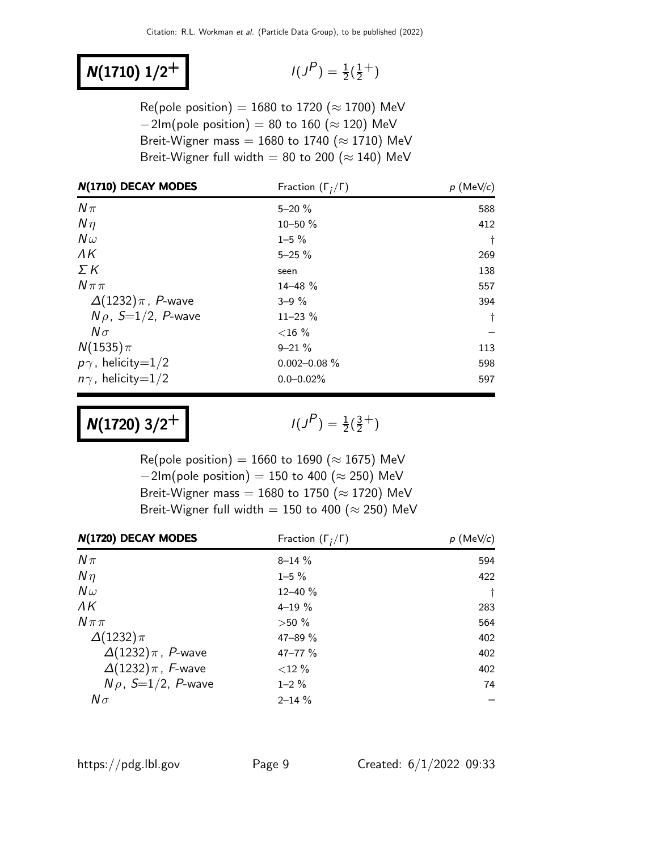## $N(1710) 1/2^+$

$$
I(J^P) = \frac{1}{2}(\frac{1}{2}^+)
$$

Re(pole position) = 1680 to 1720 ( $\approx$  1700) MeV  $-2$ Im(pole position) = 80 to 160 ( $\approx$  120) MeV Breit-Wigner mass = 1680 to 1740 ( $\approx$  1710) MeV Breit-Wigner full width = 80 to 200 ( $\approx$  140) MeV

| N(1710) DECAY MODES        | Fraction $(\Gamma_i/\Gamma)$ | $p$ (MeV/c) |
|----------------------------|------------------------------|-------------|
| $N\pi$                     | $5 - 20 \%$                  | 588         |
| $N\eta$                    | $10 - 50 \%$                 | 412         |
| $N\omega$                  | $1 - 5 \%$                   | Ť           |
| $\Lambda K$                | $5 - 25 \%$                  | 269         |
| $\Sigma K$                 | seen                         | 138         |
| $N\pi\pi$                  | $14 - 48 \%$                 | 557         |
| $\Delta(1232)\pi$ , P-wave | $3 - 9\%$                    | 394         |
| $N\rho$ , S=1/2, P-wave    | $11 - 23 \%$                 | $\ddagger$  |
| $N\sigma$                  | ${<}16\%$                    |             |
| $N(1535)\pi$               | $9 - 21 \%$                  | 113         |
| $p\gamma$ , helicity=1/2   | $0.002 - 0.08 \%$            | 598         |
| $n\gamma$ , helicity=1/2   | $0.0 - 0.02\%$               | 597         |

 $N(1720)$  3/2<sup>+</sup>

 $P$ ) =  $\frac{1}{2}(\frac{3}{2})$  $\frac{3}{2}$ <sup>+</sup>)

Re(pole position) = 1660 to 1690 ( $\approx$  1675) MeV  $-2$ Im(pole position) = 150 to 400 ( $\approx$  250) MeV Breit-Wigner mass =  $1680$  to 1750 ( $\approx$  1720) MeV Breit-Wigner full width = 150 to 400 ( $\approx$  250) MeV

| N(1720) DECAY MODES        | Fraction $(\Gamma_i/\Gamma)$ | $p$ (MeV/c) |
|----------------------------|------------------------------|-------------|
| $N\pi$                     | $8 - 14 \%$                  | 594         |
| $N\eta$                    | $1 - 5 \%$                   | 422         |
| $N\omega$                  | $12 - 40 \%$                 | $\ddagger$  |
| $\Lambda K$                | $4 - 19 \%$                  | 283         |
| $N \pi \pi$                | $>50\%$                      | 564         |
| $\Delta(1232)\pi$          | $47 - 89 \%$                 | 402         |
| $\Delta(1232)\pi$ , P-wave | $47 - 77 \%$                 | 402         |
| $\Delta(1232)\pi$ , F-wave | ${<}12\%$                    | 402         |
| $N\rho$ , S=1/2, P-wave    | $1 - 2\%$                    | 74          |
| $N\sigma$                  | $2 - 14 \%$                  |             |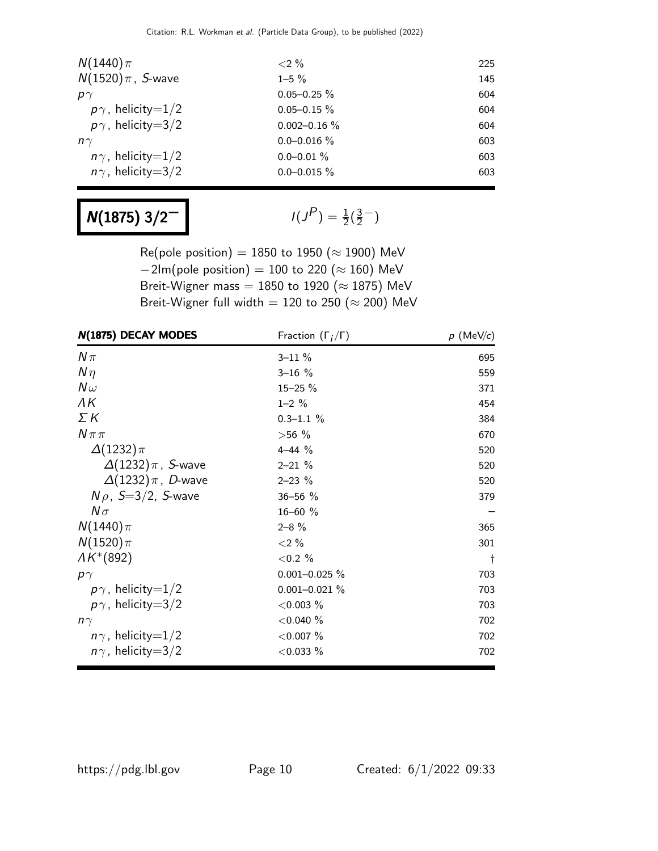| $N(1440)\pi$             | $< 2\%$           | 225 |
|--------------------------|-------------------|-----|
| $N(1520)\pi$ , S-wave    | $1 - 5\%$         | 145 |
| $p\gamma$                | $0.05 - 0.25 \%$  | 604 |
| $p\gamma$ , helicity=1/2 | $0.05 - 0.15 \%$  | 604 |
| $p\gamma$ , helicity=3/2 | $0.002 - 0.16 \%$ | 604 |
| $n\gamma$                | $0.0 - 0.016 \%$  | 603 |
| $n\gamma$ , helicity=1/2 | $0.0 - 0.01 \%$   | 603 |
| $n\gamma$ , helicity=3/2 | $0.0 - 0.015 \%$  | 603 |

## $N(1875)$  3/2<sup>-1</sup>

 $P$ ) =  $\frac{1}{2}(\frac{3}{2})$  $\frac{3}{2}$ <sup>-</sup>)

Re(pole position) = 1850 to 1950 ( $\approx$  1900) MeV  $-2$ Im(pole position) = 100 to 220 ( $\approx$  160) MeV Breit-Wigner mass =  $1850$  to  $1920$  ( $\approx$   $1875$ ) MeV Breit-Wigner full width = 120 to 250 ( $\approx$  200) MeV

| N(1875) DECAY MODES        | Fraction $(\Gamma_i/\Gamma)$ | $p$ (MeV/c) |
|----------------------------|------------------------------|-------------|
| $N\pi$                     | $3 - 11 \%$                  | 695         |
| $N\eta$                    | $3 - 16 %$                   | 559         |
| $N\omega$                  | 15-25 %                      | 371         |
| ΛK                         | $1 - 2 \%$                   | 454         |
| ΣΚ                         | $0.3 - 1.1 \%$               | 384         |
| $N \pi \pi$                | $>56\%$                      | 670         |
| $\Delta(1232)\pi$          | $4 - 44$ %                   | 520         |
| $\Delta(1232)\pi$ , S-wave | $2 - 21 \%$                  | 520         |
| $\Delta(1232)\pi$ , D-wave | $2 - 23 \%$                  | 520         |
| $N\rho$ , S=3/2, S-wave    | 36-56 %                      | 379         |
| $N\sigma$                  | $16 - 60$ %                  |             |
| $N(1440)\pi$               | $2 - 8 \%$                   | 365         |
| $N(1520)\pi$               | ${<}2\%$                     | 301         |
| $AK^*(892)$                | ${<}0.2%$                    | $\ddagger$  |
| $p\gamma$                  | $0.001 - 0.025 \%$           | 703         |
| $p\gamma$ , helicity=1/2   | $0.001 - 0.021 \%$           | 703         |
| $p\gamma$ , helicity=3/2   | $<$ 0.003 $%$                | 703         |
| $n\gamma$                  | $<$ 0.040 $%$                | 702         |
| $n\gamma$ , helicity=1/2   | $<$ 0.007 $%$                | 702         |
| $n\gamma$ , helicity=3/2   | $<$ 0.033 $%$                | 702         |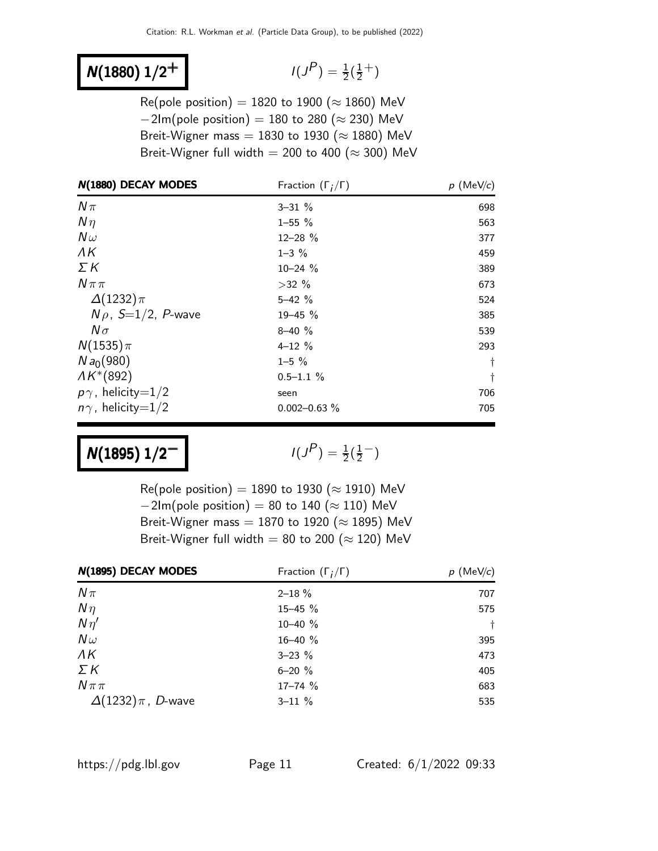### $N(1880)$   $1/2$ <sup>+</sup>

$$
I(J^P) = \frac{1}{2}(\frac{1}{2}^+)
$$

Re(pole position) = 1820 to 1900 ( $\approx$  1860) MeV  $-2$ Im(pole position) = 180 to 280 ( $\approx$  230) MeV Breit-Wigner mass = 1830 to 1930 ( $\approx$  1880) MeV Breit-Wigner full width = 200 to 400 ( $\approx$  300) MeV

| N(1880) DECAY MODES      | Fraction $(\Gamma_i/\Gamma)$ | $p$ (MeV/c) |
|--------------------------|------------------------------|-------------|
| $N\pi$                   | $3 - 31 \%$                  | 698         |
| $N\eta$                  | $1 - 55 \%$                  | 563         |
| $N\omega$                | $12 - 28$ %                  | 377         |
| ΛK                       | $1 - 3 \%$                   | 459         |
| ΣΚ                       | $10 - 24$ %                  | 389         |
| $N \pi \pi$              | $>32\%$                      | 673         |
| $\Delta(1232)\pi$        | $5 - 42 \%$                  | 524         |
| $N \rho$ , S=1/2, P-wave | 19-45 %                      | 385         |
| $N\sigma$                | $8 - 40$ %                   | 539         |
| $N(1535)\pi$             | $4 - 12 \%$                  | 293         |
| $N a_0(980)$             | $1 - 5 \%$                   | $\dagger$   |
| $AK*(892)$               | $0.5 - 1.1 %$                | $\ddagger$  |
| $p\gamma$ , helicity=1/2 | seen                         | 706         |
| $n\gamma$ , helicity=1/2 | $0.002 - 0.63$ %             | 705         |

### $N(1895)$   $1/2^-$

 $P$ <sub>)</sub> =  $\frac{1}{2}(\frac{1}{2})$  $\frac{1}{2}$   $^{-}$ )

Re(pole position) = 1890 to 1930 ( $\approx$  1910) MeV  $-2$ Im(pole position) = 80 to 140 ( $\approx$  110) MeV Breit-Wigner mass = 1870 to 1920 ( $\approx$  1895) MeV Breit-Wigner full width = 80 to 200 ( $\approx$  120) MeV

| N(1895) DECAY MODES        | Fraction $(\Gamma_i/\Gamma)$ | $p$ (MeV/c) |
|----------------------------|------------------------------|-------------|
| $N\pi$                     | $2 - 18 \%$                  | 707         |
| $N\eta$                    | 15-45 %                      | 575         |
| $N\eta'$                   | 10-40 %                      | $^{+}$      |
| $N\omega$                  | 16-40 %                      | 395         |
| $\Lambda K$                | $3 - 23 \%$                  | 473         |
| ΣΚ                         | $6 - 20 \%$                  | 405         |
| $N\pi\pi$                  | $17 - 74$ %                  | 683         |
| $\Delta(1232)\pi$ , D-wave | $3 - 11 \%$                  | 535         |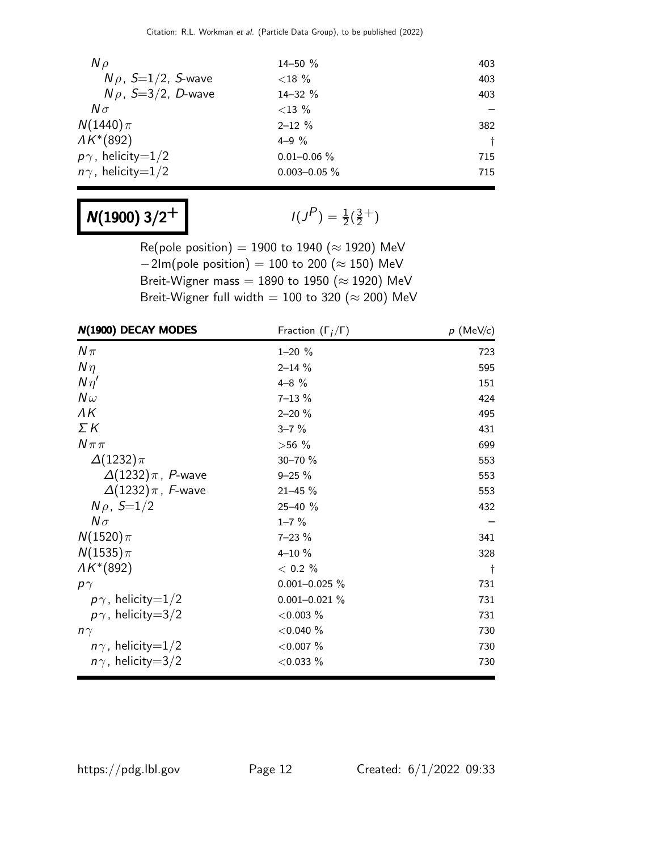| $N \rho$                   | $14 - 50 \%$      | 403 |
|----------------------------|-------------------|-----|
| $N\rho$ , $S=1/2$ , S-wave | ${<}18\%$         | 403 |
| $N\rho$ , S=3/2, D-wave    | 14-32 %           | 403 |
| $N\sigma$                  | ${<}13\%$         |     |
| $N(1440)\pi$               | $2 - 12 \%$       | 382 |
| $AK*(892)$                 | $4 - 9\%$         |     |
| $p\gamma$ , helicity=1/2   | $0.01 - 0.06 \%$  | 715 |
| $n\gamma$ , helicity=1/2   | $0.003 - 0.05 \%$ | 715 |

# $N(1900)$  3/2<sup>+</sup>

 $P$ ) =  $\frac{1}{2}(\frac{3}{2})$  $\frac{3}{2}$ <sup>+</sup>)

Re(pole position) = 1900 to 1940 ( $\approx$  1920) MeV  $-2$ Im(pole position) = 100 to 200 ( $\approx$  150) MeV Breit-Wigner mass = 1890 to 1950 ( $\approx$  1920) MeV Breit-Wigner full width = 100 to 320 ( $\approx$  200) MeV

| N(1900) DECAY MODES        | Fraction $(\Gamma_i/\Gamma)$ | $p$ (MeV/c) |
|----------------------------|------------------------------|-------------|
| $N\pi$                     | $1 - 20 \%$                  | 723         |
| $N\eta$                    | $2 - 14 \%$                  | 595         |
| $N\eta'$                   | $4 - 8$ %                    | 151         |
| $N\omega$                  | $7 - 13 \%$                  | 424         |
| ΛK                         | $2 - 20%$                    | 495         |
| $\Sigma K$                 | $3 - 7 \%$                   | 431         |
| $N \pi \pi$                | $>56\%$                      | 699         |
| $\Delta(1232)\pi$          | 30-70 %                      | 553         |
| $\Delta(1232)\pi$ , P-wave | $9 - 25 \%$                  | 553         |
| $\Delta(1232)\pi$ , F-wave | $21 - 45%$                   | 553         |
| $N \rho$ , $S=1/2$         | 25-40 %                      | 432         |
| $N\sigma$                  | $1 - 7 \%$                   |             |
| $N(1520)\pi$               | $7 - 23 \%$                  | 341         |
| $N(1535)\pi$               | $4 - 10 \%$                  | 328         |
| $AK*(892)$                 | $< 0.2 \%$                   | $\ddagger$  |
| $p\gamma$                  | $0.001 - 0.025 \%$           | 731         |
| $p\gamma$ , helicity=1/2   | $0.001 - 0.021 \%$           | 731         |
| $p\gamma$ , helicity=3/2   | $<$ 0.003 $%$                | 731         |
| $n\gamma$                  | $<$ 0.040 $%$                | 730         |
| $n\gamma$ , helicity=1/2   | $<$ 0.007 $%$                | 730         |
| $n\gamma$ , helicity=3/2   | $<$ 0.033 $%$                | 730         |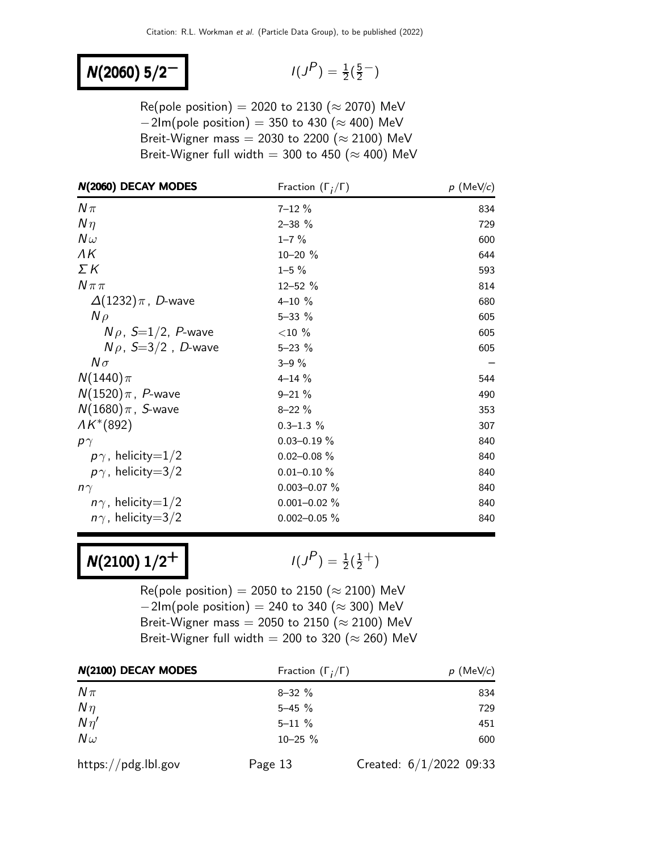#### N(2060) 5/2<sup>-</sup>

$$
I(J^P) = \frac{1}{2}(\frac{5}{2}^-)
$$

Re(pole position) = 2020 to 2130 ( $\approx$  2070) MeV  $-2$ Im(pole position) = 350 to 430 ( $\approx$  400) MeV Breit-Wigner mass = 2030 to 2200 ( $\approx$  2100) MeV Breit-Wigner full width = 300 to 450 ( $\approx$  400) MeV

| N(2060) DECAY MODES         | Fraction $(\Gamma_i/\Gamma)$ | $p \text{ (MeV/}c)$ |
|-----------------------------|------------------------------|---------------------|
| $N\pi$                      | $7 - 12 \%$                  | 834                 |
| $N\eta$                     | $2 - 38$ %                   | 729                 |
| $N\omega$                   | $1 - 7 \%$                   | 600                 |
| ΛK                          | $10 - 20 \%$                 | 644                 |
| $\Sigma K$                  | $1 - 5 \%$                   | 593                 |
| $N \pi \pi$                 | $12 - 52 %$                  | 814                 |
| $\Delta(1232)\pi$ , D-wave  | $4 - 10 \%$                  | 680                 |
| $N \rho$                    | $5 - 33 \%$                  | 605                 |
| $N \rho$ , $S=1/2$ , P-wave | ${<}10\%$                    | 605                 |
| $N\rho$ , S=3/2, D-wave     | $5 - 23 \%$                  | 605                 |
| $N\sigma$                   | $3 - 9\%$                    |                     |
| $N(1440)\pi$                | $4 - 14 \%$                  | 544                 |
| $N(1520)\pi$ , P-wave       | $9 - 21 \%$                  | 490                 |
| $N(1680)\pi$ , S-wave       | $8 - 22 \%$                  | 353                 |
| $AK*(892)$                  | $0.3 - 1.3 \%$               | 307                 |
| $p\gamma$                   | $0.03 - 0.19 \%$             | 840                 |
| $p\gamma$ , helicity=1/2    | $0.02 - 0.08 \%$             | 840                 |
| $p\gamma$ , helicity=3/2    | $0.01 - 0.10 \%$             | 840                 |
| $n\gamma$                   | $0.003 - 0.07 \%$            | 840                 |
| $n\gamma$ , helicity=1/2    | $0.001 - 0.02 \%$            | 840                 |
| $n\gamma$ , helicity=3/2    | $0.002 - 0.05 \%$            | 840                 |

 $N(2100)$   $1/2^+$ 

 $P$ ) =  $\frac{1}{2}(\frac{1}{2})$  $\frac{1}{2}^{+}$ 

Re(pole position) = 2050 to 2150 ( $\approx$  2100) MeV  $-2$ Im(pole position) = 240 to 340 ( $\approx$  300) MeV Breit-Wigner mass = 2050 to 2150 ( $\approx$  2100) MeV Breit-Wigner full width = 200 to 320 ( $\approx$  260) MeV

| N(2100) DECAY MODES | Fraction $(\Gamma_i/\Gamma)$ | $p$ (MeV/c)               |
|---------------------|------------------------------|---------------------------|
| $N\pi$              | $8 - 32 \%$                  | 834                       |
| $N\eta$             | $5 - 45 \%$                  | 729                       |
| $N\eta'$            | $5 - 11 \%$                  | 451                       |
| $N\omega$           | $10 - 25 \%$                 | 600                       |
| https://pdg.lbl.gov | Page 13                      | Created: $6/1/2022$ 09:33 |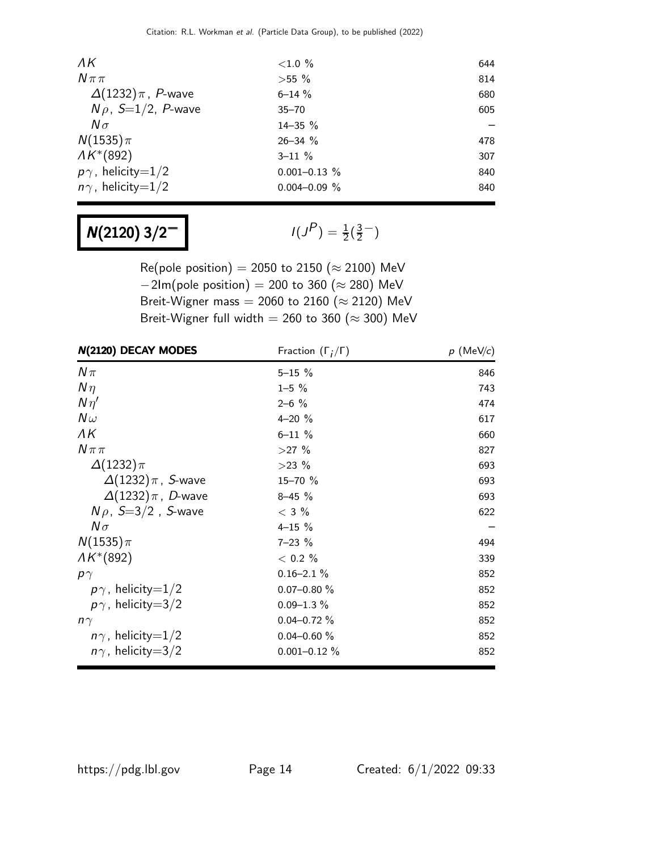| $\Lambda K$                | ${<}1.0%$         | 644 |
|----------------------------|-------------------|-----|
| $N\pi\pi$                  | $>55\%$           | 814 |
| $\Delta(1232)\pi$ , P-wave | $6 - 14 \%$       | 680 |
| $N\rho$ , S=1/2, P-wave    | $35 - 70$         | 605 |
| $N\sigma$                  | $14 - 35 \%$      |     |
| $N(1535)\pi$               | $26 - 34$ %       | 478 |
| $AK*(892)$                 | $3 - 11 \%$       | 307 |
| $p\gamma$ , helicity=1/2   | $0.001 - 0.13$ %  | 840 |
| $n\gamma$ , helicity=1/2   | $0.004 - 0.09 \%$ | 840 |

# $N(2120)$  3/2<sup>-1</sup>

 $P$ ) =  $\frac{1}{2}(\frac{3}{2})$  $\frac{3}{2}$ <sup>-</sup>)

Re(pole position) = 2050 to 2150 ( $\approx$  2100) MeV  $-2$ Im(pole position) = 200 to 360 ( $\approx$  280) MeV Breit-Wigner mass = 2060 to 2160 ( $\approx$  2120) MeV Breit-Wigner full width = 260 to 360 ( $\approx$  300) MeV

| N(2120) DECAY MODES        | Fraction $(\Gamma_i/\Gamma)$ | $p$ (MeV/c) |
|----------------------------|------------------------------|-------------|
| $N\pi$                     | $5 - 15 \%$                  | 846         |
| $N\eta$                    | $1 - 5 \%$                   | 743         |
| $N\eta'$                   | $2 - 6$ %                    | 474         |
| $N\omega$                  | $4 - 20 %$                   | 617         |
| ΛK                         | $6 - 11 \%$                  | 660         |
| $N \pi \pi$                | $>27\%$                      | 827         |
| $\Delta(1232)\pi$          | $>23\%$                      | 693         |
| $\Delta(1232)\pi$ , S-wave | 15-70 %                      | 693         |
| $\Delta(1232)\pi$ , D-wave | $8 - 45 \%$                  | 693         |
| $N\rho$ , S=3/2, S-wave    | $<$ 3 $%$                    | 622         |
| $N\sigma$                  | $4 - 15 \%$                  |             |
| $N(1535)\pi$               | $7 - 23 \%$                  | 494         |
| $AK*(892)$                 | $< 0.2 \%$                   | 339         |
| $p\gamma$                  | $0.16 - 2.1 \%$              | 852         |
| $p\gamma$ , helicity=1/2   | $0.07 - 0.80 \%$             | 852         |
| $p\gamma$ , helicity=3/2   | $0.09 - 1.3 \%$              | 852         |
| $n\gamma$                  | $0.04 - 0.72 \%$             | 852         |
| $n\gamma$ , helicity=1/2   | $0.04 - 0.60 \%$             | 852         |
| $n\gamma$ , helicity=3/2   | $0.001 - 0.12 \%$            | 852         |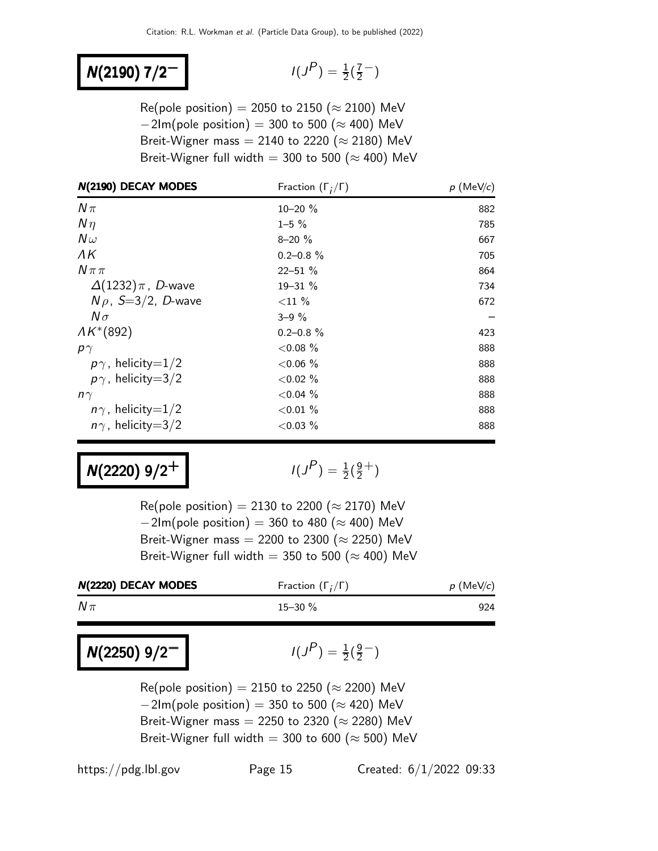#### N(2190) 7/2<sup>-</sup>

$$
I(J^P) = \frac{1}{2}(\frac{7}{2}^-)
$$

Re(pole position) = 2050 to 2150 ( $\approx$  2100) MeV  $-2$ Im(pole position) = 300 to 500 ( $\approx$  400) MeV Breit-Wigner mass = 2140 to 2220 ( $\approx$  2180) MeV Breit-Wigner full width = 300 to 500 ( $\approx$  400) MeV

| N(2190) DECAY MODES        | Fraction $(\Gamma_i/\Gamma)$ | $p$ (MeV/c) |
|----------------------------|------------------------------|-------------|
| $N\pi$                     | $10 - 20 \%$                 | 882         |
| $N\eta$                    | $1 - 5 \%$                   | 785         |
| $N\omega$                  | $8 - 20 \%$                  | 667         |
| ΛK                         | $0.2 - 0.8 \%$               | 705         |
| $N\pi\pi$                  | $22 - 51 \%$                 | 864         |
| $\Delta(1232)\pi$ , D-wave | $19 - 31 \%$                 | 734         |
| $N\rho$ , S=3/2, D-wave    | ${<}11\%$                    | 672         |
| $N\sigma$                  | $3 - 9\%$                    |             |
| $AK^*(892)$                | $0.2 - 0.8 \%$               | 423         |
| $p\gamma$                  | ${<}0.08\%$                  | 888         |
| $p\gamma$ , helicity=1/2   | $<0.06\%$                    | 888         |
| $p\gamma$ , helicity=3/2   | ${<}0.02%$                   | 888         |
| $n\gamma$                  | $<0.04\%$                    | 888         |
| $n\gamma$ , helicity=1/2   | ${<}0.01\%$                  | 888         |
| $n\gamma$ , helicity=3/2   | ${<}0.03\%$                  | 888         |

### $N(2220)$  9/2<sup>+</sup>

 $P$ ) =  $\frac{1}{2}(\frac{9}{2})$  $\frac{9}{2}$ <sup>+</sup>)

Re(pole position) = 2130 to 2200 ( $\approx$  2170) MeV  $-2$ Im(pole position) = 360 to 480 ( $\approx$  400) MeV Breit-Wigner mass = 2200 to 2300 ( $\approx$  2250) MeV Breit-Wigner full width = 350 to 500 ( $\approx$  400) MeV

| N(2220) DECAY MODES | Fraction $(\Gamma_i/\Gamma)$ | $p$ (MeV/c) |
|---------------------|------------------------------|-------------|
| $N\pi$              | $15 - 30 \%$                 | 924         |
|                     |                              |             |

N(2250) 9/2<sup>-1</sup>

 $P$ ) =  $\frac{1}{2}(\frac{9}{2})$  $\frac{9}{2}$   $^{-}$ )

Re(pole position) = 2150 to 2250 ( $\approx$  2200) MeV  $-2$ Im(pole position) = 350 to 500 ( $\approx$  420) MeV Breit-Wigner mass = 2250 to 2320 ( $\approx$  2280) MeV Breit-Wigner full width = 300 to 600 ( $\approx$  500) MeV

https://pdg.lbl.gov Page 15 Created: 6/1/2022 09:33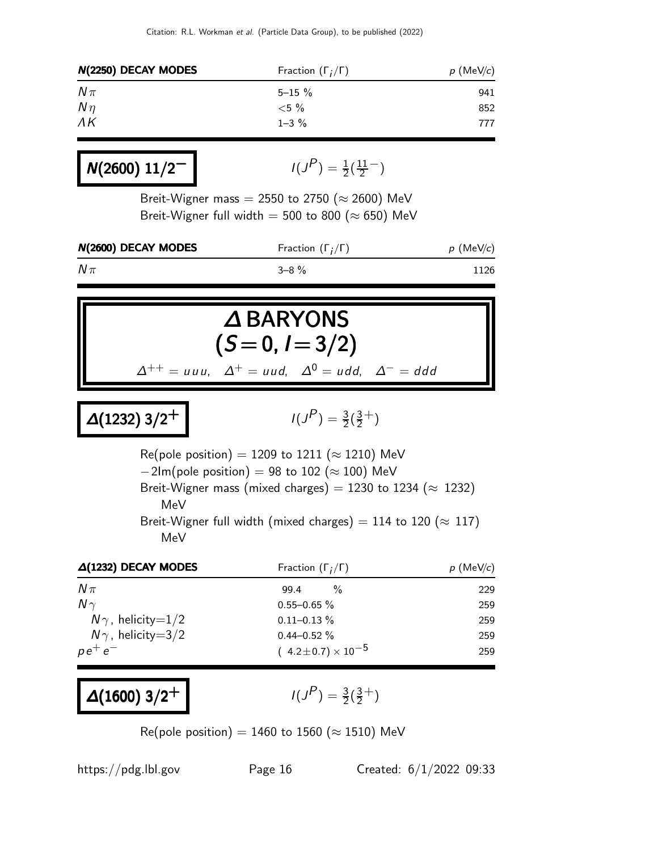| N(2250) DECAY MODES | Fraction $(\Gamma_i/\Gamma)$ | $p$ (MeV/c) |
|---------------------|------------------------------|-------------|
| $N\pi$              | $5 - 15 \%$                  | 941         |
| $N\eta$             | ${<}5\%$                     | 852         |
| $\Lambda K$         | $1 - 3 \%$                   | 777         |

$$
N(2600) 11/2^ I(J^P) = \frac{1}{2}(\frac{11}{2}^-)
$$

Breit-Wigner mass = 2550 to 2750 ( $\approx$  2600) MeV Breit-Wigner full width = 500 to 800 ( $\approx$  650) MeV

| N(2600) DECAY MODES | Fraction $(\Gamma_i/\Gamma)$ | $p \text{ (MeV/}c)$ |
|---------------------|------------------------------|---------------------|
| $N\pi$              | $3 - 8 \%$                   | 1126                |

# ∆ BARYONS  $(S = 0, I = 3/2)$

 $\Delta^{++}$  = uuu,  $\Delta^{+}$  = uud,  $\Delta^{0}$  = udd,  $\Delta^{-}$  = ddd

$$
\Delta(1232) 3/2^+ \qquad \qquad
$$

 $P$ ) =  $\frac{3}{2}(\frac{3}{2})$  $\frac{3}{2}$ <sup>+</sup>)

Re(pole position) = 1209 to 1211 ( $\approx$  1210) MeV  $-2$ Im(pole position) = 98 to 102 ( $\approx$  100) MeV Breit-Wigner mass (mixed charges) = 1230 to 1234 ( $\approx$  1232) MeV Breit-Wigner full width (mixed charges) = 114 to 120 ( $\approx$  117) MeV

| $\Delta(1232)$ DECAY MODES | Fraction $(\Gamma_i/\Gamma)$   | $p$ (MeV/c) |
|----------------------------|--------------------------------|-------------|
| $N\pi$                     | $\frac{0}{0}$<br>99.4          | 229         |
| $N \gamma$                 | $0.55 - 0.65 \%$               | 259         |
| $N\gamma$ , helicity=1/2   | $0.11 - 0.13 \%$               | 259         |
| $N\gamma$ , helicity=3/2   | $0.44 - 0.52 \%$               | 259         |
| $p e^+ e^-$                | $(4.2 \pm 0.7) \times 10^{-5}$ | 259         |

```
\Delta(1600) 3/2<sup>+</sup>
```
 $P$ ) =  $\frac{3}{2}(\frac{3}{2})$  $\frac{3}{2}$ <sup>+</sup>)

Re(pole position) = 1460 to 1560 ( $\approx$  1510) MeV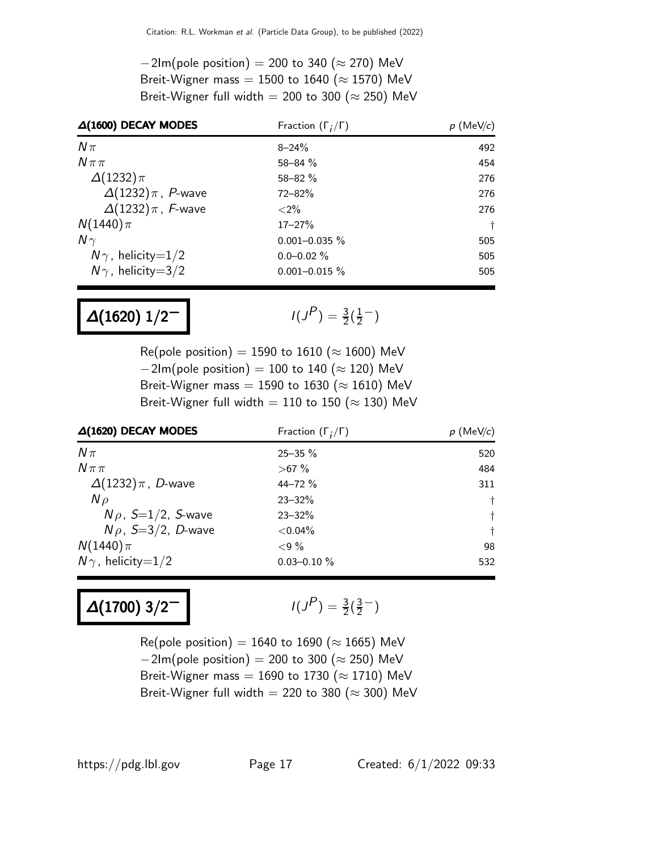$-2$ Im(pole position) = 200 to 340 ( $\approx$  270) MeV Breit-Wigner mass = 1500 to 1640 ( $\approx$  1570) MeV Breit-Wigner full width = 200 to 300 ( $\approx$  250) MeV

| $\Delta(1600)$ DECAY MODES | Fraction $(\Gamma_i/\Gamma)$ | $p$ (MeV/c) |
|----------------------------|------------------------------|-------------|
| $N\pi$                     | $8 - 24%$                    | 492         |
| $N\pi\pi$                  | $58 - 84 \%$                 | 454         |
| $\Delta(1232)\pi$          | $58 - 82 \%$                 | 276         |
| $\Delta(1232)\pi$ , P-wave | $72 - 82%$                   | 276         |
| $\Delta(1232)\pi$ , F-wave | ${<}2\%$                     | 276         |
| $N(1440)\pi$               | $17 - 27%$                   | $\ddagger$  |
| $N\gamma$                  | $0.001 - 0.035 \%$           | 505         |
| $N\gamma$ , helicity=1/2   | $0.0 - 0.02 \%$              | 505         |
| $N\gamma$ , helicity=3/2   | $0.001 - 0.015 \%$           | 505         |

# $\Delta(1620)$   $1/2^-$

 $P$ ) =  $\frac{3}{2}(\frac{1}{2})$  $\frac{1}{2}$   $^{-}$ )

Re(pole position) = 1590 to 1610 ( $\approx$  1600) MeV  $-2$ Im(pole position) = 100 to 140 ( $\approx$  120) MeV Breit-Wigner mass = 1590 to 1630 ( $\approx$  1610) MeV Breit-Wigner full width = 110 to 150 ( $\approx$  130) MeV

| $\Delta(1620)$ DECAY MODES | Fraction $(\Gamma_i/\Gamma)$ | $p$ (MeV/c) |
|----------------------------|------------------------------|-------------|
| $N\pi$                     | $25 - 35 \%$                 | 520         |
| $N\pi\pi$                  | $>67\%$                      | 484         |
| $\Delta(1232)\pi$ , D-wave | $44 - 72%$                   | 311         |
| $N \rho$                   | $23 - 32%$                   | $\ddagger$  |
| $N\rho$ , S=1/2, S-wave    | $23 - 32%$                   | Ť           |
| $N\rho$ , S=3/2, D-wave    | $< 0.04\%$                   | Ť           |
| $N(1440)\pi$               | ${<}9\%$                     | 98          |
| $N\gamma$ , helicity=1/2   | $0.03 - 0.10 \%$             | 532         |

### $\Delta(1700)$  3/2<sup>-1</sup>

$$
I(J^P) = \frac{3}{2}(\frac{3}{2}^-)
$$

Re(pole position) = 1640 to 1690 ( $\approx$  1665) MeV  $-2$ Im(pole position) = 200 to 300 ( $\approx$  250) MeV Breit-Wigner mass = 1690 to 1730 ( $\approx$  1710) MeV Breit-Wigner full width = 220 to 380 ( $\approx$  300) MeV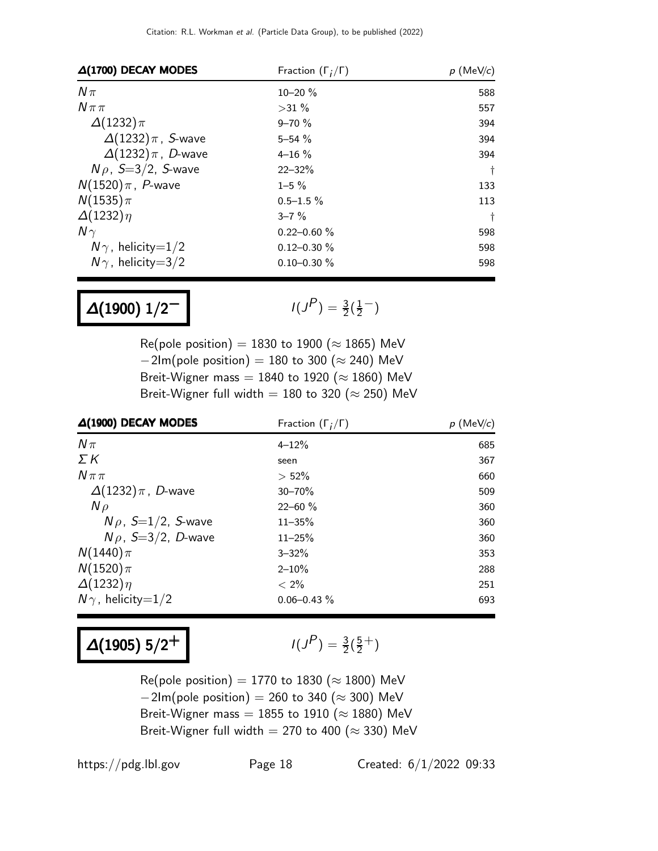| $\Delta(1700)$ DECAY MODES | Fraction $(\Gamma_i/\Gamma)$ | $p$ (MeV/c) |
|----------------------------|------------------------------|-------------|
| $N\pi$                     | $10 - 20 \%$                 | 588         |
| $N\pi\pi$                  | $>31\%$                      | 557         |
| $\Delta(1232)\pi$          | $9 - 70 \%$                  | 394         |
| $\Delta(1232)\pi$ , S-wave | $5 - 54 \%$                  | 394         |
| $\Delta(1232)\pi$ , D-wave | $4 - 16 \%$                  | 394         |
| $N\rho$ , S=3/2, S-wave    | $22 - 32%$                   | $\ddagger$  |
| $N(1520)\pi$ , P-wave      | $1 - 5 \%$                   | 133         |
| $N(1535)\pi$               | $0.5 - 1.5 \%$               | 113         |
| $\Delta(1232)\eta$         | $3 - 7\%$                    | Ť           |
| $N\gamma$                  | $0.22 - 0.60 \%$             | 598         |
| $N\gamma$ , helicity=1/2   | $0.12 - 0.30 \%$             | 598         |
| $N\gamma$ , helicity=3/2   | $0.10 - 0.30 \%$             | 598         |

### $\Delta(1900)$   $1/2^-$

$$
I(J^P) = \frac{3}{2}(\frac{1}{2}^-)
$$

Re(pole position) = 1830 to 1900 ( $\approx$  1865) MeV  $-2$ Im(pole position) = 180 to 300 ( $\approx$  240) MeV Breit-Wigner mass = 1840 to 1920 ( $\approx$  1860) MeV Breit-Wigner full width = 180 to 320 ( $\approx$  250) MeV

| $\Delta(1900)$ DECAY MODES  | Fraction $(\Gamma_i/\Gamma)$ | $p$ (MeV/c) |
|-----------------------------|------------------------------|-------------|
| $N\pi$                      | $4 - 12%$                    | 685         |
| ΣΚ                          | seen                         | 367         |
| $N\pi\pi$                   | $> 52\%$                     | 660         |
| $\Delta(1232)\pi$ , D-wave  | $30 - 70%$                   | 509         |
| $N \rho$                    | $22 - 60 \%$                 | 360         |
| $N \rho$ , $S=1/2$ , S-wave | $11 - 35%$                   | 360         |
| $N\rho$ , S=3/2, D-wave     | $11 - 25%$                   | 360         |
| $N(1440)\pi$                | $3 - 32%$                    | 353         |
| $N(1520)\pi$                | $2 - 10\%$                   | 288         |
| $\Delta(1232)\eta$          | $< 2\%$                      | 251         |
| $N\gamma$ , helicity=1/2    | $0.06 - 0.43 \%$             | 693         |

 $\Delta(1905)$  5/2<sup>+</sup>

$$
I(J^P) = \frac{3}{2}(\frac{5}{2}^+)
$$

Re(pole position) = 1770 to 1830 ( $\approx$  1800) MeV  $-2\text{Im}(\text{pole position}) = 260 \text{ to } 340 \approx 300$ ) MeV Breit-Wigner mass = 1855 to 1910 ( $\approx$  1880) MeV Breit-Wigner full width = 270 to 400 ( $\approx$  330) MeV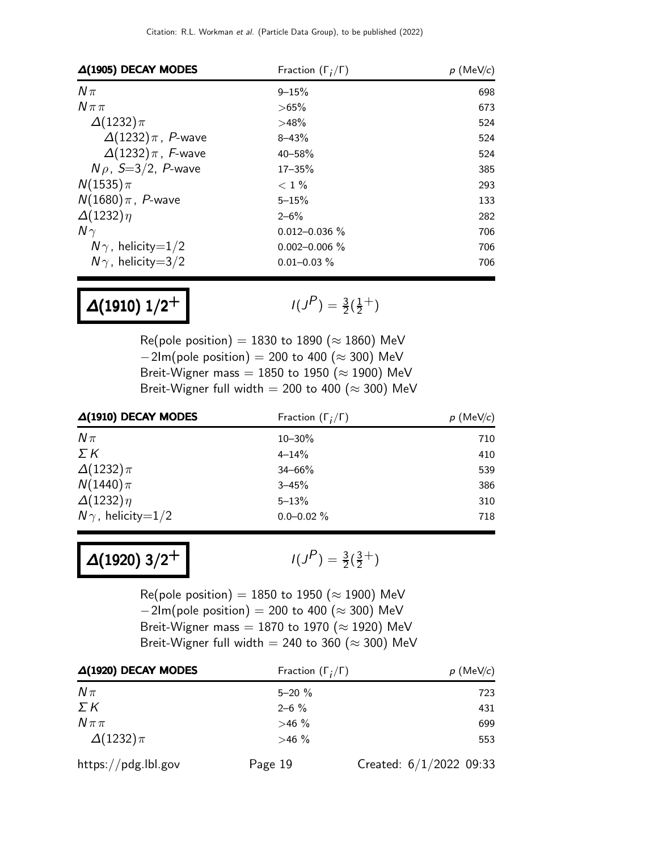| $\Delta(1905)$ DECAY MODES | Fraction $(\Gamma_i/\Gamma)$ | $p$ (MeV/c) |
|----------------------------|------------------------------|-------------|
| $N\pi$                     | $9 - 15%$                    | 698         |
| $N\pi\pi$                  | $>65\%$                      | 673         |
| $\Delta(1232)\pi$          | >48%                         | 524         |
| $\Delta(1232)\pi$ , P-wave | $8 - 43%$                    | 524         |
| $\Delta(1232)\pi$ , F-wave | $40 - 58%$                   | 524         |
| $N\rho$ , S=3/2, P-wave    | $17 - 35%$                   | 385         |
| $N(1535)\pi$               | $< 1\%$                      | 293         |
| $N(1680)\pi$ , P-wave      | $5 - 15%$                    | 133         |
| $\Delta(1232)\eta$         | $2 - 6\%$                    | 282         |
| $N\gamma$                  | $0.012 - 0.036 \%$           | 706         |
| $N\gamma$ , helicity=1/2   | $0.002 - 0.006$ %            | 706         |
| $N\gamma$ , helicity=3/2   | $0.01 - 0.03 \%$             | 706         |

# $\Delta(1910)$   $1/2^+$

 $P$ ) =  $\frac{3}{2}(\frac{1}{2})$  $(\frac{1}{2}^{+})$ 

Re(pole position) = 1830 to 1890 ( $\approx$  1860) MeV  $-2$ Im(pole position) = 200 to 400 ( $\approx$  300) MeV Breit-Wigner mass = 1850 to 1950 ( $\approx$  1900) MeV Breit-Wigner full width = 200 to 400 ( $\approx$  300) MeV

| $\Delta(1910)$ DECAY MODES | Fraction $(\Gamma_i/\Gamma)$ | $p$ (MeV/c) |  |
|----------------------------|------------------------------|-------------|--|
| $N\pi$                     | $10 - 30\%$                  | 710         |  |
| ΣΚ                         | $4 - 14%$                    | 410         |  |
| $\Delta(1232)\pi$          | $34 - 66%$                   | 539         |  |
| $N(1440)\pi$               | $3 - 45%$                    | 386         |  |
| $\Delta(1232)\eta$         | $5 - 13%$                    | 310         |  |
| $N\gamma$ , helicity=1/2   | $0.0 - 0.02 \%$              | 718         |  |

 $\Delta(1920)$  3/2<sup>+</sup>

 $P$ ) =  $\frac{3}{2}(\frac{3}{2})$  $\frac{3}{2}$ <sup>+</sup>)

Re(pole position) = 1850 to 1950 ( $\approx$  1900) MeV  $-2$ Im(pole position) = 200 to 400 ( $\approx$  300) MeV Breit-Wigner mass = 1870 to 1970 ( $\approx$  1920) MeV Breit-Wigner full width = 240 to 360 ( $\approx$  300) MeV

| $\Delta(1920)$ DECAY MODES | Fraction $(\Gamma_i/\Gamma)$ | $p$ (MeV/c)               |
|----------------------------|------------------------------|---------------------------|
| $N\pi$                     | $5 - 20 \%$                  | 723                       |
| ΣΚ                         | $2 - 6 \%$                   | 431                       |
| $N\pi\pi$                  | $>46\%$                      | 699                       |
| $\Delta(1232)\pi$          | $>46\%$                      | 553                       |
| https://pdg.lbl.gov        | Page 19                      | Created: $6/1/2022$ 09:33 |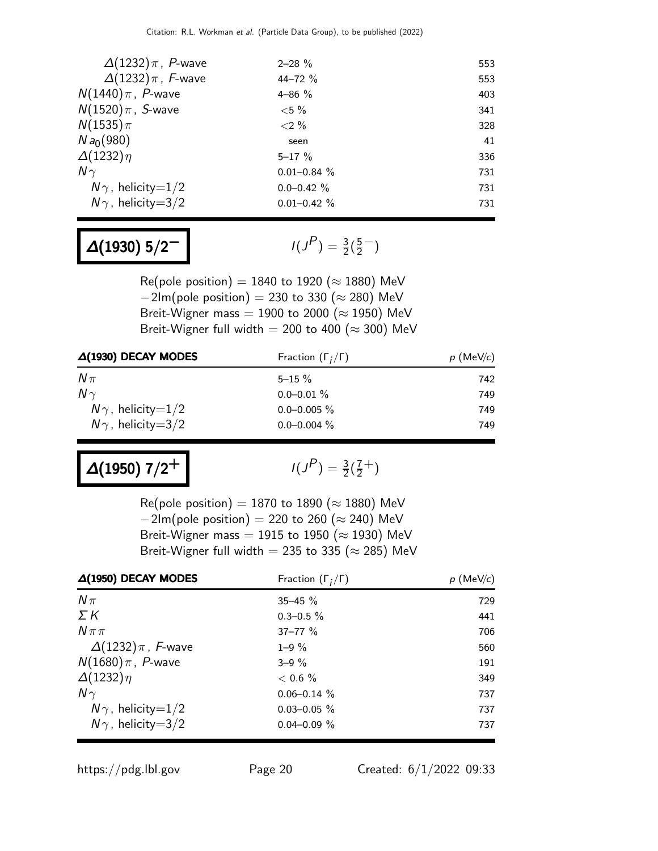| $\Delta(1232)\pi$ , P-wave | $2 - 28 \%$      | 553 |
|----------------------------|------------------|-----|
| $\Delta(1232)\pi$ , F-wave | $44 - 72$ %      | 553 |
| $N(1440)\pi$ , P-wave      | $4 - 86 \%$      | 403 |
| $N(1520)\pi$ , S-wave      | ${<}5\%$         | 341 |
| $N(1535)\pi$               | ${<}2\%$         | 328 |
| Na <sub>0</sub> (980)      | seen             | 41  |
| $\Delta(1232)\eta$         | $5 - 17 \%$      | 336 |
| $N\gamma$                  | $0.01 - 0.84 \%$ | 731 |
| $N\gamma$ , helicity=1/2   | $0.0 - 0.42 \%$  | 731 |
| $N\gamma$ , helicity=3/2   | $0.01 - 0.42 \%$ | 731 |

# $\Delta(1930)$  5/2<sup>-1</sup>

 $P$ ) =  $\frac{3}{2}(\frac{5}{2})$  $\frac{5}{2}$  – )

Re(pole position) = 1840 to 1920 ( $\approx$  1880) MeV  $-2$ Im(pole position) = 230 to 330 ( $\approx$  280) MeV Breit-Wigner mass = 1900 to 2000 ( $\approx$  1950) MeV Breit-Wigner full width = 200 to 400 ( $\approx$  300) MeV

| $\Delta(1930)$ DECAY MODES | Fraction $(\Gamma_i/\Gamma)$ | $p$ (MeV/c) |
|----------------------------|------------------------------|-------------|
| $N\pi$                     | $5 - 15 \%$                  | 742         |
| $N\gamma$                  | $0.0 - 0.01 \%$              | 749         |
| $N\gamma$ , helicity=1/2   | $0.0 - 0.005 \%$             | 749         |
| $N\gamma$ , helicity=3/2   | $0.0 - 0.004 \%$             | 749         |

 $\Delta(1950)$  7/2<sup>+</sup>

$$
I(J^P) = \frac{3}{2}(\frac{7}{2}^+)
$$

Re(pole position) = 1870 to 1890 ( $\approx$  1880) MeV  $-2$ Im(pole position) = 220 to 260 ( $\approx$  240) MeV Breit-Wigner mass = 1915 to 1950 ( $\approx$  1930) MeV Breit-Wigner full width = 235 to 335 ( $\approx$  285) MeV

| $\Delta(1950)$ DECAY MODES | Fraction $(\Gamma_i/\Gamma)$ | $p$ (MeV/c) |
|----------------------------|------------------------------|-------------|
| $N\pi$                     | $35 - 45 \%$                 | 729         |
| ΣΚ                         | $0.3 - 0.5 \%$               | 441         |
| $N \pi \pi$                | $37 - 77$ %                  | 706         |
| $\Delta(1232)\pi$ , F-wave | $1 - 9\%$                    | 560         |
| $N(1680)\pi$ , P-wave      | $3 - 9\%$                    | 191         |
| $\Delta(1232)\eta$         | $< 0.6 \%$                   | 349         |
| $N\gamma$                  | $0.06 - 0.14$ %              | 737         |
| $N\gamma$ , helicity=1/2   | $0.03 - 0.05 \%$             | 737         |
| $N\gamma$ , helicity=3/2   | $0.04 - 0.09 \%$             | 737         |

https://pdg.lbl.gov Page 20 Created: 6/1/2022 09:33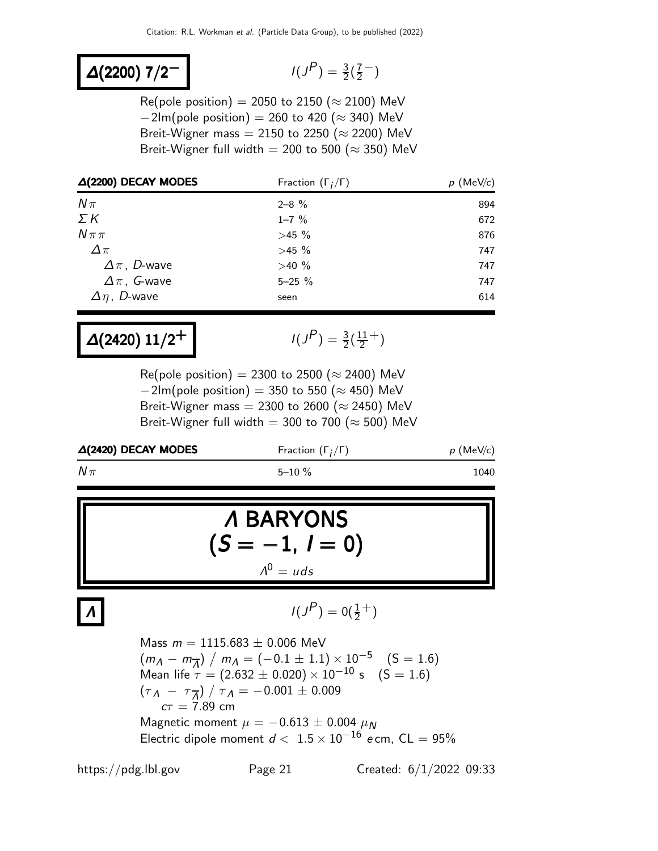### <sup>∆</sup>(2200) 7/2<sup>−</sup> <sup>I</sup>(<sup>J</sup>

$$
I(J^P) = \frac{3}{2}(\frac{7}{2}^-)
$$

Re(pole position) = 2050 to 2150 ( $\approx$  2100) MeV  $-2$ Im(pole position) = 260 to 420 ( $\approx$  340) MeV Breit-Wigner mass = 2150 to 2250 ( $\approx$  2200) MeV Breit-Wigner full width = 200 to 500 ( $\approx$  350) MeV

| $\Delta(2200)$ DECAY MODES | Fraction $(\Gamma_i/\Gamma)$ | $p$ (MeV/c) |
|----------------------------|------------------------------|-------------|
| $N\pi$                     | $2 - 8 \%$                   | 894         |
| $\Sigma K$                 | $1 - 7 \%$                   | 672         |
| $N \pi \pi$                | >45%                         | 876         |
| $\Delta \pi$               | >45%                         | 747         |
| $\Delta \pi$ , D-wave      | $>40\%$                      | 747         |
| $\Delta \pi$ , G-wave      | $5 - 25 \%$                  | 747         |
| $\Delta \eta$ , D-wave     | seen                         | 614         |

$$
\Delta(2420) 11/2^+
$$

$$
I(J^P) = \frac{3}{2}(\frac{11}{2}^+)
$$

Re(pole position) = 2300 to 2500 ( $\approx$  2400) MeV  $-2$ Im(pole position) = 350 to 550 ( $\approx$  450) MeV Breit-Wigner mass = 2300 to 2600 ( $\approx$  2450) MeV Breit-Wigner full width = 300 to 700 ( $\approx$  500) MeV

| $\Delta(2420)$ DECAY MODES | Fraction $(\Gamma_i/\Gamma)$ | $p$ (MeV/c) |
|----------------------------|------------------------------|-------------|
| $N\pi$                     | $5 - 10 \%$                  | 1040        |

$$
\mathbf{A} \text{ BARYONS} \n(S = -1, I = 0) \n\frac{\lambda^0 = u ds}
$$

 $\Lambda$  |  $\qquad \qquad$  |  $\qquad \qquad$  |  $\qquad \qquad$  |  $\qquad \qquad$  |  $\qquad \qquad$  |  $\qquad \qquad$  |  $\qquad \qquad$  |  $\qquad \qquad$  |  $\qquad \qquad$  |  $\qquad \qquad$  |  $\qquad \qquad$  |  $\qquad \qquad$  |  $\qquad \qquad$  |  $\qquad \qquad$  |  $\qquad \qquad$  |  $\qquad \qquad$  |  $\qquad \qquad$  |  $\qquad \qquad$  |  $\qquad \qquad$  |  $\qquad \$ 

$$
I(J^P)=0(\tfrac{1}{2}^+)
$$

Mass  $m = 1115.683 \pm 0.006$  MeV  $(m_A - m_{\overline{A}}) / m_A = (-0.1 \pm 1.1) \times 10^{-5}$  (S = 1.6) Mean life  $\tau = (2.632 \pm 0.020) \times 10^{-10}$  s  $(S = 1.6)$  $\left(\tau_{\,{\bm \Lambda}}\ -\ \tau_{\,\overline{\bm \Lambda}}\right)\ /\ \tau_{\,{\bm \Lambda}} = -\,0.001\,\pm\,0.009$  $c\tau = 7.89$  cm Magnetic moment  $\mu = -0.613 \pm 0.004 \mu_N$ Electric dipole moment  $d < 1.5 \times 10^{-16}$  e cm, CL = 95%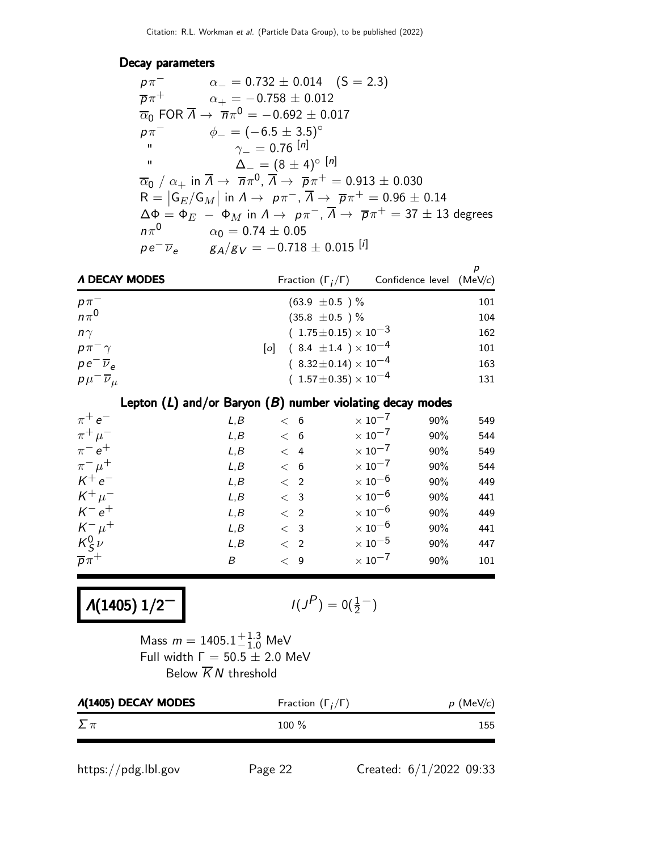#### Decay parameters

| $p\pi^-$            | $\alpha_{-} = 0.732 \pm 0.014 \quad (S = 2.3)$                                                                                                                      |
|---------------------|---------------------------------------------------------------------------------------------------------------------------------------------------------------------|
| $\overline{p}\pi^+$ | $\alpha_{+} = -0.758 \pm 0.012$                                                                                                                                     |
|                     | $\overline{\alpha}_0$ FOR $\overline{\Lambda} \rightarrow \overline{n}\pi^0 = -0.692 \pm 0.017$                                                                     |
| $p\pi^-$            | $\phi_- = (-6.5 \pm 3.5)$ <sup>o</sup>                                                                                                                              |
| $\blacksquare$      | $\gamma_- = 0.76^{[n]}$                                                                                                                                             |
| $\mathbf{H}$        | $\Delta_{-} = (8 \pm 4)^{\circ}$ [n]                                                                                                                                |
|                     | $\overline{\alpha}_0$ / $\alpha_+$ in $\overline{\Lambda}$ $\rightarrow \overline{n}\pi^0$ , $\overline{\Lambda}$ $\rightarrow \overline{p}\pi^+ = 0.913 \pm 0.030$ |
|                     | $R =  G_E/G_M $ in $\Lambda \to p\pi^-$ , $\overline{\Lambda} \to \overline{p}\pi^+ = 0.96 \pm 0.14$                                                                |
|                     | $\Delta \Phi = \Phi_E - \Phi_M$ in $\Lambda \to p\pi^-$ , $\overline{\Lambda} \to \overline{p}\pi^+ = 37 \pm 13$ degrees                                            |
| $n\pi^0$            | $\alpha_0 = 0.74 \pm 0.05$                                                                                                                                          |
|                     | $p e^{-} \overline{\nu}_e$ $g_A/g_V = -0.718 \pm 0.015$ [i]                                                                                                         |

| A DECAY MODES                  | Fraction $(\Gamma_i/\Gamma)$                                     | Confidence level (MeV/c) |     |
|--------------------------------|------------------------------------------------------------------|--------------------------|-----|
|                                | $(63.9 \pm 0.5)$ %                                               |                          | 101 |
| $\frac{p\pi}{n\pi^0}$          | $(35.8 \pm 0.5)$ %                                               |                          | 104 |
| $n\gamma$                      | $(1.75 \pm 0.15) \times 10^{-3}$                                 |                          | 162 |
| $p\pi^{-}\gamma$               | $\begin{bmatrix} 0 \end{bmatrix}$ (8.4 ± 1.4) × 10 <sup>-4</sup> |                          | 101 |
| $pe^{-\overline{\nu}_e}$       | $(8.32 \pm 0.14) \times 10^{-4}$                                 |                          | 163 |
| $p\mu^{-}\overline{\nu}_{\mu}$ | $(1.57\pm0.35)\times10^{-4}$                                     |                          | 131 |

#### Lepton  $(L)$  and/or Baryon  $(B)$  number violating decay modes

| $\pi^+e^-$          | L, B | < 6         | $\times$ 10 <sup>-7</sup> | 90% | 549 |
|---------------------|------|-------------|---------------------------|-----|-----|
| $\pi^+ \mu^-$       | L, B | < 6         | $\times$ 10 $^{-7}$       | 90% | 544 |
| $\pi^{-} e^{+}$     | L, B | $\lt$ 4     | $\times$ 10 <sup>-7</sup> | 90% | 549 |
| $\pi^{-} \mu^{+}$   | L, B | < 6         | $\times$ 10 $^{-7}$       | 90% | 544 |
| $K^+e^-$            | L, B | $\langle$ 2 | $\times$ 10 $^{-6}$       | 90% | 449 |
| $K^+\mu^-$          | L, B | $\langle$ 3 | $\times$ 10 $^{-6}$       | 90% | 441 |
| $K^-e^+$            | L, B | $\langle$ 2 | $\times$ 10 $^{-6}$       | 90% | 449 |
| $K^ \mu^+$          | L, B | $\langle$ 3 | $\times$ 10 $^{-6}$       | 90% | 441 |
| $K_S^0$ $\nu$       | L, B | $\langle$ 2 | $\times$ 10 $^{-5}$       | 90% | 447 |
| $\overline{p}\pi^+$ | B    | $\lt$ 9     | $\times$ 10 <sup>-7</sup> | 90% | 101 |

 $Λ(1405) 1/2<sup>-</sup>$ 

$$
I(J^P)=0(\tfrac{1}{2}^-)
$$

Mass  $m = 1405.1^{+1.3}_{-1.0}$  MeV Full width  $\Gamma = 50.5 \pm 2.0$  MeV Below  $\overline{K}N$  threshold

| <b><i>A</i>(1405) DECAY MODES</b> | Fraction $(\Gamma_i/\Gamma)$ | $p$ (MeV/c) |
|-----------------------------------|------------------------------|-------------|
| $\Sigma \pi$                      | $100\%$                      | 155         |

https://pdg.lbl.gov Page 22 Created: 6/1/2022 09:33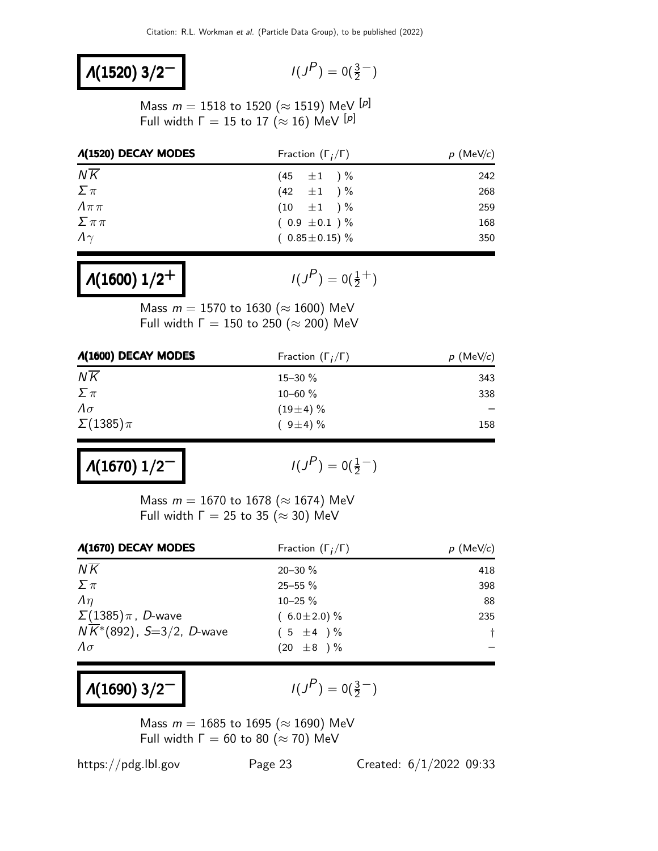#### $Λ(1520)$  3/2<sup>-</sup>

$$
I(J^P)=0(\tfrac{3}{2}^-)
$$

Mass  $m = 1518$  to 1520 ( $\approx$  1519) MeV [ $p$ ] Full width  $\Gamma = 15$  to 17 ( $\approx$  16) MeV [p]

| <b><i>A</i>(1520) DECAY MODES</b> | Fraction $(\Gamma_i/\Gamma)$ | $p$ (MeV/c) |
|-----------------------------------|------------------------------|-------------|
| $N\overline{K}$                   | $(45 \pm 1) \%$              | 242         |
| $\sum \pi$                        | $(42 \pm 1) \%$              | 268         |
| $\Lambda\pi\pi$                   | $(10 \pm 1) \%$              | 259         |
| $\sum \pi \pi$                    | $(0.9 \pm 0.1) \%$           | 168         |
| $\Lambda\gamma$                   | $(0.85 \pm 0.15)$ %          | 350         |

 $Λ(1600)$   $1/2<sup>+</sup>$ 

 $\left(P\right)=0(\frac{1}{2}^+)$ 

Mass  $m = 1570$  to 1630 ( $\approx 1600$ ) MeV Full width  $\Gamma = 150$  to 250 ( $\approx$  200) MeV

| <b>A(1600) DECAY MODES</b> | Fraction $(\Gamma_i/\Gamma)$ | $p$ (MeV/c) |
|----------------------------|------------------------------|-------------|
| $N\overline{K}$            | $15 - 30 \%$                 | 343         |
| $\sum \pi$                 | $10 - 60 \%$                 | 338         |
| $\Lambda \sigma$           | $(19\pm4)\%$                 |             |
| $\Sigma(1385)\pi$          | $(9\pm4)\%$                  | 158         |

 $Λ(1670)$   $1/2^-$ 

$$
I(J^P)=0(\frac{1}{2}^-)
$$

Mass  $m = 1670$  to 1678 ( $\approx 1674$ ) MeV Full width  $\Gamma = 25$  to 35 ( $\approx$  30) MeV

| <b><i>A</i>(1670) DECAY MODES</b>     | Fraction $(\Gamma_i/\Gamma)$ | $p$ (MeV/c) |
|---------------------------------------|------------------------------|-------------|
| $N\overline{K}$                       | $20 - 30 \%$                 | 418         |
| $\sum \pi$                            | 25-55 %                      | 398         |
| $\Lambda$                             | $10 - 25 \%$                 | 88          |
| $\Sigma(1385)\pi$ , D-wave            | $(6.0 \pm 2.0)\%$            | 235         |
| $N\overline{K}$ *(892), S=3/2, D-wave | $(5 \pm 4) \%$               | $\ddagger$  |
| $\Lambda \sigma$                      | $(20 \pm 8) \%$              |             |

### $\Lambda(1690)$  3/2<sup>-1</sup>

 $P$ ) = 0( $\frac{3}{2}$ )

Mass  $m = 1685$  to 1695 ( $\approx 1690$ ) MeV Full width  $\Gamma = 60$  to 80 ( $\approx$  70) MeV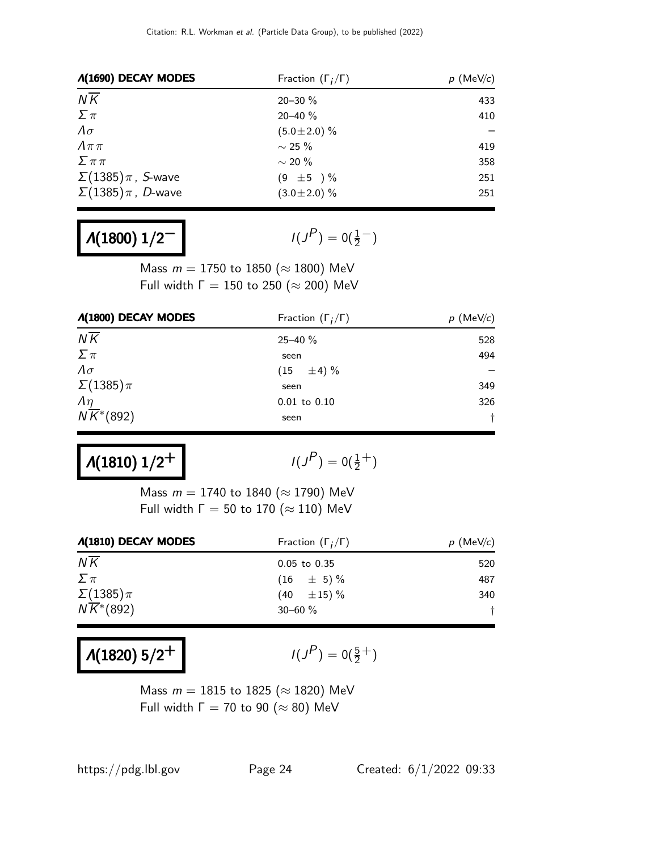| <b><i>A</i>(1690) DECAY MODES</b> | Fraction $(\Gamma_i/\Gamma)$ | $p$ (MeV/c) |
|-----------------------------------|------------------------------|-------------|
| $N\overline{K}$                   | $20 - 30 \%$                 | 433         |
| $\sum \pi$                        | $20 - 40 \%$                 | 410         |
| $\Lambda \sigma$                  | $(5.0 \pm 2.0)$ %            |             |
| $\Lambda \pi \pi$                 | $\sim$ 25 %                  | 419         |
| $\sum \pi \pi$                    | $\sim$ 20 %                  | 358         |
| $\Sigma(1385)\pi$ , S-wave        | $(9 \pm 5) \%$               | 251         |
| $\Sigma(1385)\pi$ , D-wave        | $(3.0 \pm 2.0)$ %            | 251         |

 $Λ(1800)$   $1/2^-$ 

 $P$ ) = 0( $\frac{1}{2}$ <sup>-</sup>)

Mass  $m = 1750$  to 1850 ( $\approx$  1800) MeV Full width  $\Gamma = 150$  to 250 ( $\approx$  200) MeV

| <b><i>A</i>(1800) DECAY MODES</b>  | Fraction $(\Gamma_i/\Gamma)$ | $p \text{ (MeV/}c)$ |
|------------------------------------|------------------------------|---------------------|
| $N\overline{K}$                    | $25 - 40 \%$                 | 528                 |
| $\Sigma \pi$                       | seen                         | 494                 |
| $\Lambda \sigma$                   | $(15 \pm 4)\%$               |                     |
| $\Sigma(1385)\pi$                  | seen                         | 349                 |
| $\Lambda$                          | $0.01$ to $0.10$             | 326                 |
| $N\overline{K}$ <sup>*</sup> (892) | seen                         |                     |

 $Λ(1810)$   $1/2<sup>+</sup>$ 

$$
I(J^P)=0(\tfrac{1}{2}^+)
$$

Mass  $m = 1740$  to 1840 ( $\approx$  1790) MeV Full width  $\Gamma = 50$  to 170 ( $\approx$  110) MeV

| Fraction $(\Gamma_i/\Gamma)$ | $p$ (MeV/c) |
|------------------------------|-------------|
| $0.05$ to $0.35$             | 520         |
| $(16 \pm 5)\%$               | 487         |
| $(40 \pm 15)\%$              | 340         |
| $30 - 60 \%$                 |             |
|                              |             |

 $Λ(1820) 5/2<sup>+</sup>$ 

 $P$ ) = 0( $\frac{5}{2}$ <sup>+</sup>)

Mass  $m = 1815$  to 1825 ( $\approx$  1820) MeV Full width  $\Gamma = 70$  to 90 ( $\approx 80$ ) MeV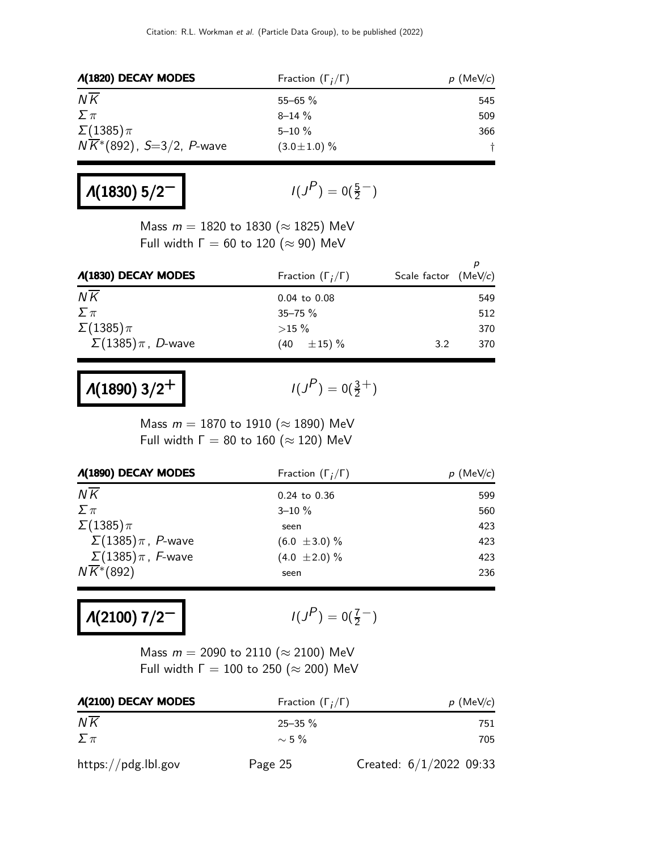| <b>A(1820) DECAY MODES</b>             | Fraction $(\Gamma_i/\Gamma)$ | $p$ (MeV/c) |
|----------------------------------------|------------------------------|-------------|
| $N\overline{K}$                        | $55 - 65 \%$                 | 545         |
| $\sum \pi$                             | $8 - 14 \%$                  | 509         |
| $\Sigma(1385)\pi$                      | $5 - 10 \%$                  | 366         |
| $N\overline{K}^*(892)$ , S=3/2, P-wave | $(3.0 \pm 1.0)$ %            |             |

# $\Lambda$ (1830) 5/2<sup>−</sup>

$$
I(J^P)=0(\tfrac{5}{2}^-)
$$

Mass  $m = 1820$  to 1830 ( $\approx$  1825) MeV Full width  $\Gamma = 60$  to 120 ( $\approx$  90) MeV

| <b><i>A</i>(1830) DECAY MODES</b> | Fraction $(\Gamma_i/\Gamma)$ | Scale factor $(MeV/c)$ |
|-----------------------------------|------------------------------|------------------------|
| $N\overline{K}$                   | $0.04$ to $0.08$             | 549                    |
| $\sum \pi$                        | $35 - 75 \%$                 | 512                    |
| $\Sigma(1385)\pi$                 | $>15\%$                      | 370                    |
| $\Sigma(1385)\pi$ , D-wave        | $\pm 15) \%$<br>(40          | 3.2<br>370             |

# $Λ(1890)$  3/2<sup>+</sup>

 $P$ ) = 0( $\frac{3}{2}$ <sup>+</sup>)

Mass  $m = 1870$  to 1910 ( $\approx$  1890) MeV Full width  $\Gamma = 80$  to 160 ( $\approx$  120) MeV

| <b><i>A</i>(1890) DECAY MODES</b>  | Fraction $(\Gamma_i/\Gamma)$ | $p$ (MeV/c) |
|------------------------------------|------------------------------|-------------|
| $N\overline{K}$                    | $0.24$ to $0.36$             | 599         |
| $\sum \pi$                         | $3 - 10 \%$                  | 560         |
| $\Sigma(1385)\pi$                  | seen                         | 423         |
| $\Sigma(1385)\pi$ , P-wave         | $(6.0 \pm 3.0) \%$           | 423         |
| $\Sigma(1385)\pi$ , F-wave         | $(4.0 \pm 2.0)\%$            | 423         |
| $N\overline{K}$ <sup>*</sup> (892) | seen                         | 236         |

Λ(2100) 7/2<sup>-</sup>

$$
I(J^P)=0(\frac{7}{2}^-)
$$

Mass  $m = 2090$  to 2110 ( $\approx$  2100) MeV Full width  $\Gamma = 100$  to 250 ( $\approx$  200) MeV

| <b><i>A</i>(2100) DECAY MODES</b> | Fraction $(\Gamma_i/\Gamma)$ | $p$ (MeV/c)               |
|-----------------------------------|------------------------------|---------------------------|
| NK                                | $25 - 35 \%$                 | 751                       |
| $\Sigma \pi$                      | $\sim$ 5 %                   | 705                       |
| $\frac{https://pdg.1b1.gov}{%$    | Page 25                      | Created: $6/1/2022$ 09:33 |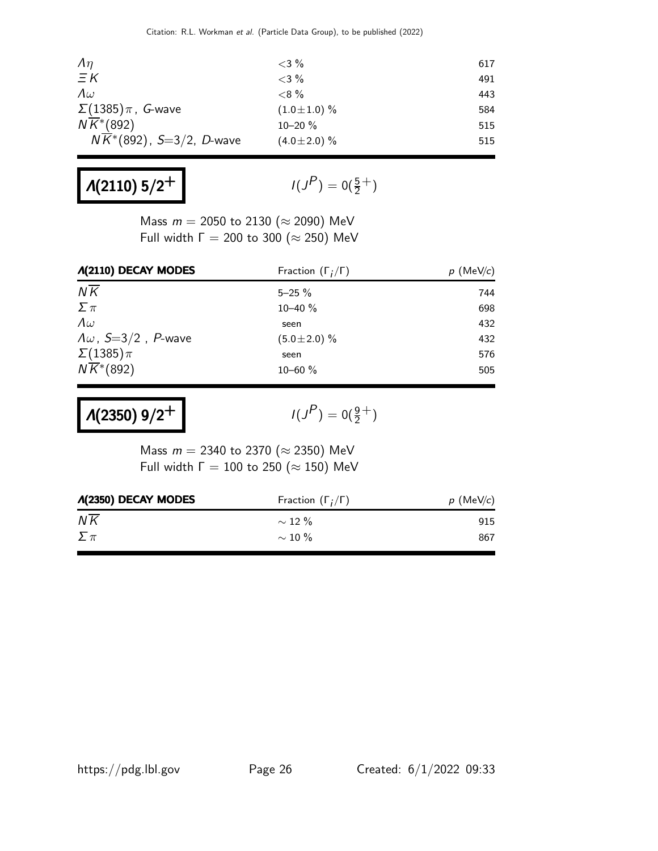| $\Lambda$                             | ${<}3\%$          | 617 |
|---------------------------------------|-------------------|-----|
| $\Xi K$                               | $<$ 3 %           | 491 |
| $\Lambda \omega$                      | $< 8\%$           | 443 |
| $\Sigma(1385)\pi$ , G-wave            | $(1.0 \pm 1.0)$ % | 584 |
| $N\overline{K}$ <sup>*</sup> (892)    | $10 - 20 \%$      | 515 |
| $N\overline{K}$ *(892), S=3/2, D-wave | $(4.0 \pm 2.0)$ % | 515 |

# $\Lambda$ (2110) 5/2<sup>+</sup>

$$
I(J^P)=0(\tfrac{5}{2}^+)
$$

Mass  $m = 2050$  to 2130 ( $\approx$  2090) MeV Full width  $\Gamma = 200$  to 300 ( $\approx 250$ ) MeV

| <b><i>A</i>(2110) DECAY MODES</b>  | Fraction $(\Gamma_i/\Gamma)$ | $p \text{ (MeV/c)}$ |
|------------------------------------|------------------------------|---------------------|
| $N\overline{K}$                    | $5 - 25 \%$                  | 744                 |
| $\Sigma \pi$                       | $10 - 40 \%$                 | 698                 |
| $\Lambda \omega$                   | seen                         | 432                 |
| $\Lambda \omega$ , S=3/2, P-wave   | $(5.0 \pm 2.0)$ %            | 432                 |
| $\Sigma(1385)\pi$                  | seen                         | 576                 |
| $N\overline{K}$ <sup>*</sup> (892) | $10 - 60 \%$                 | 505                 |

 $Λ(2350)$  9/2<sup>+</sup>

 $(P) = 0(\frac{9}{2}^+)$ 

Mass  $m = 2340$  to 2370 ( $\approx$  2350) MeV Full width  $\Gamma = 100$  to 250 ( $\approx$  150) MeV

| <b><i>A</i>(2350) DECAY MODES</b> | Fraction $(\Gamma_i/\Gamma)$ | $p$ (MeV/c) |  |
|-----------------------------------|------------------------------|-------------|--|
| $N\overline{K}$                   | $\sim$ 12 %                  | 915         |  |
| $\Sigma \pi$                      | $\sim$ 10 %                  | 867         |  |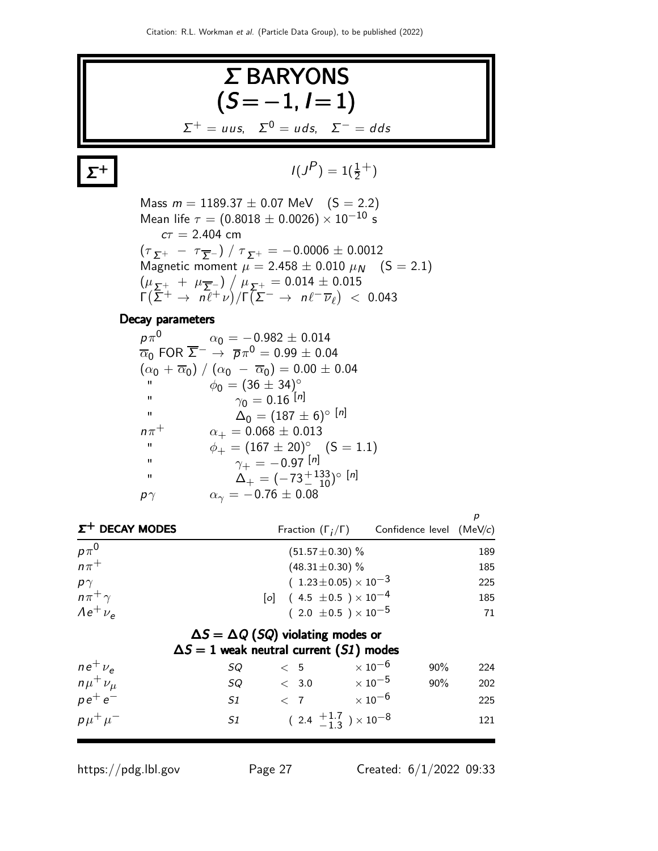

 $pe^+e^+$ − S1 < 7  $\times 10^{-6}$  225  $\rho\mu^+\mu$  $-$  S1 ( 2.4  $+1.7$ )  $^{+1.7}_{-1.3}$  ) × 10<sup>-8</sup> 121

https://pdg.lbl.gov Page 27 Created: 6/1/2022 09:33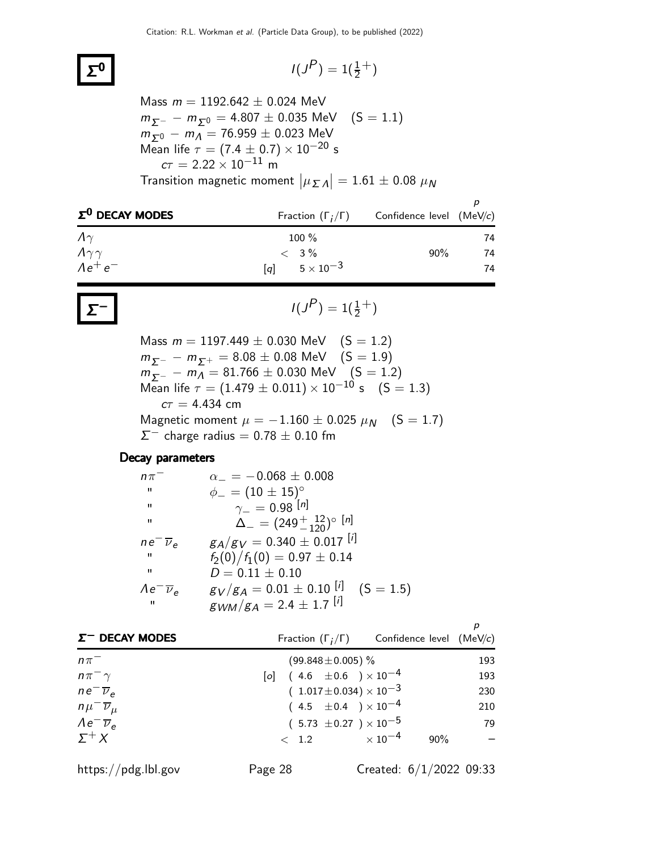### Σ

$$
I(J^P) = 1(\frac{1}{2}^+)
$$

Mass  $m = 1192.642 \pm 0.024$  MeV  $m_{\Sigma^-} - m_{\Sigma^0} = 4.807 \pm 0.035$  MeV (S = 1.1)  $m_{\Sigma^0} - m_A = 76.959 \pm 0.023$  MeV Mean life  $\tau = (7.4 \pm 0.7) \times 10^{-20}$  s  $c\tau = 2.22 \times 10^{-11}$  m Transition magnetic moment  $\big| \mu_{\mathcal{I}} \Lambda \big| = 1.61 \pm 0.08~\mu_{\textit{N}}$ 

| $\Sigma^0$ DECAY MODES |                                       | Fraction $(\Gamma_i/\Gamma)$ Confidence level (MeV/c) |    |
|------------------------|---------------------------------------|-------------------------------------------------------|----|
| $\Lambda\gamma$        | $100\%$                               |                                                       | 74 |
| $\Lambda\gamma\gamma$  | $< 3\%$                               | $90\%$                                                | 74 |
| $Ae^+e^-$              | $5\times10^{-3}$<br>$\lceil a \rceil$ |                                                       | 74 |

$$
I(J^{P}) = 1(\frac{1}{2}^{+})
$$

Mass  $m = 1197.449 \pm 0.030$  MeV  $(S = 1.2)$  $m_{\Sigma^-} - m_{\Sigma^+} = 8.08 \pm 0.08$  MeV  $(S = 1.9)$  $m_{\Sigma^-} - m_A = 81.766 \pm 0.030 \text{ MeV}$  (S = 1.2) Mean life  $\tau = (1.479 \pm 0.011) \times 10^{-10}$  s  $(S = 1.3)$  $c\tau = 4.434$  cm Magnetic moment  $\mu = -1.160 \pm 0.025 \mu_N$  (S = 1.7)  $\Sigma^-$  charge radius = 0.78  $\pm$  0.10 fm

#### Decay parameters

| $n\pi$                         | $\alpha$ = -0.068 $\pm$ 0.008               |
|--------------------------------|---------------------------------------------|
| п                              | $\phi_{-} = (10 \pm 15)^{\circ}$            |
| $\mathbf{H}$                   | $\gamma_- = 0.98$ [n]                       |
| $^{\prime\prime}$              | $\Delta_{-}=(249^{+12}_{-120})^{\circ}$ [n] |
| $ne^-\overline{\nu}_e$         | $g_A/g_V = 0.340 \pm 0.017$ [i]             |
| $^{\prime\prime}$              | $f_2(0)/f_1(0) = 0.97 \pm 0.14$             |
| $^{\prime\prime}$              | $D = 0.11 \pm 0.10$                         |
| $\Lambda e^- \overline{\nu}_e$ | $g_V/g_A = 0.01 \pm 0.10$ [i] (S = 1.5)     |
| $\mathbf{H}$                   | $g_{WM}/g_A = 2.4 \pm 1.7$ [i]              |

| $\Sigma^-$ DECAY MODES         |                                    | Fraction $(\Gamma_i/\Gamma)$ Confidence level (MeV/c) |     |
|--------------------------------|------------------------------------|-------------------------------------------------------|-----|
| $n\pi^-$                       | $(99.848 \pm 0.005)$ %             |                                                       | 193 |
| $n\pi^{-}\gamma$               | [o] $(4.6 \pm 0.6) \times 10^{-4}$ |                                                       | 193 |
| $ne^{-}\overline{\nu}_{\rho}$  | $(1.017 \pm 0.034) \times 10^{-3}$ |                                                       | 230 |
| $n\mu^{-}\overline{\nu}_{\mu}$ | $(4.5 \pm 0.4) \times 10^{-4}$     |                                                       | 210 |
| $\lambda e^- \overline{\nu}_e$ | $(5.73 \pm 0.27) \times 10^{-5}$   |                                                       | 79  |
| $\Sigma^+ X$                   | $\langle 1.2 \rangle$              | $\times$ 10 $^{-4}$<br>90%                            |     |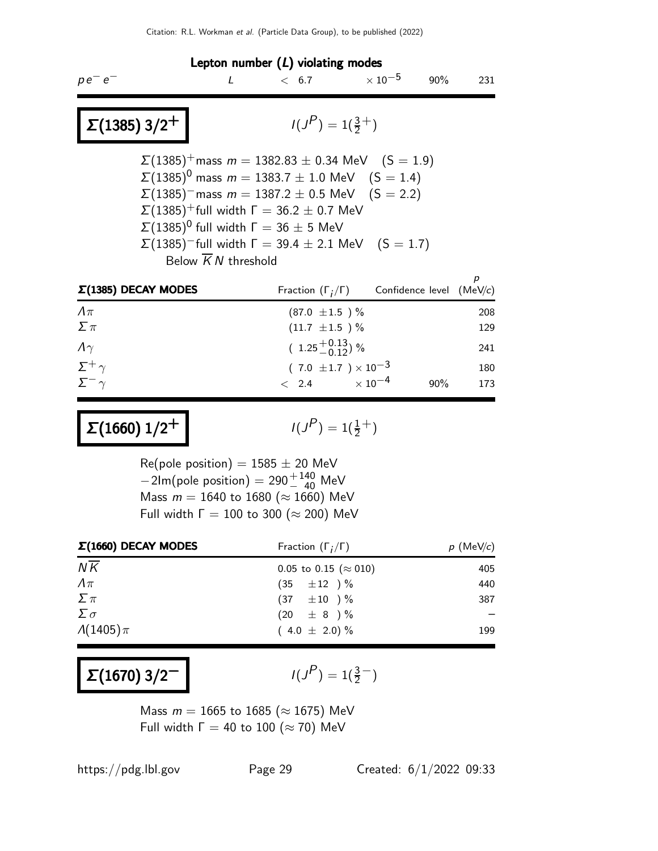| Lepton number $(L)$ violating modes                                                                                                                                                                                                                                                                                                                                                                                                      |                                                     |                                                       |     |            |
|------------------------------------------------------------------------------------------------------------------------------------------------------------------------------------------------------------------------------------------------------------------------------------------------------------------------------------------------------------------------------------------------------------------------------------------|-----------------------------------------------------|-------------------------------------------------------|-----|------------|
| $\prime$<br>$pe^-e^-$                                                                                                                                                                                                                                                                                                                                                                                                                    | < 6.7                                               | $\times$ 10 $^{-5}$                                   | 90% | 231        |
| $\left  \right. \Sigma(1385) 3/2^+ \left. \right $                                                                                                                                                                                                                                                                                                                                                                                       | $I(J^P) = 1(\frac{3}{2}^+)$                         |                                                       |     |            |
| $\Sigma(1385)^+$ mass $m = 1382.83 \pm 0.34$ MeV $(S = 1.9)$<br>$\Sigma(1385)^0$ mass $m = 1383.7 \pm 1.0$ MeV $(S = 1.4)$<br>$\Sigma(1385)$ <sup>-</sup> mass $m = 1387.2 \pm 0.5$ MeV (S = 2.2)<br>$\Sigma(1385)^+$ full width $\Gamma = 36.2 \pm 0.7$ MeV<br>$\Sigma(1385)^{0}$ full width $\Gamma = 36 \pm 5$ MeV<br>$\Sigma(1385)$ <sup>-</sup> full width $\Gamma = 39.4 \pm 2.1$ MeV (S = 1.7)<br>Below $\overline{K}N$ threshold |                                                     |                                                       |     |            |
| $\Sigma(1385)$ DECAY MODES                                                                                                                                                                                                                                                                                                                                                                                                               |                                                     | Fraction $(\Gamma_i/\Gamma)$ Confidence level (MeV/c) |     |            |
| $\Lambda \pi$                                                                                                                                                                                                                                                                                                                                                                                                                            | $(87.0 \pm 1.5)$ %                                  |                                                       |     | 208        |
| $\Sigma \pi$<br>$\Lambda\gamma$                                                                                                                                                                                                                                                                                                                                                                                                          | $(11.7 \pm 1.5)$ %<br>$(1.25\frac{+0.13}{-0.12})$ % |                                                       |     | 129<br>241 |
| $\Sigma^+\gamma$                                                                                                                                                                                                                                                                                                                                                                                                                         |                                                     | $(7.0 \pm 1.7) \times 10^{-3}$                        |     | 180        |
| $\Sigma^ \gamma$                                                                                                                                                                                                                                                                                                                                                                                                                         | $<$ 2.4 $\times 10^{-4}$                            |                                                       | 90% | 173        |
|                                                                                                                                                                                                                                                                                                                                                                                                                                          |                                                     |                                                       |     |            |

 $Σ(1660) 1/2<sup>+</sup>$ 

 $(P) = 1(\frac{1}{2}^+)$ 

 $Re(pole position) = 1585 \pm 20$  MeV  $-2$ lm(pole position) = 290 $^{+\,140}_{-\,40}$  MeV Mass  $m = 1640$  to 1680 ( $\approx 1660$ ) MeV Full width  $\Gamma = 100$  to 300 ( $\approx 200$ ) MeV

| $\Sigma(1660)$ DECAY MODES | Fraction $(\Gamma_i/\Gamma)$  | $p$ (MeV/c) |
|----------------------------|-------------------------------|-------------|
| $N\overline{K}$            | 0.05 to 0.15 ( $\approx$ 010) | 405         |
| $\Lambda \pi$              | $(35 \pm 12)^{\frac{1}{2}}$   | 440         |
| $\sum \pi$                 | $(37 \pm 10) \%$              | 387         |
| $\sum \sigma$              | $(20 \pm 8) \%$               |             |
| $\Lambda(1405)\pi$         | $(4.0 \pm 2.0)\%$             | 199         |

 $Σ(1670)$  3/2<sup>-1</sup>

 $P$ ) = 1( $\frac{3}{2}$ )

Mass  $m = 1665$  to 1685 ( $\approx 1675$ ) MeV Full width  $\Gamma = 40$  to 100 ( $\approx$  70) MeV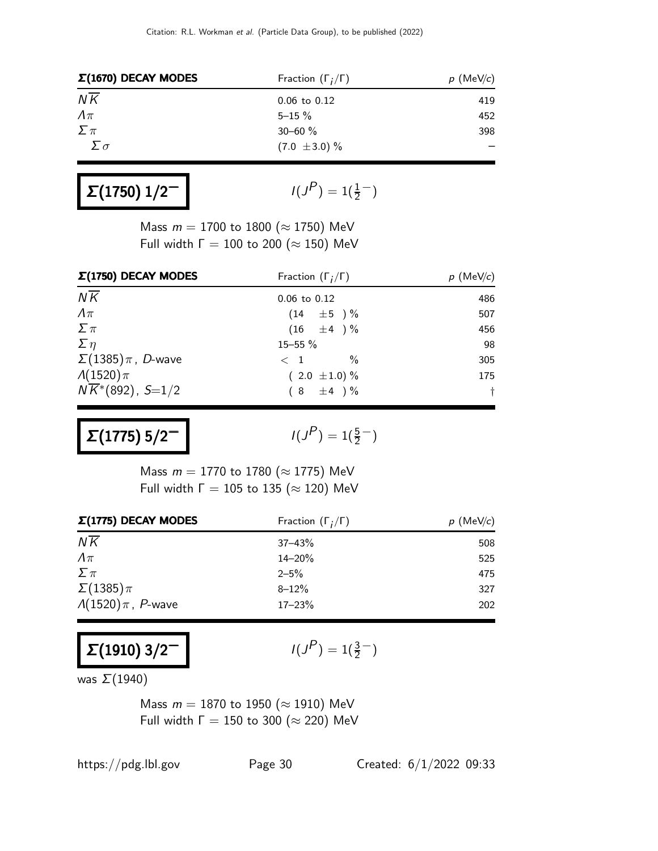| $\Sigma(1670)$ DECAY MODES | Fraction $(\Gamma_i/\Gamma)$ | $p$ (MeV/c) |
|----------------------------|------------------------------|-------------|
| $N\overline{K}$            | $0.06$ to $0.12$             | 419         |
| $\Lambda \pi$              | $5 - 15 \%$                  | 452         |
| $\sum \pi$                 | $30 - 60 \%$                 | 398         |
| Σσ                         | $(7.0 \pm 3.0) \%$           |             |

| $\Sigma(1750)$ $1/2^-$ |  |
|------------------------|--|
|------------------------|--|

$$
I(J^P) = 1(\frac{1}{2}^-)
$$

Mass  $m = 1700$  to 1800 ( $\approx$  1750) MeV Full width  $\Gamma = 100$  to 200 ( $\approx 150$ ) MeV

| $\Sigma(1750)$ DECAY MODES    | Fraction $(\Gamma_i/\Gamma)$ | $p$ (MeV/c) |  |
|-------------------------------|------------------------------|-------------|--|
| $N\overline{K}$               | $0.06$ to $0.12$             | 486         |  |
| $\Lambda\pi$                  | $(14 \pm 5) \%$              | 507         |  |
| $\sum \pi$                    | $(16 \pm 4) \%$              | 456         |  |
| $\Sigma$ $\eta$               | 15-55 %                      | 98          |  |
| $\Sigma(1385)\pi$ , D-wave    | $\%$<br>$\langle 1$          | 305         |  |
| $\Lambda(1520)\pi$            | $(2.0 \pm 1.0) \%$           | 175         |  |
| $N\overline{K}$ *(892), S=1/2 | $(8 \pm 4) \%$               | $^{+}$      |  |

 $Σ(1775) 5/2<sup>1</sup>$ 

 $P$ ) = 1( $\frac{5}{2}$ <sup>-</sup>)

Mass  $m = 1770$  to 1780 ( $\approx$  1775) MeV Full width  $\Gamma = 105$  to 135 ( $\approx$  120) MeV

| $\Sigma(1775)$ DECAY MODES  | Fraction $(\Gamma_i/\Gamma)$ | $p \text{ (MeV/c)}$ |
|-----------------------------|------------------------------|---------------------|
| $N\overline{K}$             | $37 - 43%$                   | 508                 |
| $\Lambda\pi$                | $14 - 20%$                   | 525                 |
| $\Sigma \pi$                | $2 - 5\%$                    | 475                 |
| $\Sigma(1385)\pi$           | $8 - 12%$                    | 327                 |
| $\Lambda(1520)\pi$ , P-wave | $17 - 23%$                   | 202                 |

 $Σ(1910)$  3/2<sup>-1</sup>

 $P$ ) = 1( $\frac{3}{2}$ )

was  $\Sigma(1940)$ 

Mass  $m = 1870$  to 1950 ( $\approx$  1910) MeV Full width  $\Gamma = 150$  to 300 ( $\approx$  220) MeV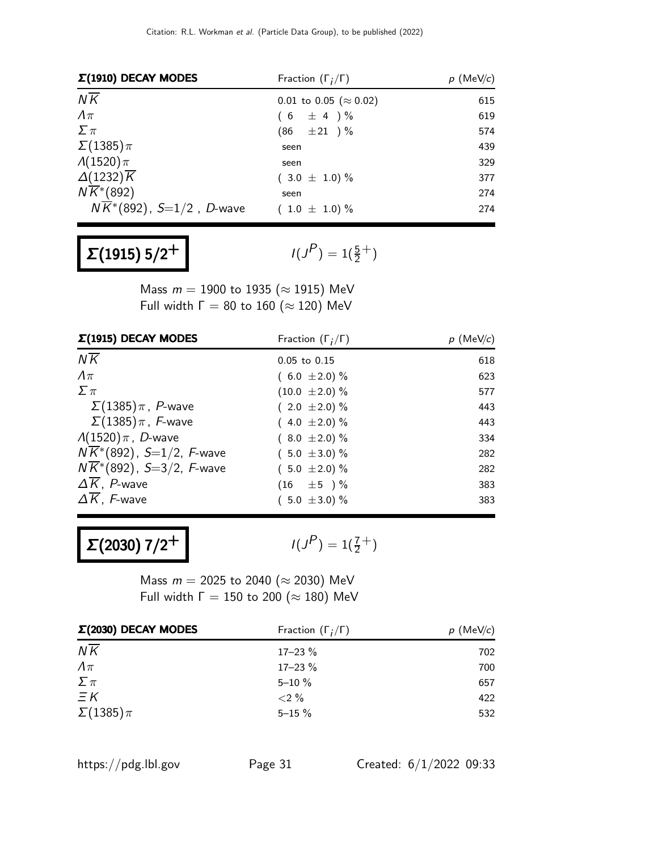| $\Sigma(1910)$ DECAY MODES            | Fraction $(\Gamma_i/\Gamma)$   | $p$ (MeV/c) |  |
|---------------------------------------|--------------------------------|-------------|--|
| $N\overline{K}$                       | 0.01 to 0.05 ( $\approx$ 0.02) | 615         |  |
| $\Lambda\pi$                          | $\pm$ 4)%<br>6)                | 619         |  |
| $\sum \pi$                            | $(86 \pm 21) \%$               | 574         |  |
| $\Sigma(1385)\pi$                     | seen                           | 439         |  |
| $\Lambda(1520)\pi$                    | seen                           | 329         |  |
| $\Delta(1232)\overline{K}$            | $(3.0 \pm 1.0) \%$             | 377         |  |
| $N\overline{K}$ <sup>*</sup> (892)    | seen                           | 274         |  |
| $N\overline{K}$ *(892), S=1/2, D-wave | $(1.0 \pm 1.0) \%$             | 274         |  |

# $Σ(1915) 5/2<sup>+</sup>$

 $(P) = 1(\frac{5}{2}^+)$ 

Mass  $m = 1900$  to 1935 ( $\approx$  1915) MeV Full width  $\Gamma = 80$  to 160 ( $\approx$  120) MeV

| $\Sigma(1915)$ DECAY MODES             | Fraction $(\Gamma_i/\Gamma)$ | $p \text{ (MeV/c)}$ |
|----------------------------------------|------------------------------|---------------------|
| $N\overline{K}$                        | $0.05$ to $0.15$             | 618                 |
| $\Lambda\pi$                           | $(6.0 \pm 2.0)\%$            | 623                 |
| $\sum \pi$                             | $(10.0 \pm 2.0)\%$           | 577                 |
| $\Sigma(1385)\pi$ , P-wave             | $(2.0 \pm 2.0)\%$            | 443                 |
| $\Sigma(1385)\pi$ , F-wave             | $(4.0 \pm 2.0)\%$            | 443                 |
| $\Lambda(1520)\pi$ , D-wave            | $(8.0 \pm 2.0)\%$            | 334                 |
| $N\overline{K}$ *(892), S=1/2, F-wave  | $(5.0 \pm 3.0) \%$           | 282                 |
| $N\overline{K}^*(892)$ , S=3/2, F-wave | $(5.0 \pm 2.0)\%$            | 282                 |
| $\Delta K$ , P-wave                    | $(16 \pm 5) \%$              | 383                 |
| $\Delta \overline{K}$ , F-wave         | $(5.0 \pm 3.0) \%$           | 383                 |

 $Σ(2030) 7/2<sup>+</sup>$ 

 $P$ ) = 1( $\frac{7}{2}$ <sup>+</sup>)

Mass  $m = 2025$  to 2040 (≈ 2030) MeV Full width  $\Gamma = 150$  to 200 ( $\approx 180$ ) MeV

| $\Sigma(2030)$ DECAY MODES | Fraction $(\Gamma_i/\Gamma)$ | $p$ (MeV/c) |  |
|----------------------------|------------------------------|-------------|--|
| $N\overline{K}$            | $17 - 23 \%$                 | 702         |  |
| $\Lambda\pi$               | $17 - 23%$                   | 700         |  |
| $\Sigma \pi$               | $5 - 10 \%$                  | 657         |  |
| $\equiv$ K                 | $< 2\%$                      | 422         |  |
| $\Sigma(1385)\pi$          | $5 - 15%$                    | 532         |  |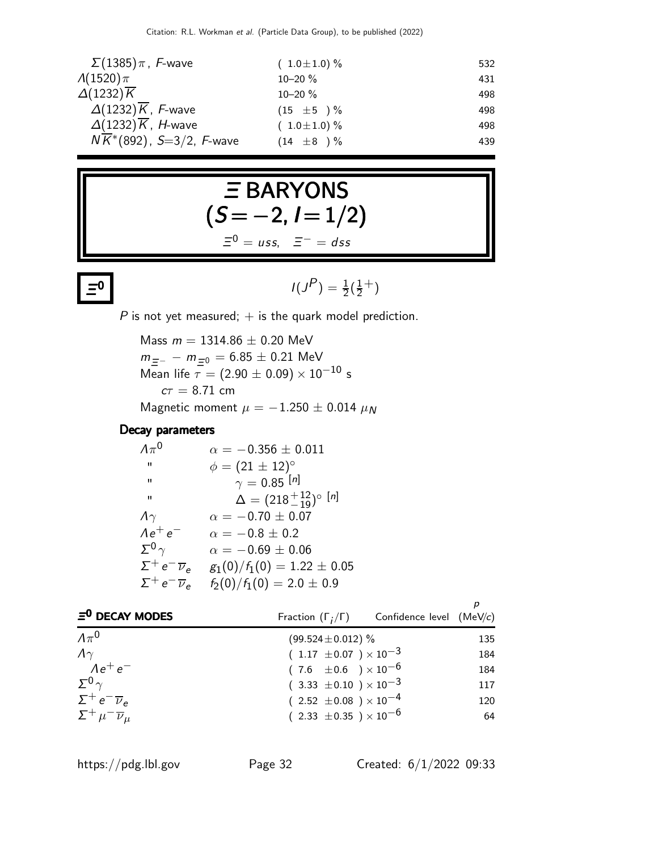| $\Sigma(1385)\pi$ , F-wave                  | $(1.0 \pm 1.0) \%$ | 532 |
|---------------------------------------------|--------------------|-----|
| $\Lambda(1520)\pi$                          | $10 - 20 \%$       | 431 |
| $\Delta(1232)\overline{K}$                  | $10 - 20 \%$       | 498 |
| $\Delta(1232)\overline{K}$ , F-wave         | $(15 \pm 5) \%$    | 498 |
| $\Delta(1232)\overline{K}$ , <i>H</i> -wave | $(1.0 \pm 1.0) \%$ | 498 |
| $N\overline{K}$ *(892), S=3/2, F-wave       | $(14 \pm 8) \%$    | 439 |

# Ξ BARYONS  $(S = -2, I = 1/2)$  $\Xi^0 = u$ ss,  $\Xi^- = d$ ss

### $\equiv$ <sup>0</sup>

 $\overline{\mathbf{0}}$   $\overline{\mathbf{0}}$   $\overline{\mathbf{0}}$   $\overline{\mathbf{0}}$  $P$ ) =  $\frac{1}{2}(\frac{1}{2})$  $(\frac{1}{2}^{+})$ 

 $P$  is not yet measured;  $+$  is the quark model prediction.

Mass  $m = 1314.86 \pm 0.20$  MeV  $m_{\Xi^-}$  −  $m_{\Xi^0}$  = 6.85  $\pm$  0.21 MeV Mean life  $\tau = (2.90 \pm 0.09) \times 10^{-10}$  s  $c\tau = 8.71$  cm Magnetic moment  $\mu = -1.250 \pm 0.014 \mu_N$ 

#### Decay parameters

| $\Lambda \pi^0$                 | $\alpha = -0.356 \pm 0.011$              |
|---------------------------------|------------------------------------------|
| $\mathbf{H}$                    | $\phi = (21 \pm 12)^{\circ}$             |
| $\mathbf{u}$                    | $\gamma = 0.85$ [n]                      |
| "                               | $\Delta = (218^{+12}_{-19})^{\circ}$ [n] |
| $\Lambda\gamma$                 | $\alpha = -0.70 \pm 0.07$                |
| $Ae^+e^-$                       | $\alpha = -0.8 \pm 0.2$                  |
| $\Sigma^0$                      | $\alpha = -0.69 \pm 0.06$                |
| $\Sigma^+ e^- \overline{\nu}_e$ | $g_1(0)/f_1(0) = 1.22 \pm 0.05$          |
| $\Sigma^+ e^- \overline{\nu}_e$ | $f_2(0)/f_1(0) = 2.0 \pm 0.9$            |

| $\Xi^0$ DECAY MODES                 | Fraction $(\Gamma_i/\Gamma)$ Confidence level (MeV/c) |     |
|-------------------------------------|-------------------------------------------------------|-----|
| $\Lambda \pi^0$                     | $(99.524 \pm 0.012)\%$                                | 135 |
| $\Lambda\gamma$                     | $(1.17 \pm 0.07) \times 10^{-3}$                      | 184 |
| $Ae^+e^-$                           | $(7.6 \pm 0.6) \times 10^{-6}$                        | 184 |
| $\Sigma^0$ $\gamma$                 | $(3.33 \pm 0.10) \times 10^{-3}$                      | 117 |
| $\Sigma^+ e^- \overline{\nu}_e$     | $(2.52 \pm 0.08) \times 10^{-4}$                      | 120 |
| $\Sigma^+ \mu^- \overline{\nu}_\mu$ | $(2.33 \pm 0.35) \times 10^{-6}$                      | 64  |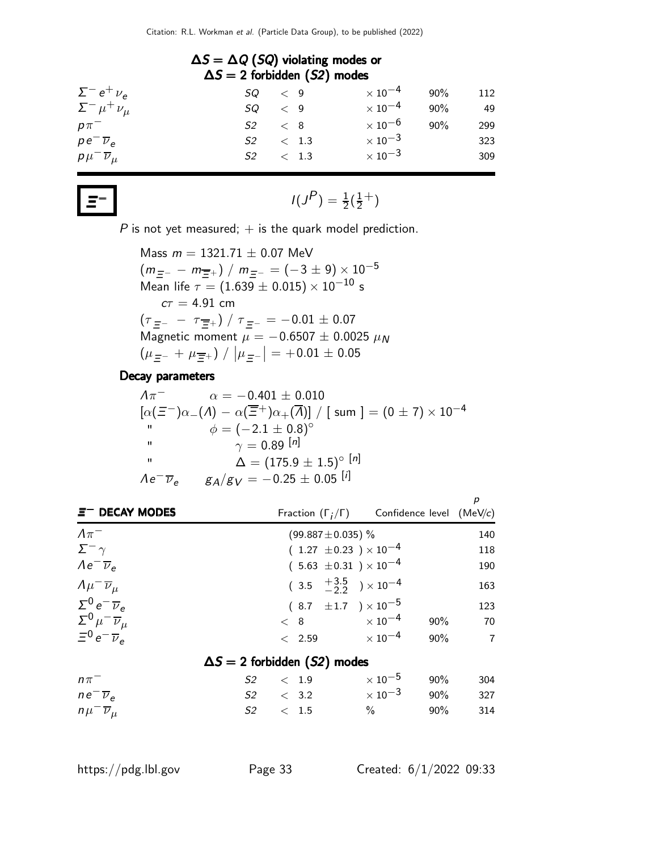| $\Delta S = \Delta Q$ (SQ) violating modes or<br>$\Delta S = 2$ forbidden (S2) modes |    |               |  |                           |     |     |
|--------------------------------------------------------------------------------------|----|---------------|--|---------------------------|-----|-----|
| $\Sigma^- e^+ \nu_e$                                                                 |    | $SQ \leq 9$   |  | $\times$ 10 $^{-4}$       | 90% | 112 |
| $\Sigma^- \mu^+ \nu_\mu$                                                             |    | $SQ \leq 9$   |  | $\times$ 10 $^{-4}$       | 90% | 49  |
| $p\pi^-$                                                                             | S2 | $\langle 8$   |  | $\times$ 10 $^{-6}$       | 90% | 299 |
| $pe^{-\overline{\nu}_e}$                                                             |    | $S2 \t < 1.3$ |  | $\times$ 10 <sup>-3</sup> |     | 323 |
| $p\mu^{-}\overline{\nu}_{\mu}$                                                       |    | $S2 \t < 1.3$ |  | $\times$ 10 <sup>-3</sup> |     | 309 |

$$
I(J^{P}) = \frac{1}{2}(\frac{1}{2}^{+})
$$

 $P$  is not yet measured;  $+$  is the quark model prediction.

Mass 
$$
m = 1321.71 \pm 0.07
$$
 MeV  
\n $(m_{\overline{E}} - m_{\overline{E}+}) / m_{\overline{E} -} = (-3 \pm 9) \times 10^{-5}$   
\nMean life  $\tau = (1.639 \pm 0.015) \times 10^{-10}$  s  
\n $c\tau = 4.91$  cm  
\n $(\tau_{\overline{E}} - - \tau_{\overline{E}+}) / \tau_{\overline{E} -} = -0.01 \pm 0.07$   
\nMagnetic moment  $\mu = -0.6507 \pm 0.0025$   $\mu_N$   
\n $(\mu_{\overline{E}^-} + \mu_{\overline{E}^+}) / |\mu_{\overline{E}^-}| = +0.01 \pm 0.05$ 

#### Decay parameters

Ξ

| $\Lambda \pi^-$          | $\alpha = -0.401 \pm 0.010$                                                                                                                 |
|--------------------------|---------------------------------------------------------------------------------------------------------------------------------------------|
|                          | $[\alpha(\Xi^-)\alpha_{-}(\Lambda) - \alpha(\overline{\Xi}^+) \alpha_{+}(\overline{\Lambda})] / [\text{ sum } ] = (0 \pm 7) \times 10^{-4}$ |
| п                        | $\phi = (-2.1 \pm 0.8)^{\circ}$                                                                                                             |
| п                        | $\gamma = 0.89$ [n]                                                                                                                         |
| $^{\prime\prime}$        | $\Delta = (175.9 \pm 1.5)^{\circ}$ [n]                                                                                                      |
| $Ae^{-}\overline{\nu}_e$ | $g_A/g_V = -0.25 \pm 0.05$ [i]                                                                                                              |

| $\Xi^-$ DECAY MODES                 |                                     |                                           | Fraction $(\Gamma_i/\Gamma)$ Confidence level (MeV/c) |     | p              |
|-------------------------------------|-------------------------------------|-------------------------------------------|-------------------------------------------------------|-----|----------------|
| $\Lambda \pi^-$                     |                                     | $(99.887 \pm 0.035)$ %                    |                                                       |     | 140            |
| $\Sigma^ \gamma$                    |                                     | $(1.27 \pm 0.23) \times 10^{-4}$          |                                                       |     | 118            |
| $Ae^{-}\overline{\nu}_e$            |                                     | $(5.63 \pm 0.31) \times 10^{-4}$          |                                                       |     | 190            |
| $\Lambda \mu^- \overline{\nu}_\mu$  |                                     | $(3.5 \tfrac{+3.5}{-2.2}) \times 10^{-4}$ |                                                       |     | 163            |
| $\Sigma^0 e^- \overline{\nu}_e$     |                                     | $(8.7 \pm 1.7) \times 10^{-5}$            |                                                       |     | 123            |
| $\Sigma^0 \mu^- \overline{\nu}_\mu$ |                                     | $< 8$ $\times 10^{-4}$                    |                                                       | 90% | 70             |
| $\Xi^0 e^- \overline{\nu}_e$        |                                     | $< 2.59 \times 10^{-4}$                   |                                                       | 90% | $\overline{7}$ |
|                                     | $\Delta S = 2$ forbidden (S2) modes |                                           |                                                       |     |                |
| $n\pi^-$                            | S2                                  | < 1.9                                     | $\times$ 10 $^{-5}$                                   | 90% | 304            |
| $ne^ \overline{\nu}_e$              | $S2 \t < 3.2$                       |                                           | $\times$ 10 $^{-3}$                                   | 90% | 327            |
| $n\mu^{-}\overline{\nu}_{\mu}$      | $S2 \t < 1.5$                       |                                           | $\%$                                                  | 90% | 314            |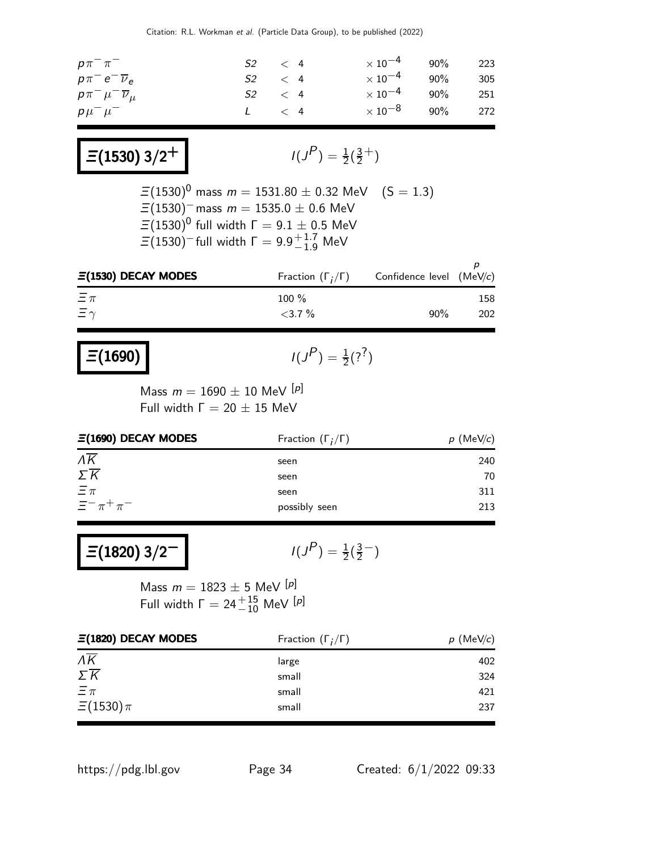| $p\pi^{-}\pi^{-}$                     | $S2 \t < 4$   |  | $\times 10^{-4}$ 90% 223 |  |
|---------------------------------------|---------------|--|--------------------------|--|
| $p\pi^- e^- \overline{\nu}_e$         | $S2 \t < 4$   |  | $\times 10^{-4}$ 90% 305 |  |
| $p\pi^{-}\mu^{-}\overline{\nu}_{\mu}$ | $S2 \t < 4$   |  | $\times 10^{-4}$ 90% 251 |  |
| $p\mu^-\mu^-$                         | $L \quad < 4$ |  | $\times 10^{-8}$ 90% 272 |  |

 $\equiv$ (1530) 3/2<sup>+</sup>

$$
I(J^P) = \frac{1}{2}(\frac{3}{2}^+)
$$

 $P$ <sub>)</sub> =  $\frac{1}{2}$ (?<sup>?</sup>)

−)

 $\Xi(1530)^{0}$  mass  $m = 1531.80 \pm 0.32$  MeV  $(S = 1.3)$  $\Xi(1530)$ <sup>−</sup> mass  $m = 1535.0 \pm 0.6$  MeV  $\varXi(1530)^{0}$  full width  $\Gamma=9.1\pm0.5$  MeV  $\Xi(1530)^-$ full width  $\Gamma=9.9^{+1.7}_{-1.9}$  MeV

| $\Xi(1530)$ DECAY MODES | Fraction $(\Gamma_i/\Gamma)$ | Confidence level (MeV/c) |     |
|-------------------------|------------------------------|--------------------------|-----|
| $\Xi \pi$               | $100 \%$                     |                          | 158 |
| $\Xi \gamma$            | $<$ 3.7 $\%$                 | 90%                      | 202 |

$$
\Xi(1690)
$$

Mass  $m = 1690 \pm 10$  MeV  $[p]$ Full width  $Γ = 20 ± 15$  MeV

| $\Xi(1690)$ DECAY MODES | Fraction $(\Gamma_i/\Gamma)$ | $p$ (MeV/c) |  |
|-------------------------|------------------------------|-------------|--|
| $\overline{\Lambda K}$  | seen                         | 240         |  |
| $\Sigma \overline{K}$   | seen                         | 70          |  |
| $\Xi \pi$               | seen                         | 311         |  |
| $\Xi^- \pi^+ \pi^-$     | possibly seen                | 213         |  |

$$
I(J^{P}) = \frac{1}{2}(\frac{3}{2} -
$$

Mass  $m = 1823 \pm 5$  MeV [p] Full width  $\Gamma = 24\frac{+}{10}$  MeV  ${}^{[p]}$ 

| $\Xi(1820)$ DECAY MODES         | Fraction $(\Gamma_i/\Gamma)$ | $p$ (MeV/c) |
|---------------------------------|------------------------------|-------------|
| $\Lambda \overline{\mathsf{K}}$ | large                        | 402         |
| $\Sigma \overline{K}$           | small                        | 324         |
| $\Xi \pi$                       | small                        | 421         |
| $\Xi(1530)\pi$                  | small                        | 237         |

https://pdg.lbl.gov Page 34 Created: 6/1/2022 09:33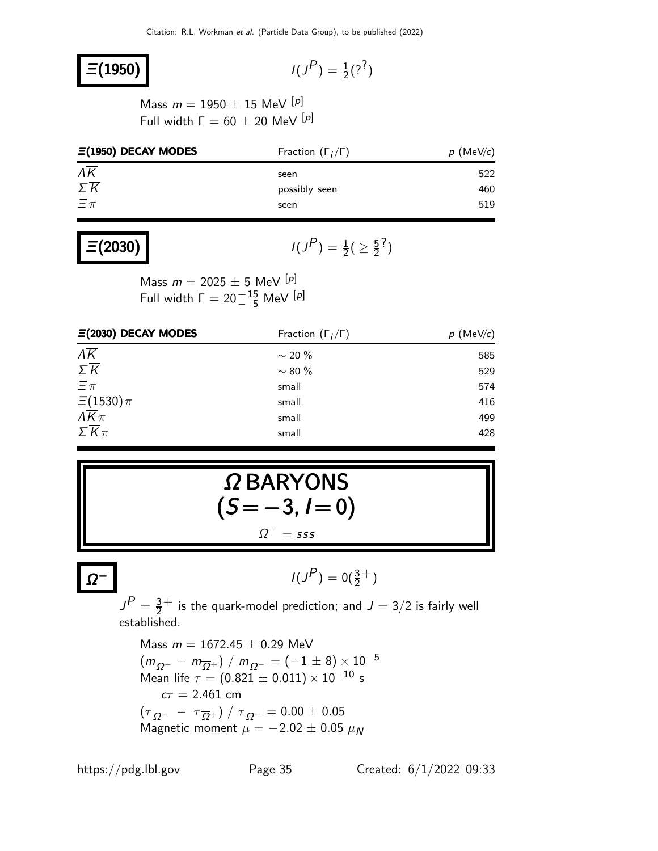### $\Xi(1950)$

 $P$ <sub>)</sub> =  $\frac{1}{2}$ (?<sup>?</sup>)

Mass  $m = 1950 \pm 15$  MeV [p] Full width  $\Gamma = 60 \pm 20$  MeV [p]

| $\Xi(1950)$ DECAY MODES | Fraction $(\Gamma_i/\Gamma)$ | $p$ (MeV/c) |  |
|-------------------------|------------------------------|-------------|--|
| $\Lambda K$             | seen                         | 522         |  |
| $\Sigma \overline{K}$   | possibly seen                | 460         |  |
| $\Xi \pi$               | seen                         | 519         |  |

### $\Xi(2030)$

 $(P) = \frac{1}{2} (\geq \frac{5}{2})$  $\frac{5}{2}$ ?)

Mass  $m = 2025 \pm 5$  MeV [p] Full width  $\Gamma = 20^{+15}_{-5}$  MeV  $[$ <sup>p]</sup>

| $\Xi(2030)$ DECAY MODES              | Fraction $(\Gamma_i/\Gamma)$ | $p \text{ (MeV/}c)$ |  |  |
|--------------------------------------|------------------------------|---------------------|--|--|
| $\overline{\Lambda K}$               | $\sim$ 20 %                  | 585                 |  |  |
| $\Sigma \overline{K}$                | $\sim$ 80 $\%$               | 529                 |  |  |
| $\Xi \pi$                            | small                        | 574                 |  |  |
| $\frac{\Xi(1530)\pi}{\Lambda K \pi}$ | small                        | 416                 |  |  |
|                                      | small                        | 499                 |  |  |
| $\Sigma \overline{K} \pi$            | small                        | 428                 |  |  |

$$
\Omega BARYONS(S = -3, I = 0)\n\Omega^2 = sss
$$

$$
I(J^P) = 0(\frac{3}{2}^+)
$$

 $J^P = \frac{3}{2}$  $\frac{3}{2}^+$  is the quark-model prediction; and  $J=3/2$  is fairly well established.

Mass  $m = 1672.45 \pm 0.29$  MeV  $(m_{\Omega^+} - m_{\overline{\Omega}^+}) / m_{\Omega^-} = (-1 \pm 8) \times 10^{-5}$ Mean life  $\tau = (0.821 \pm 0.011) \times 10^{-10}$  s  $c\tau = 2.461$  cm  $\left(\tau_{\,\Omega^-\,\,}-\,\tau_{\,\overline{\Omega}^+}\right)/\,\tau_{\,\Omega^-}=0.00\pm0.05$ Magnetic moment  $\mu=-2.02\pm0.05~\mu{}_{N}$ 

Ω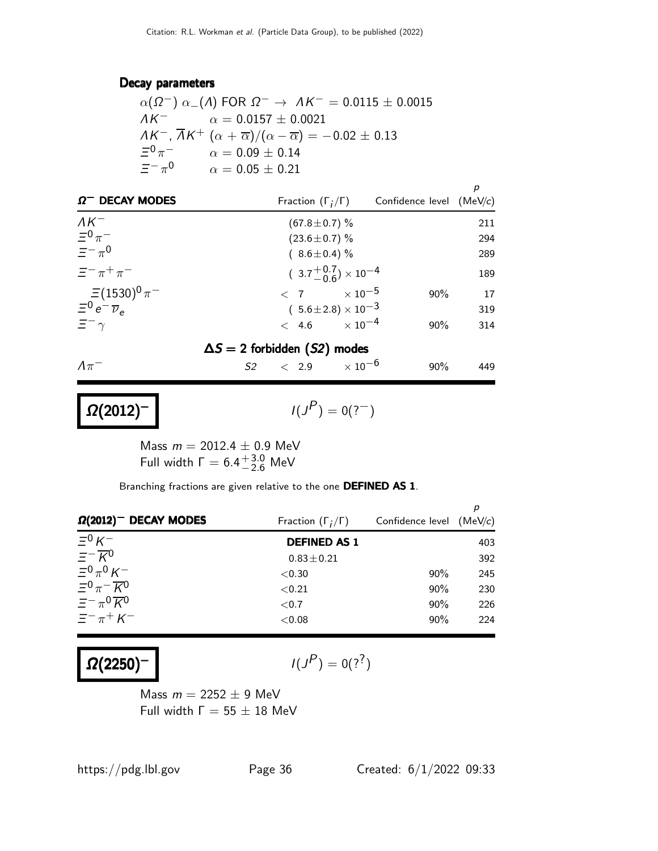#### Decay parameters

|                      | $\alpha(\Omega^-)$ $\alpha$ (A) FOR $\Omega^- \rightarrow AK^- = 0.0115 \pm 0.0015$                     |
|----------------------|---------------------------------------------------------------------------------------------------------|
|                      | $AK^{-}$ $\alpha = 0.0157 \pm 0.0021$                                                                   |
|                      | $AK^-$ , $\overline{A}K^+$ $(\alpha + \overline{\alpha})/(\alpha - \overline{\alpha}) = -0.02 \pm 0.13$ |
|                      | $\Xi^0 \pi^ \alpha = 0.09 \pm 0.14$                                                                     |
| $=-\pi$ <sup>0</sup> | $\alpha = 0.05 \pm 0.21$                                                                                |

| $\Omega^-$ DECAY MODES                          | Fraction $(\Gamma_i/\Gamma)$         | р<br>Confidence level $(MeV/c)$ |
|-------------------------------------------------|--------------------------------------|---------------------------------|
| $\Lambda K^-$                                   | $(67.8 \pm 0.7)$ %                   | 211                             |
| $\Xi^0 \pi^-$                                   | $(23.6 \pm 0.7)\%$                   | 294                             |
| $\equiv -\pi^0$                                 | $(8.6 \pm 0.4)\%$                    | 289                             |
| $\equiv$ $-\pi$ <sup>+</sup> $\pi$ <sup>-</sup> | $(3.7^{+0.7}_{-0.6}) \times 10^{-4}$ | 189                             |
| $\Xi(1530)^{0}\pi^-$                            | $\langle 7 \times 10^{-5} \rangle$   | 17<br>90%                       |
| $\Xi^0 e^- \overline{\nu}_e$                    | $(5.6 \pm 2.8) \times 10^{-3}$       | 319                             |
| $\Xi^ \gamma$                                   | $< 4.6 \times 10^{-4}$               | $90\%$<br>314                   |
|                                                 | $\Delta S = 2$ forbidden (S2) modes  |                                 |
| $\Lambda \pi^-$                                 | $S2 \t < 2.9 \t < 10^{-6}$           | $90\%$<br>449                   |
|                                                 |                                      |                                 |

$$
I(J^{\textstyle{\mathcal{P}}})=0(?^-)
$$

Mass  $m = 2012.4 \pm 0.9$  MeV Full width  $\Gamma = 6.4^{+3.0}_{-2.6}$  MeV

Branching fractions are given relative to the one DEFINED AS 1.

| $\Omega(2012)^-$ DECAY MODES                                   | Fraction $(\Gamma_i/\Gamma)$ | Confidence level (MeV/c) |     |
|----------------------------------------------------------------|------------------------------|--------------------------|-----|
| $\Xi^0 K^-$                                                    | <b>DEFINED AS 1</b>          |                          | 403 |
| $\equiv -\overline{K}^0$                                       | $0.83 \pm 0.21$              |                          | 392 |
| $\equiv$ <sup>0</sup> $\pi$ <sup>0</sup> $\kappa$ <sup>-</sup> | ${<}0.30$                    | $90\%$                   | 245 |
| $\Xi^0 \pi^- \overline{K}{}^0$                                 | < 0.21                       | $90\%$                   | 230 |
| $=-\pi^0\overline{K^0}$                                        | ${<}0.7$                     | 90%                      | 226 |
| $\Xi^- \pi^+ K^-$                                              | < 0.08                       | $90\%$                   | 224 |

 $Ω(2250)$ <sup>-</sup>

 $Ω(2012)$ <sup>-</sup>

$$
I(J^P)=0(?^?)
$$

Mass  $m = 2252 \pm 9$  MeV Full width  $\Gamma = 55 \pm 18$  MeV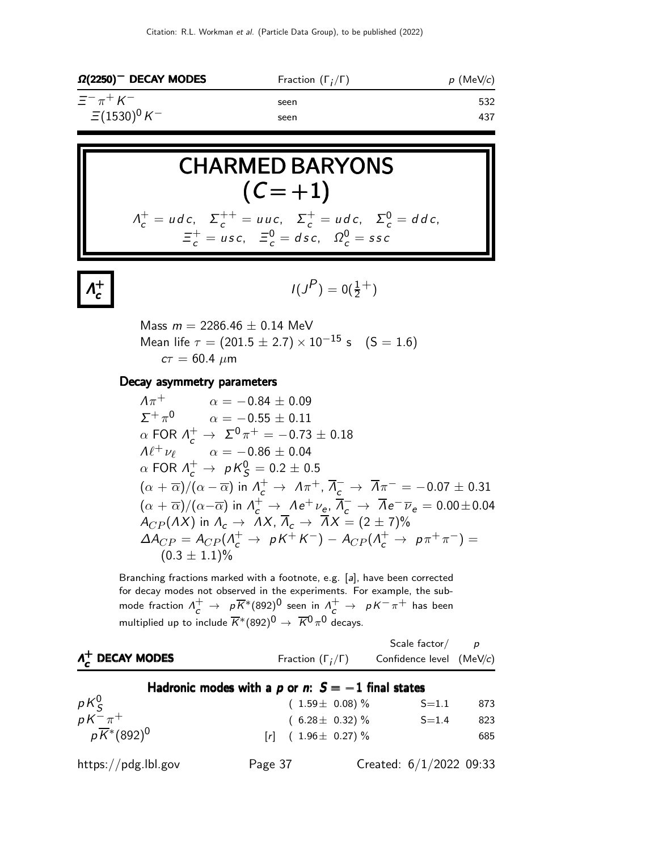| $\Omega(2250)^-$ DECAY MODES | Fraction $(\Gamma_i/\Gamma)$ | $p$ (MeV/c) |  |
|------------------------------|------------------------------|-------------|--|
| $\Xi^- \pi^+ K^-$            | seen                         | 532         |  |
| $\Xi(1530)^{0}K^{-}$         | seen                         | 437         |  |

**CHAPTERMED BARYONS**  
\n
$$
(C = +1)
$$
\n
$$
A_c^+ = u dc, \ \Sigma_c^{++} = uuc, \ \Sigma_c^+ = u dc, \ \Sigma_c^0 = d dc, \ \Xi_c^+ = usc, \ \Xi_c^0 = d sc, \ \Omega_c^0 = ssc
$$

$$
I(J^P)=0(\tfrac12^+)
$$

Mass  $m = 2286.46 \pm 0.14$  MeV Mean life  $\tau = (201.5 \pm 2.7) \times 10^{-15}$  s (S = 1.6)  $c\tau = 60.4 \ \mu m$ 

#### Decay asymmetry parameters

Λ + c

$$
\begin{array}{ll}\nA\pi^+ & \alpha = -0.84 \pm 0.09 \\
\Sigma^+ \pi^0 & \alpha = -0.55 \pm 0.11 \\
\alpha \text{ FOR } \Lambda_c^+ \to \Sigma^0 \pi^+ = -0.73 \pm 0.18 \\
A\ell^+ \nu_\ell & \alpha = -0.86 \pm 0.04 \\
\alpha \text{ FOR } \Lambda_c^+ \to pK_S^0 = 0.2 \pm 0.5 \\
(\alpha + \overline{\alpha})/(\alpha - \overline{\alpha}) \text{ in } \Lambda_c^+ \to \Lambda \pi^+, \overline{\Lambda_c^-} \to \overline{\Lambda} \pi^- = -0.07 \pm 0.31 \\
(\alpha + \overline{\alpha})/(\alpha - \overline{\alpha}) \text{ in } \Lambda_c^+ \to \Lambda e^+ \nu_e, \overline{\Lambda_c^-} \to \overline{\Lambda} e^- \overline{\nu}_e = 0.00 \pm 0.04 \\
A_{CP}(AX) \text{ in } \Lambda_c \to \Lambda X, \overline{\Lambda}_c \to \overline{\Lambda} X = (2 \pm 7)\% \\
\Delta A_{CP} = A_{CP}(\Lambda_c^+ \to pK^+K^-) - A_{CP}(\Lambda_c^+ \to p\pi^+\pi^-) = \\
(0.3 \pm 1.1)\% \n\end{array}
$$

Branching fractions marked with a footnote, e.g. [a], have been corrected for decay modes not observed in the experiments. For example, the submode fraction  $\Lambda^+_c\to -\rho\overline{K}^*(892)^0$  seen in  $\Lambda^+_c\to -\rho\overline{K}^-\pi^+$  has been multiplied up to include  $\overline{K}^{*}(892)^{\overline{0}}\rightarrow\;\overline{K}{}^{\overline{0}}\pi^{\overline{0}}$  decays.

| $\Lambda_c^+$ DECAY MODES                            | Fraction $(\Gamma_i/\Gamma)$                        | Scale factor $/$<br>Confidence level (MeV/c) |     |
|------------------------------------------------------|-----------------------------------------------------|----------------------------------------------|-----|
|                                                      | Hadronic modes with a p or n: $S = -1$ final states |                                              |     |
|                                                      | $(1.59 \pm 0.08)\%$                                 | $S = 1.1$                                    | 873 |
|                                                      | $(6.28 \pm 0.32)\%$                                 | $S = 1.4$                                    | 823 |
| $pK_S^0$<br>, $K^-\pi^+$<br>$p\overline{K}^*(892)^0$ | $[r]$ (1.96 $\pm$ 0.27) %                           |                                              | 685 |
| https://pdg.lbl.gov                                  | Page 37                                             | Created: $6/1/2022$ 09:33                    |     |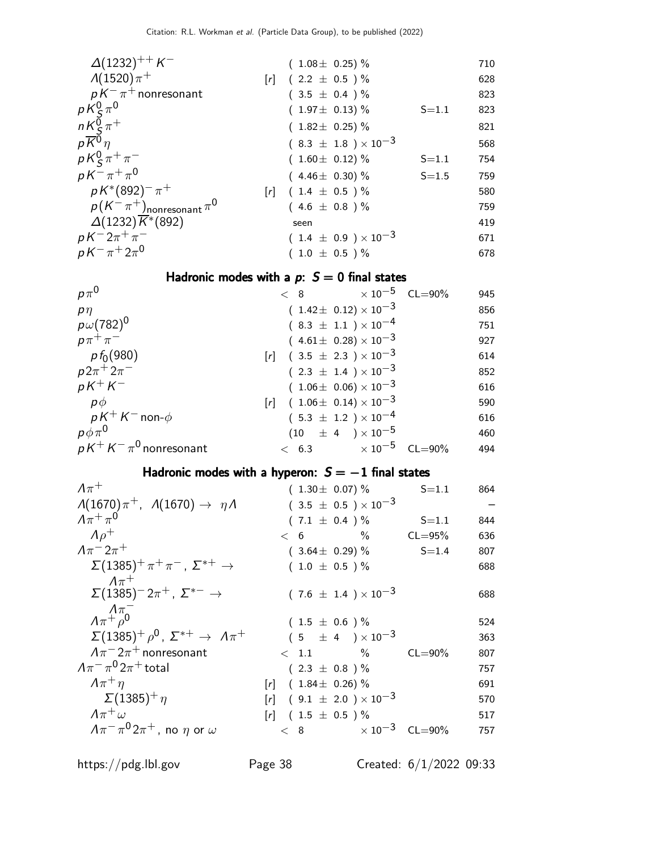| $\Delta(1232)^{++}$ K <sup>-1</sup>                                            |                   | $(1.08 \pm 0.25)\%$            |           | 710 |
|--------------------------------------------------------------------------------|-------------------|--------------------------------|-----------|-----|
| $\Lambda(1520)\pi^{+}$                                                         | $\lceil r \rceil$ | $(2.2 \pm 0.5) \%$             |           | 628 |
| $pK^{-}\pi^{+}$ nonresonant                                                    |                   | $(3.5 \pm 0.4) \%$             |           | 823 |
|                                                                                |                   | $(1.97 \pm 0.13)\%$            | $S = 1.1$ | 823 |
| $\begin{array}{l} pK_S^0\pi^0\\ nK_S^0\pi^+\\ p\overline{K^0}\eta \end{array}$ |                   | $(1.82 \pm 0.25)\%$            |           | 821 |
|                                                                                |                   | $(8.3 \pm 1.8) \times 10^{-3}$ |           | 568 |
| $pK_S^0 \pi^+ \pi^-$                                                           |                   | $(1.60 \pm 0.12)\%$            | $S = 1.1$ | 754 |
| $pK^{-}\pi^{+}\pi^{0}$                                                         |                   | $(4.46 \pm 0.30)\%$            | $S = 1.5$ | 759 |
| $p K^{*}(892)^{-} \pi^{+}$                                                     |                   | $[r]$ (1.4 $\pm$ 0.5 ) %       |           | 580 |
| $p(K^-\pi^+)$ nonresonant $\pi^0$                                              |                   | $(4.6 \pm 0.8) \%$             |           | 759 |
| $\Delta(1232)\overline{K}^*(892)$                                              |                   | seen                           |           | 419 |
| $pK^{-}2\pi^{+}\pi^{-}$                                                        |                   | $(1.4 \pm 0.9) \times 10^{-3}$ |           | 671 |
| $pK^{-}\pi^{+}2\pi^{0}$                                                        |                   | $(1.0 \pm 0.5) \%$             |           | 678 |

#### Hadronic modes with a  $p: S = 0$  final states

|  |                                                                                                                                                                                                                                                                                                                                            | 945                                                              |
|--|--------------------------------------------------------------------------------------------------------------------------------------------------------------------------------------------------------------------------------------------------------------------------------------------------------------------------------------------|------------------------------------------------------------------|
|  |                                                                                                                                                                                                                                                                                                                                            | 856                                                              |
|  |                                                                                                                                                                                                                                                                                                                                            | 751                                                              |
|  |                                                                                                                                                                                                                                                                                                                                            | 927                                                              |
|  |                                                                                                                                                                                                                                                                                                                                            | 614                                                              |
|  |                                                                                                                                                                                                                                                                                                                                            | 852                                                              |
|  |                                                                                                                                                                                                                                                                                                                                            | 616                                                              |
|  |                                                                                                                                                                                                                                                                                                                                            | 590                                                              |
|  |                                                                                                                                                                                                                                                                                                                                            | 616                                                              |
|  |                                                                                                                                                                                                                                                                                                                                            | 460                                                              |
|  |                                                                                                                                                                                                                                                                                                                                            | 494                                                              |
|  | $(1.42 \pm 0.12) \times 10^{-3}$<br>$(8.3 \pm 1.1) \times 10^{-4}$<br>$(4.61 \pm 0.28) \times 10^{-3}$<br>$[r]$ (3.5 $\pm$ 2.3) $\times$ 10 <sup>-3</sup><br>$(2.3 \pm 1.4) \times 10^{-3}$<br>$(1.06 \pm 0.06) \times 10^{-3}$<br>$[r]$ (1.06 ± 0.14) × 10 <sup>-3</sup><br>$(5.3 \pm 1.2) \times 10^{-4}$<br>$(10 \pm 4) \times 10^{-5}$ | $< 8$ $\times 10^{-5}$ CL=90%<br>$< 6.3$ $\times 10^{-5}$ CL=90% |

#### Hadronic modes with a hyperon:  $S = -1$  final states

| $(1.30 \pm 0.07)\%$      | $S = 1.1$          | 864                                                                                                                                                                                             |
|--------------------------|--------------------|-------------------------------------------------------------------------------------------------------------------------------------------------------------------------------------------------|
|                          |                    |                                                                                                                                                                                                 |
| $(7.1 \pm 0.4) \%$       | $S = 1.1$          | 844                                                                                                                                                                                             |
| $< 6$ %                  | $CL = 95%$         | 636                                                                                                                                                                                             |
| $(3.64 \pm 0.29)\%$      | $S = 1.4$          | 807                                                                                                                                                                                             |
| $(1.0 \pm 0.5) \%$       |                    | 688                                                                                                                                                                                             |
|                          |                    |                                                                                                                                                                                                 |
|                          |                    | 688                                                                                                                                                                                             |
|                          |                    | 524                                                                                                                                                                                             |
|                          |                    | 363                                                                                                                                                                                             |
|                          | $CL = 90\%$        | 807                                                                                                                                                                                             |
| $(2.3 \pm 0.8) \%$       |                    | 757                                                                                                                                                                                             |
| $[r]$ (1.84 ± 0.26) %    |                    | 691                                                                                                                                                                                             |
|                          |                    | 570                                                                                                                                                                                             |
| $[r]$ (1.5 $\pm$ 0.5 ) % |                    | 517                                                                                                                                                                                             |
|                          |                    | 757                                                                                                                                                                                             |
|                          | $(1.5 \pm 0.6) \%$ | $(3.5 \pm 0.5) \times 10^{-3}$<br>$(7.6 \pm 1.4) \times 10^{-3}$<br>$(5 \pm 4) \times 10^{-3}$<br>$< 1.1$ %<br>$[r]$ (9.1 $\pm$ 2.0) $\times$ 10 <sup>-3</sup><br>$< 8$ $\times 10^{-3}$ CL=90% |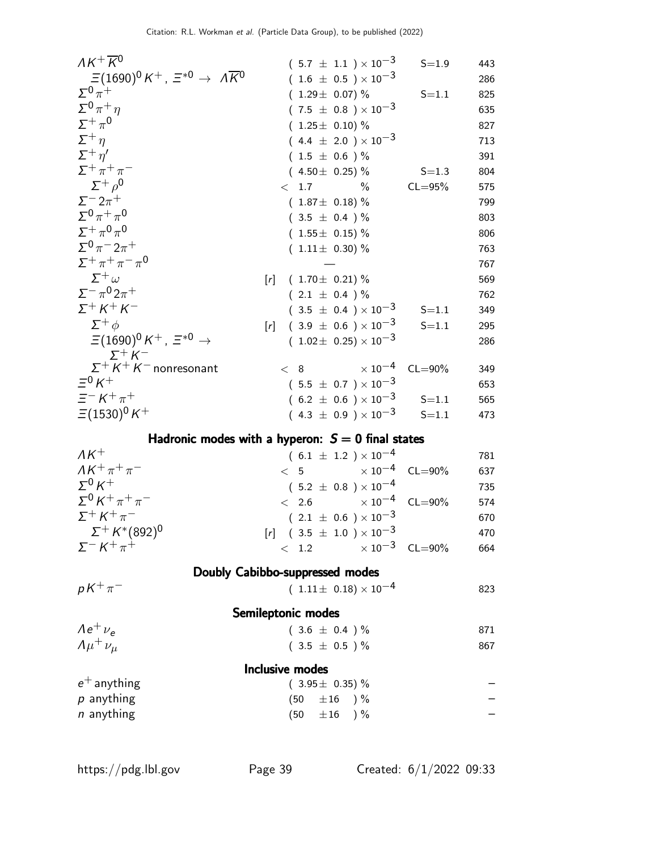| $AK^+\overline{K}{}^0$                                                    | $(5.7 \pm 1.1) \times 10^{-3}$                      | $S = 1.9$   | 443 |
|---------------------------------------------------------------------------|-----------------------------------------------------|-------------|-----|
| $\Xi(1690)^0\,K^+$ , $\,\Xi^{*0}\,\rightarrow\,\,\Lambda\overline{K}{}^0$ | $(1.6 \pm 0.5) \times 10^{-3}$                      |             | 286 |
| $\Sigma^0 \pi^+$                                                          | $(1.29 \pm 0.07)\%$                                 | $S = 1.1$   | 825 |
| $\Sigma^0 \pi^+ \eta$                                                     | $(7.5 \pm 0.8) \times 10^{-3}$                      |             | 635 |
| $\Sigma^+\pi^0$                                                           | $(1.25 \pm 0.10) \%$                                |             | 827 |
| $\Sigma^+$ n                                                              | $(4.4 \pm 2.0) \times 10^{-3}$                      |             | 713 |
| $\Sigma^+\eta'$                                                           | $(1.5 \pm 0.6) \%$                                  |             | 391 |
| $\Sigma^+\pi^+\pi^-$                                                      | $(4.50 \pm 0.25)\%$                                 | $S = 1.3$   | 804 |
| $\Sigma^+$ $\rho^0$                                                       | $\langle 1.7$<br>$\%$                               | $CL = 95%$  | 575 |
| $\Sigma^- 2\pi^+$                                                         | $(1.87 \pm 0.18)$ %                                 |             | 799 |
| $\Sigma^0 \pi^+ \pi^0$                                                    | $(3.5 \pm 0.4) \%$                                  |             | 803 |
| $\Sigma^+ \pi^0 \pi^0$                                                    | $(1.55 \pm 0.15)\%$                                 |             | 806 |
| $\Sigma^{0} \pi^{-} 2\pi^{+}$                                             | $(1.11 \pm 0.30)$ %                                 |             | 763 |
| $\Sigma^+ \pi^+ \pi^- \pi^0$                                              |                                                     |             | 767 |
| $\Sigma^+$ $\omega$                                                       | $(1.70 \pm 0.21)\%$<br>[r]                          |             | 569 |
| $\Sigma^{-} \pi^{0} 2\pi^{+}$                                             | $(2.1 \pm 0.4) \%$                                  |             | 762 |
| $\Sigma^+ K^+ K^-$                                                        | $(3.5 \pm 0.4) \times 10^{-3}$                      | $S = 1.1$   | 349 |
| $\Sigma^+ \phi$                                                           | $(3.9 \pm 0.6) \times 10^{-3}$<br>$\lceil r \rceil$ | $S = 1.1$   | 295 |
| $\Xi(1690)^0 K^+$ , $\Xi^{*0} \rightarrow$                                | $(1.02 \pm 0.25) \times 10^{-3}$                    |             | 286 |
| $\Sigma^+ K^-$                                                            |                                                     |             |     |
| $\Sigma^+ K^+ K^-$ nonresonant                                            | $\times$ 10 $^{-4}$<br>< 8                          | $CL = 90\%$ | 349 |
| $\Xi^0 K^+$                                                               | $(5.5 \pm 0.7) \times 10^{-3}$                      |             | 653 |
| $\equiv^- K^+ \pi^+$                                                      | $(6.2 \pm 0.6) \times 10^{-3}$ S=1.1                |             | 565 |
| $\Xi(1530)^{0}K^{+}$                                                      | $(4.3 \pm 0.9) \times 10^{-3}$                      | $S = 1.1$   | 473 |
|                                                                           |                                                     |             |     |

#### Hadronic modes with a hyperon:  $S = 0$  final states

| $\Lambda K^+$              | $(6.1 \pm 1.2) \times 10^{-4}$                  |  | 781 |
|----------------------------|-------------------------------------------------|--|-----|
| $AK^+\pi^+\pi^-$           | $< 5$ $\times 10^{-4}$ CL=90%                   |  | 637 |
| $\Sigma^0 K^+$             | $(5.2 \pm 0.8) \times 10^{-4}$                  |  | 735 |
| $\Sigma^0 K^+ \pi^+ \pi^-$ | $< 2.6 \times 10^{-4} \text{ CL} = 90\%$        |  | 574 |
| $\Sigma^+ K^+ \pi^-$       | $(2.1 \pm 0.6) \times 10^{-3}$                  |  | 670 |
| $\Sigma^+$ K*(892) $^0$    | $[r]$ (3.5 $\pm$ 1.0) $\times$ 10 <sup>-3</sup> |  | 470 |
| $\Sigma^- K^+ \pi^+$       | $< 1.2 \times 10^{-3} \text{ CL} = 90\%$        |  | 664 |
|                            |                                                 |  |     |

|                         | Doubly Cabibbo-suppressed modes  |     |
|-------------------------|----------------------------------|-----|
| $pK^+\pi^-$             | $(1.11 \pm 0.18) \times 10^{-4}$ | 823 |
|                         | Semileptonic modes               |     |
| $\Lambda e^+ \nu_e$     | $(3.6 \pm 0.4) \%$               | 871 |
| $\Lambda \mu^+ \nu_\mu$ | $(3.5 \pm 0.5) \%$               | 867 |
|                         | Inclusive modes                  |     |
| $e^+$ anything          | $(3.95 \pm 0.35)\%$              |     |
| $p$ anything            | $(50 \pm 16) \%$                 |     |
| <i>n</i> anything       | $(50 \pm 16) \%$                 |     |

 $\overline{a}$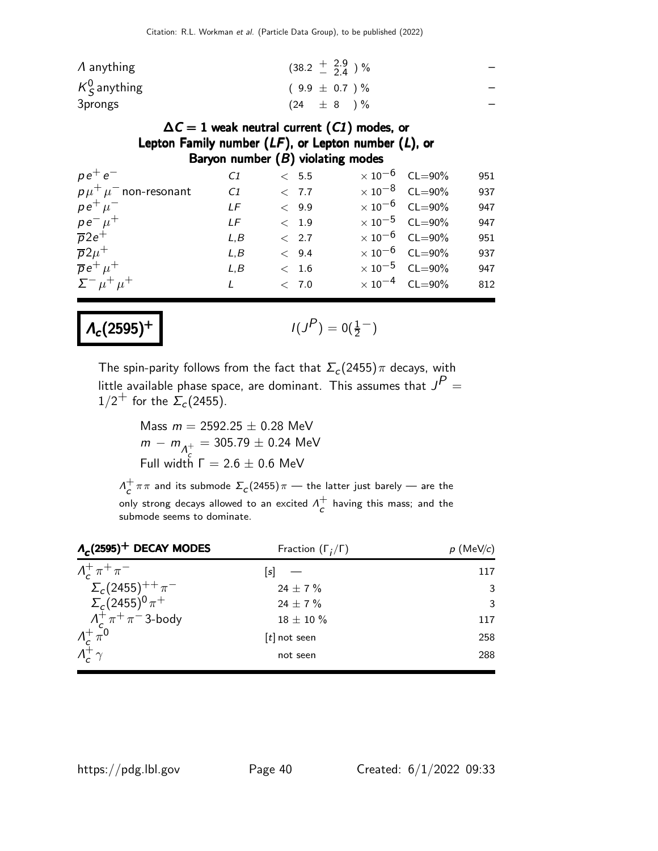| $\Lambda$ anything | $(38.2 \frac{+}{2} 3.9 \frac{0.9}{0.4})$ % |  |
|--------------------|--------------------------------------------|--|
| $K^0_S$ anything   | $(9.9 \pm 0.7)$ %                          |  |
| 3prongs            | $(24 \pm 8) \%$                            |  |

#### $\Delta C = 1$  weak neutral current (C1) modes, or Lepton Family number  $(LF)$ , or Lepton number  $(L)$ , or Baryon number  $(B)$  violating modes

| $p e^+ e^-$                | C1  | $~<~$ 5.5 $~$ | $\times 10^{-6}$ CL=90% | 951 |
|----------------------------|-----|---------------|-------------------------|-----|
| $p\mu^+\mu^-$ non-resonant | C1  | < 7.7         | $\times 10^{-8}$ CL=90% | 937 |
| $pe^+ \mu^-$               | LF  | < 9.9         | $\times 10^{-6}$ CL=90% | 947 |
| $pe^ \mu^+$                | I F | < 1.9         | $\times 10^{-5}$ CL=90% | 947 |
| $\overline{p}2e^+$         | L.B | < 2.7         | $\times 10^{-6}$ CL=90% | 951 |
| $\overline{p}2\mu^+$       | L.B | < 9.4         | $\times 10^{-6}$ CL=90% | 937 |
| $\overline{p}e^+ \mu^+$    | L.B | < 1.6         | $\times 10^{-5}$ CL=90% | 947 |
| $\Sigma^- \mu^+ \mu^+$     |     | < 7.0         | $\times 10^{-4}$ CL=90% | 812 |
|                            |     |               |                         |     |

#### $Λ_c (2595)^+$

$$
I(J^P)=0(\tfrac{1}{2}^-)
$$

The spin-parity follows from the fact that  $\Sigma_c(2455)\pi$  decays, with little available phase space, are dominant. This assumes that  $J^{\textsf{P}}=$  $1/2^+$  for the  $\Sigma_c(2455)$ .

> Mass  $m = 2592.25 \pm 0.28$  MeV  $m - m_{\Lambda_c^+}$  $= 305.79 \pm 0.24$  MeV Full width  $\Gamma = 2.6 \pm 0.6$  MeV

 $\Lambda^+$  $\frac{1}{c} \pi \pi$  and its submode  $\Sigma_c(2455) \pi$  — the latter just barely — are the only strong decays allowed to an excited  $\Lambda^+_\epsilon$  $\overline{c}$  having this mass; and the submode seems to dominate.

| $\Lambda_c(2595)^+$ DECAY MODES                        | Fraction $(\Gamma_i/\Gamma)$ | $p$ (MeV/c) |
|--------------------------------------------------------|------------------------------|-------------|
| $\Lambda_c^+\pi^+\pi^-$                                | s                            | 117         |
| $\Sigma_c(2455)^{++} \pi^-$                            | 24 $\pm$ 7 %                 | 3           |
| $\sum_{c} (2455)^{0} \pi^{+}$                          | 24 $\pm$ 7 $\%$              | 3           |
| $\Lambda_c^+\pi^+\pi^-$ 3-body                         | $18 \pm 10 \%$               | 117         |
| $\frac{\Lambda_c^+}{\Lambda_c^+} \frac{\pi^0}{\gamma}$ | $[t]$ not seen               | 258         |
|                                                        | not seen                     | 288         |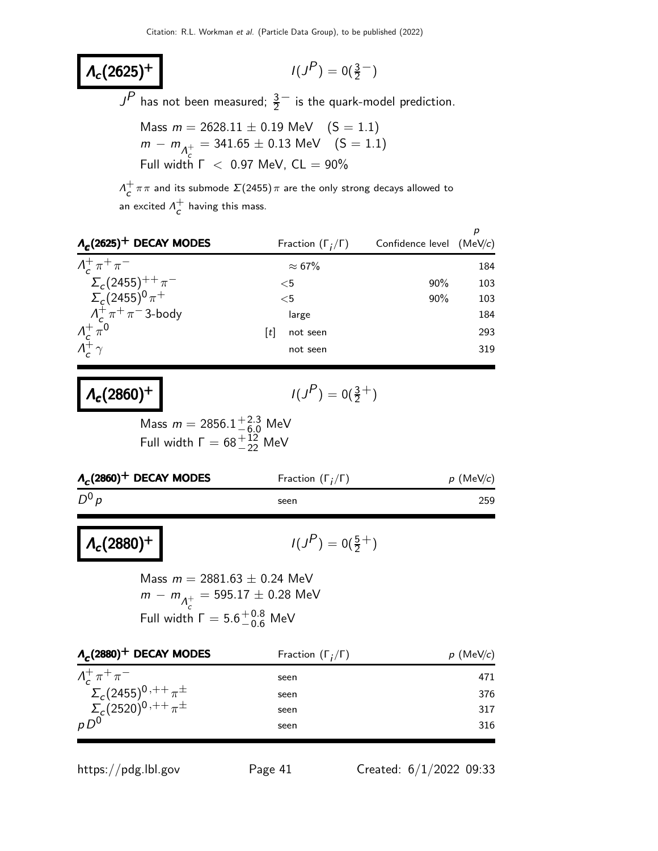#### $\Lambda_c(2625)^+$

$$
I(J^P)=0(\tfrac{3}{2}^-)
$$

 $J^P$  has not been measured;  $\frac{3}{2}^-$  is the quark-model prediction.

Mass 
$$
m = 2628.11 \pm 0.19
$$
 MeV  $(S = 1.1)$   
\n $m - m_{A_{c}^{+}} = 341.65 \pm 0.13$  MeV  $(S = 1.1)$   
\nFull width  $\Gamma$  < 0.97 MeV, CL = 90%

 $\Lambda^+$  $\tau \tau \pi$  and its submode  $\Sigma(2455)\pi$  are the only strong decays allowed to an excited  $\Lambda^+$  $\overline{c}$  having this mass.

| $A_c(2625)^+$ DECAY MODES                              |   | Fraction $(\Gamma_i/\Gamma)$ | Confidence level $(MeV/c)$ | р   |
|--------------------------------------------------------|---|------------------------------|----------------------------|-----|
| $\Lambda_c^+\pi^+\pi^-$                                |   | $\approx 67\%$               |                            | 184 |
| $\Sigma_c(2455)^{++} \pi^-$                            |   | $<$ 5                        | $90\%$                     | 103 |
| $\sum_{c} (2455)^{0} \pi^{+}$                          |   | $<$ 5                        | 90%                        | 103 |
| $\Lambda_c^+\pi^+\pi^-$ 3-body                         |   | large                        |                            | 184 |
| $\frac{\Lambda_c^+}{\Lambda_c^+} \frac{\pi^0}{\gamma}$ | t | not seen                     |                            | 293 |
|                                                        |   | not seen                     |                            | 319 |

$$
\Lambda_c(2860)^+ \qquad \qquad \blacksquare
$$

 $Λ_c (2880)^+$ 

$$
I(J^P)=0(\tfrac{3}{2}^+)
$$

Mass  $m = 2856.1^{+2.3}_{-6.0}$  MeV Full width  $\Gamma = 68^{+12}_{-22}$  MeV

| Fraction $(\Gamma_i/\Gamma)$ | $p$ (MeV/c) |
|------------------------------|-------------|
| seen                         | 259         |
|                              |             |

$$
I(J^P)=0(\tfrac{5}{2}^+)
$$

Mass  $m = 2881.63 \pm 0.24$  MeV  $m - m_{\Lambda_c^+}$  $= 595.17 \pm 0.28$  MeV Full width  $\Gamma = 5.6^{+0.8}_{-0.6}$  MeV

| $\Lambda_c(2880)^+$ DECAY MODES   | Fraction $(\Gamma_i/\Gamma)$ | $p$ (MeV/c) |
|-----------------------------------|------------------------------|-------------|
| $\Lambda^+_\sigma\pi^+\pi^-$      | seen                         | 471         |
| $\Sigma_c(2455)^{0,++} \pi^{\pm}$ | seen                         | 376         |
| $\Sigma_c(2520)^{0,++} \pi^{\pm}$ | seen                         | 317         |
| $pD^0$                            | seen                         | 316         |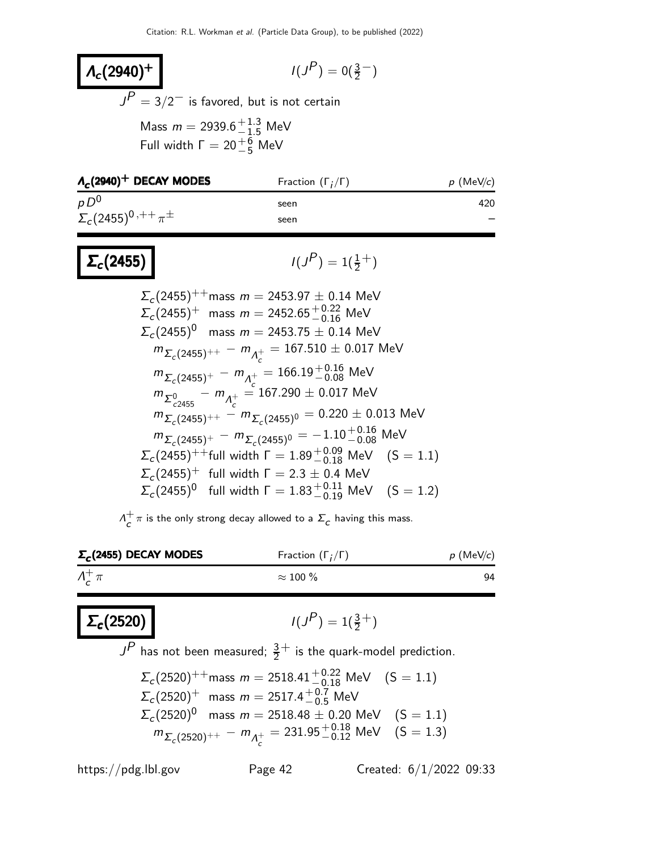#### $Λ_c (2940)^+$  $P$ ) = 0( $\frac{3}{2}$ )  $J^P=3/2^-$  is favored, but is not certain Mass  $m = 2939.6^{+1.3}_{-1.5}$  MeV Full width  $\Gamma = 20^{+6}_{-5}$  MeV

| $\Lambda_c(2940)^+$ DECAY MODES   | Fraction $(\Gamma_i/\Gamma)$ | $p$ (MeV/c) |
|-----------------------------------|------------------------------|-------------|
| $pD^0$                            | seen                         | 420         |
| $\Sigma_c(2455)^{0,++} \pi^{\pm}$ | seen                         |             |
|                                   |                              |             |

$$
\Sigma_c(2455) \qquad \qquad \blacksquare
$$

$$
I(J^P)=1(\tfrac{1}{2}^+)
$$

$$
\Sigma_c(2455)^{++} \text{mass } m = 2453.97 \pm 0.14 \text{ MeV}
$$
\n
$$
\Sigma_c(2455)^{+} \text{ mass } m = 2452.65^{+0.22}_{-0.16} \text{ MeV}
$$
\n
$$
\Sigma_c(2455)^{0} \text{ mass } m = 2453.75 \pm 0.14 \text{ MeV}
$$
\n
$$
m_{\Sigma_c(2455)^{++}} - m_{\Lambda_c^+} = 167.510 \pm 0.017 \text{ MeV}
$$
\n
$$
m_{\Sigma_c(2455)^{+}} - m_{\Lambda_c^+} = 166.19^{+0.16}_{-0.08} \text{ MeV}
$$
\n
$$
m_{\Sigma_{c2455}} - m_{\Lambda_c^+} = 167.290 \pm 0.017 \text{ MeV}
$$
\n
$$
m_{\Sigma_c(2455)^{++}} - m_{\Sigma_c(2455)^{0}} = 0.220 \pm 0.013 \text{ MeV}
$$
\n
$$
m_{\Sigma_c(2455)^{+}} - m_{\Sigma_c(2455)^{0}} = -1.10^{+0.16}_{-0.08} \text{ MeV}
$$
\n
$$
\Sigma_c(2455)^{++} \text{full width } \Gamma = 1.89^{+0.09}_{-0.18} \text{ MeV} \quad (S = 1.1)
$$
\n
$$
\Sigma_c(2455)^{+} \text{ full width } \Gamma = 2.3 \pm 0.4 \text{ MeV}
$$
\n
$$
\Sigma_c(2455)^{0} \text{ full width } \Gamma = 1.83^{+0.11}_{-0.19} \text{ MeV} \quad (S = 1.2)
$$

 $\Lambda_c^+$  $\tau_c^+\pi$  is the only strong decay allowed to a  $\Sigma_c$  having this mass.

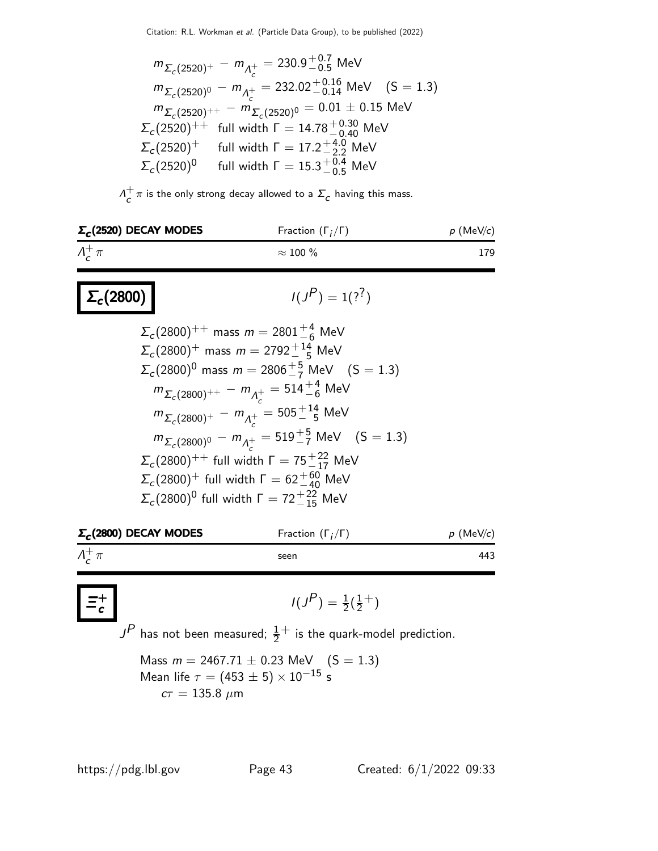$$
m_{\Sigma_c(2520)^+} - m_{\Lambda_c^+} = 230.9^{+0.7}_{-0.5} \text{ MeV}
$$
  
\n
$$
m_{\Sigma_c(2520)^0} - m_{\Lambda_c^+} = 232.02^{+0.16}_{-0.14} \text{ MeV} \quad (S = 1.3)
$$
  
\n
$$
m_{\Sigma_c(2520)^++} - m_{\Sigma_c(2520)^0} = 0.01 \pm 0.15 \text{ MeV}
$$
  
\n
$$
\Sigma_c(2520)^{++} \text{ full width } \Gamma = 14.78^{+0.30}_{-0.40} \text{ MeV}
$$
  
\n
$$
\Sigma_c(2520)^+ \text{ full width } \Gamma = 17.2^{+4.0}_{-2.2} \text{ MeV}
$$
  
\n
$$
\Sigma_c(2520)^0 \text{ full width } \Gamma = 15.3^{+0.4}_{-0.5} \text{ MeV}
$$

 $\Lambda^+$  $\tau_c^+\pi$  is the only strong decay allowed to a  $\Sigma_c$  having this mass.

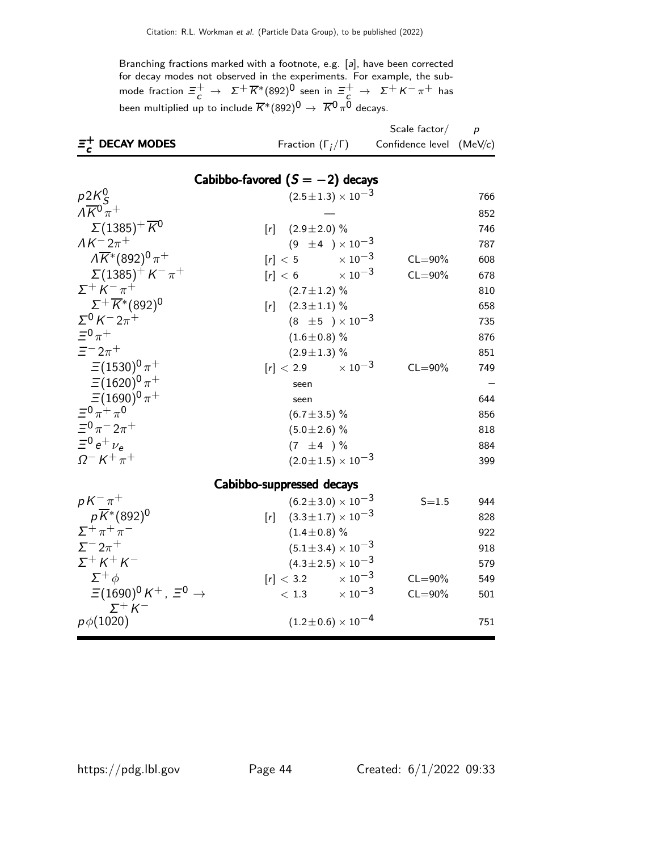Branching fractions marked with a footnote, e.g. [a], have been corrected for decay modes not observed in the experiments. For example, the submode fraction  $\Xi_c^+ \to \ \Sigma^+ \overline{K}{}^*(892)^0$  seen in  $\Xi_c^+ \to \ \Sigma^+ K^- \pi^+$  has been multiplied up to include  $\overline{K}^*(892)^{\overline{0}}\,\to\; \overline{K}{}^{\overline{0}}\pi^{\overline{0}}$  decays.

|                                                             |                                       | Scale factor $/$           | $\overline{p}$ |
|-------------------------------------------------------------|---------------------------------------|----------------------------|----------------|
| $\Xi_c^+$ DECAY MODES                                       | Fraction $(\Gamma_i/\Gamma)$          | Confidence level $(MeV/c)$ |                |
|                                                             |                                       |                            |                |
|                                                             | Cabibbo-favored $(S = -2)$ decays     |                            |                |
| $p2K_S^0$                                                   | $(2.5 \pm 1.3) \times 10^{-3}$        |                            | 766            |
| $\overline{\Lambda K^0 \pi^+}$                              |                                       |                            | 852            |
| $\Sigma(1385)^{+} \overline{K}{}^{0}$                       | $(2.9 \pm 2.0)$ %<br>[r]              |                            | 746            |
| $AK^-2\pi^+$                                                | $(9 \pm 4) \times 10^{-3}$            |                            | 787            |
| $\overline{\Lambda K^*} (892)^0 \pi^+$                      | $[r] < 5$ $\times 10^{-3}$            | $CL = 90\%$                | 608            |
| $\Sigma(1385)^{+}$ K <sup>-</sup> $\pi^{+}$                 | $[r] < 6$ $\times 10^{-3}$            | $CL = 90\%$                | 678            |
| $\Sigma^+ K^- \pi^+$                                        | $(2.7 \pm 1.2)$ %                     |                            | 810            |
| $\Sigma^{+}\overline{K}$ *(892) <sup>0</sup>                | $(2.3 \pm 1.1)$ %<br>[r]              |                            | 658            |
| $\Sigma^0 K^- 2\pi^+$                                       | $(8 \pm 5) \times 10^{-3}$            |                            | 735            |
| $\equiv$ <sup>0</sup> $\pi$ <sup>+</sup>                    | $(1.6 \pm 0.8)$ %                     |                            | 876            |
| $\Xi^- 2\pi^+$                                              | $(2.9 \pm 1.3)$ %                     |                            | 851            |
| $\Xi(1530)^{0}\pi^{+}$                                      | $[r] < 2.9$ $\times 10^{-3}$          | $CL = 90\%$                | 749            |
| $\Xi(1620)^{0}\pi^{+}$                                      | seen                                  |                            |                |
| $\Xi(1690)^0 \pi^+$                                         | seen                                  |                            | 644            |
| $\equiv$ <sup>0</sup> $\pi$ <sup>+</sup> $\pi$ <sup>0</sup> | $(6.7 \pm 3.5)\%$                     |                            | 856            |
| $\Xi^0 \pi^- 2\pi^+$                                        | $(5.0 \pm 2.6)$ %                     |                            | 818            |
| $\Xi^0 e^+ \nu_e$                                           | $(7 \pm 4) \%$                        |                            | 884            |
| $\Omega^- K^+ \pi^+$                                        | $(2.0 \pm 1.5) \times 10^{-3}$        |                            | 399            |
|                                                             | Cabibbo-suppressed decays             |                            |                |
| $pK^{-}\pi^{+}$                                             | $(6.2 \pm 3.0) \times 10^{-3}$        | $S = 1.5$                  | 944            |
| $p\overline{K}$ *(892) <sup>0</sup>                         | $(3.3\!\pm\!1.7)\times10^{-3}$<br>[r] |                            | 828            |
| $\Sigma^+\pi^+\pi^-$                                        | $(1.4 \pm 0.8)$ %                     |                            | 922            |
| $\Sigma^- 2\pi^+$                                           | $(5.1 \pm 3.4) \times 10^{-3}$        |                            | 918            |
| $\Sigma^+ K^+ K^-$                                          | $(4.3 \pm 2.5) \times 10^{-3}$        |                            | 579            |
| $\Sigma^+\phi$                                              | $[r] < 3.2$ $\times 10^{-3}$          | $CL = 90\%$                | 549            |
| $\Xi(1690)^0 K^+$ , $\Xi^0 \rightarrow$                     | $< 1.3$ $\times 10^{-3}$              | $CL = 90\%$                | 501            |
| $\Sigma^+ K^-$<br>$p\phi(1020)$                             | $(1.2 \pm 0.6) \times 10^{-4}$        |                            | 751            |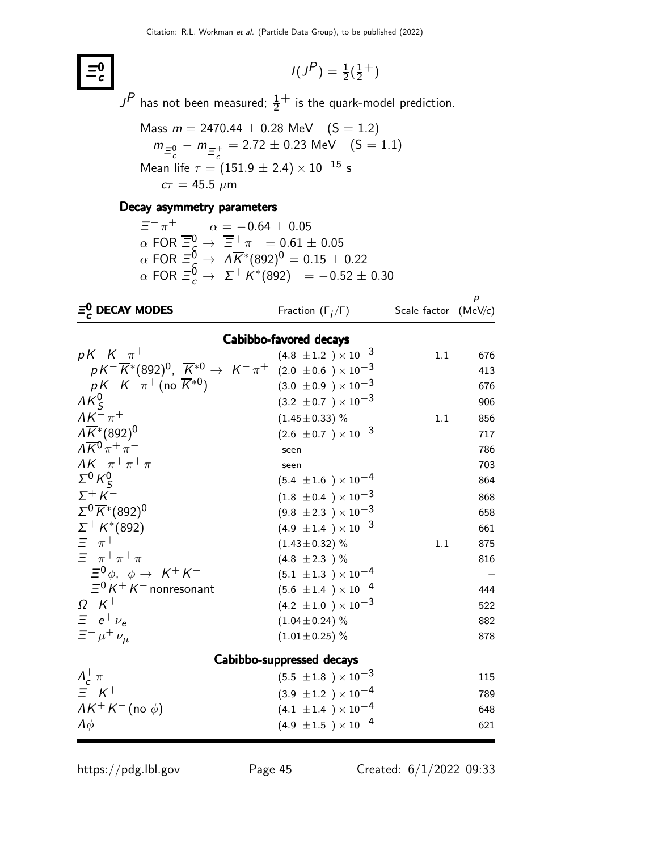$$
I(J^P) = \frac{1}{2}(\frac{1}{2}^+)
$$

 $J^{\textstyle P}$  has not been measured;  $\frac{1}{2}^+$  is the quark-model prediction.

Mass 
$$
m = 2470.44 \pm 0.28
$$
 MeV  $(S = 1.2)$   
\n $m_{\overline{e}_c^0} - m_{\overline{e}_c^+} = 2.72 \pm 0.23$  MeV  $(S = 1.1)$   
\nMean life  $\tau = (151.9 \pm 2.4) \times 10^{-15}$  s  
\n $c\tau = 45.5 \mu m$ 

#### Decay asymmetry parameters

 $\equiv$ <sup>0</sup> c

> $\Xi^-\,\pi^+ \qquad \quad \alpha=-0.64\,\pm\,0.05$  $\alpha$  FOR  $\overline{\Xi}_\mathsf{S}^0 \to \overline{\Xi}_\mathsf{S}^+\pi^- = 0.61 \pm 0.05$  $\alpha$  FOR  $\Xi_\mathcal{S}^\mathsf{0}\to\;\Lambda\overline{\mathsf{K}}^*(892)^0=0.15\pm0.22$  $\alpha$  FOR  $\Xi_c^{\bar{0}} \to \ \Sigma^+ K^{*}(892)^- = -0.52 \pm 0.30$

| $\bar{\epsilon}_c^0$ DECAY MODES                                                                                | Fraction $(\Gamma_i/\Gamma)$   | Scale factor | $\boldsymbol{p}$<br>(MeV/c) |
|-----------------------------------------------------------------------------------------------------------------|--------------------------------|--------------|-----------------------------|
|                                                                                                                 | Cabibbo-favored decays         |              |                             |
| $pK^-K^-\pi^+$                                                                                                  | $(4.8 \pm 1.2) \times 10^{-3}$ | 1.1          | 676                         |
| $pK^{-}\overline{K}^{*}(892)^{0}$ , $\overline{K}^{*0} \rightarrow K^{-}\pi^{+}$ (2.0 ±0.6 ) × 10 <sup>-3</sup> |                                |              | 413                         |
| $pK^-K^-\pi^+$ (no $\overline{K}^{*0}$ )                                                                        | $(3.0 \pm 0.9) \times 10^{-3}$ |              | 676                         |
| $AK_c^0$                                                                                                        | $(3.2 \pm 0.7) \times 10^{-3}$ |              | 906                         |
| $AK^{-}\pi^{+}$                                                                                                 | $(1.45 \pm 0.33)$ %            | 1.1          | 856                         |
| $\overline{\Lambda K^*}$ (892) <sup>0</sup>                                                                     | $(2.6 \pm 0.7) \times 10^{-3}$ |              | 717                         |
| $\Lambda \overline{K}{}^0 \pi^+ \pi^-$                                                                          | seen                           |              | 786                         |
| $AK^- \pi^+ \pi^+ \pi^-$                                                                                        | seen                           |              | 703                         |
| $\Sigma^0$ K <sup>0</sup> <sub>S</sub>                                                                          | $(5.4 \pm 1.6) \times 10^{-4}$ |              | 864                         |
| $\Sigma^+ K^-$                                                                                                  | $(1.8 \pm 0.4) \times 10^{-3}$ |              | 868                         |
| $\Sigma^0 \overline{K}$ *(892) <sup>0</sup>                                                                     | $(9.8 \pm 2.3) \times 10^{-3}$ |              | 658                         |
| $\Sigma^+ K^*(892)^-$                                                                                           | $(4.9 \pm 1.4) \times 10^{-3}$ |              | 661                         |
| $\equiv -\frac{1}{\pi}$                                                                                         | $(1.43 \pm 0.32)$ %            | 1.1          | 875                         |
| $\equiv$ $-\pi$ + $\pi$ + $\pi$ -                                                                               | $(4.8 \pm 2.3)$ %              |              | 816                         |
| $\Xi^0 \phi$ , $\phi \rightarrow K^+ K^-$                                                                       | $(5.1 \pm 1.3) \times 10^{-4}$ |              |                             |
| $\Xi^0 K^+ K^-$ nonresonant                                                                                     | $(5.6 \pm 1.4) \times 10^{-4}$ |              | 444                         |
| $Q - K^{+}$                                                                                                     | $(4.2 \pm 1.0) \times 10^{-3}$ |              | 522                         |
| $\bar{z}$ – $e^+$ $\nu_e$                                                                                       | $(1.04 \pm 0.24)$ %            |              | 882                         |
| $\equiv$ $-\mu$ <sup>+</sup> $\nu$ <sub><math>\mu</math></sub>                                                  | $(1.01 \pm 0.25)$ %            |              | 878                         |
|                                                                                                                 | Cabibbo-suppressed decays      |              |                             |
| $\Lambda_c^+\pi^-$                                                                                              | $(5.5 \pm 1.8) \times 10^{-3}$ |              | 115                         |
| $\overline{z}$ $\overline{K}$ $\overline{K}$                                                                    | $(3.9 \pm 1.2) \times 10^{-4}$ |              | 789                         |
| $AK^+K^-(no\phi)$                                                                                               | $(4.1 \pm 1.4) \times 10^{-4}$ |              | 648                         |
| $\Lambda \phi$                                                                                                  | $(4.9 \pm 1.5) \times 10^{-4}$ |              | 621                         |

https://pdg.lbl.gov Page 45 Created: 6/1/2022 09:33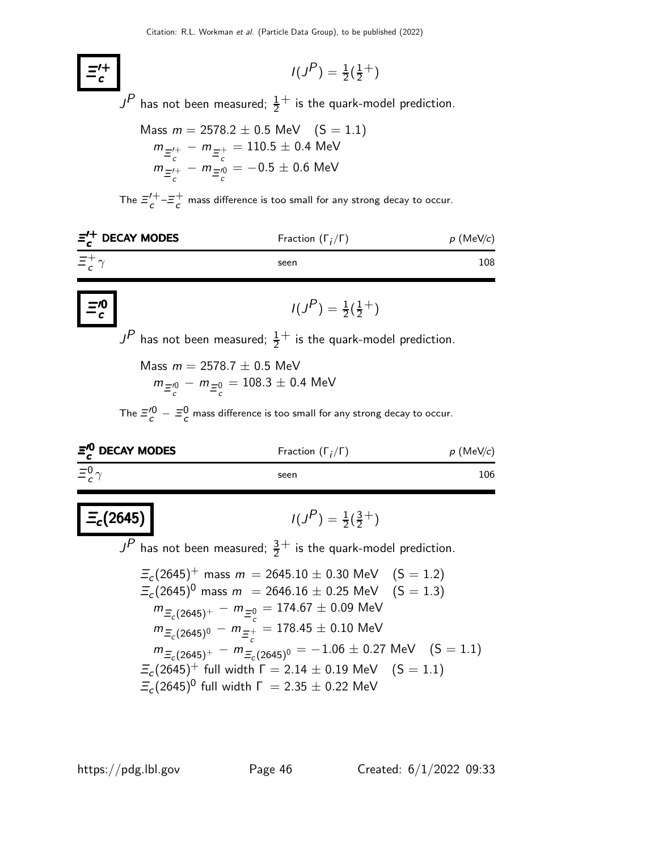$$
I(J^P) = \frac{1}{2}(\frac{1}{2}^+)
$$

 $J^{\textstyle P}$  has not been measured;  $\frac{1}{2}^+$  is the quark-model prediction.

Mass 
$$
m = 2578.2 \pm 0.5
$$
 MeV  $(S = 1.1)$   
\n
$$
m_{\Xi_c^{\prime+}} - m_{\Xi_c^+} = 110.5 \pm 0.4
$$
 MeV  
\n
$$
m_{\Xi_c^{\prime+}} - m_{\Xi_c^{\prime0}} = -0.5 \pm 0.6
$$
 MeV

The  $\Xi_{c}^{\prime+}$  $c^{++} = c^+$  $\sigma$  mass difference is too small for any strong decay to occur.

| $\Xi_{c}^{\prime+}$ DECAY MODES | Fraction $(\Gamma_i/\Gamma)$ | $p$ (MeV/c) |
|---------------------------------|------------------------------|-------------|
| $\Xi_{c}^{+}\gamma$             | seen                         | 108         |
|                                 |                              |             |

$$
I(J^P) = \frac{1}{2}(\frac{1}{2}^+)
$$

 $J^{\textstyle P}$  has not been measured;  $\frac{1}{2}^+$  is the quark-model prediction.

Mass  $m = 2578.7 \pm 0.5$  MeV  $m_{\Xi_c^{00}} - m_{\Xi_c^{0}} = 108.3 \pm 0.4$  MeV

The  $\bar{z}_c^{\prime 0} - \bar{z}_c^0$  mass difference is too small for any strong decay to occur.

| $\bar{z}_c^{\prime 0}$ DECAY MODES | Fraction $(\Gamma_i/\Gamma)$ | $p$ (MeV/c) |
|------------------------------------|------------------------------|-------------|
| $\equiv c^0 \gamma$                | seen                         | 106         |

$$
I(J^P) = \frac{1}{2}(\frac{3}{2}^+)
$$

 $J^{\textstyle P}$  has not been measured;  $\frac{3}{2}^+$  is the quark-model prediction.

$$
\begin{aligned}\n\Xi_c(2645)^+ \text{ mass } m &= 2645.10 \pm 0.30 \text{ MeV} \quad (S = 1.2) \\
\Xi_c(2645)^0 \text{ mass } m &= 2646.16 \pm 0.25 \text{ MeV} \quad (S = 1.3) \\
m_{\Xi_c(2645)^+} - m_{\Xi_c^0} &= 174.67 \pm 0.09 \text{ MeV} \\
m_{\Xi_c(2645)^0} - m_{\Xi_c^+} &= 178.45 \pm 0.10 \text{ MeV} \\
m_{\Xi_c(2645)^+} - m_{\Xi_c(2645)^0} &= -1.06 \pm 0.27 \text{ MeV} \quad (S = 1.1) \\
\Xi_c(2645)^+ \text{ full width } \Gamma &= 2.14 \pm 0.19 \text{ MeV} \quad (S = 1.1) \\
\Xi_c(2645)^0 \text{ full width } \Gamma &= 2.35 \pm 0.22 \text{ MeV}\n\end{aligned}
$$

Ξ ′+ c

Ξ ′0 c

 $\Xi_c(2645)$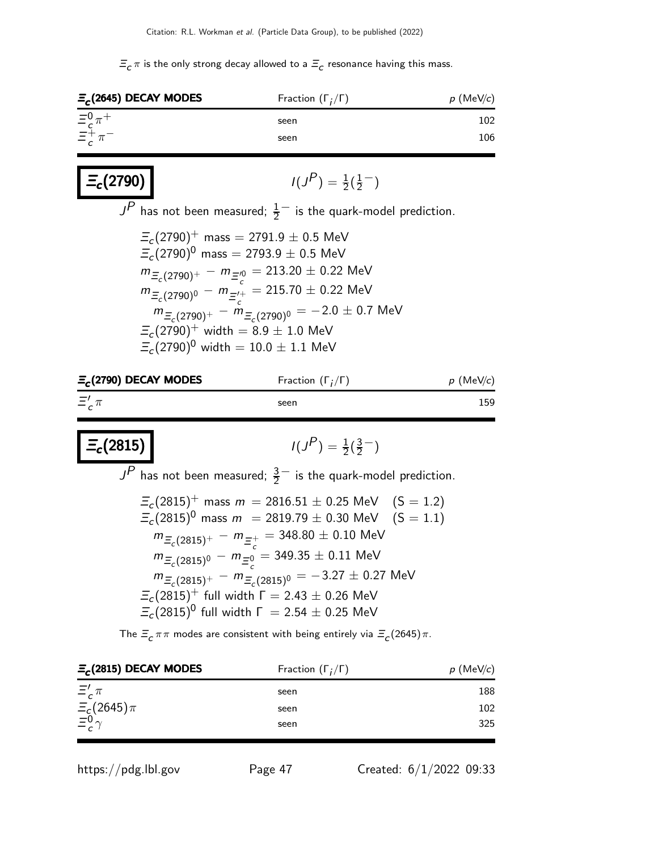$\Xi_c\,\pi$  is the only strong decay allowed to a  $\Xi_c$  resonance having this mass.

| $\Xi_c$ (2645) DECAY MODES                                                              | Fraction $(\Gamma_i/\Gamma)$                                                                                                                                                                                                                                                                                                                                                                                                         | $p$ (MeV/c)         |
|-----------------------------------------------------------------------------------------|--------------------------------------------------------------------------------------------------------------------------------------------------------------------------------------------------------------------------------------------------------------------------------------------------------------------------------------------------------------------------------------------------------------------------------------|---------------------|
| $\Xi_c^0 \pi^+$                                                                         | seen                                                                                                                                                                                                                                                                                                                                                                                                                                 | 102                 |
| $\Xi_c^+\pi^-$                                                                          | seen                                                                                                                                                                                                                                                                                                                                                                                                                                 | 106                 |
| $\vert$ $\Xi_c(2790)$ $\vert$                                                           | $I(J^P) = \frac{1}{2}(\frac{1}{2}^{-})$                                                                                                                                                                                                                                                                                                                                                                                              |                     |
|                                                                                         | $JP$ has not been measured; $\frac{1}{2}$ is the quark-model prediction.                                                                                                                                                                                                                                                                                                                                                             |                     |
| $\Xi_c(2790)^+$ width = 8.9 $\pm$ 1.0 MeV<br>$\Xi_c(2790)^0$ width = 10.0 $\pm$ 1.1 MeV | $\Xi_c(2790)^+$ mass = 2791.9 $\pm$ 0.5 MeV<br>$\Xi_c(2790)^0$ mass = 2793.9 $\pm$ 0.5 MeV<br>$m_{\Xi_c(2790)^+} - m_{\Xi_c^{0}} = 213.20 \pm 0.22$ MeV<br>$m_{\Xi_c(2790)^0} - m_{\Xi_c^{1+}} = 215.70 \pm 0.22$ MeV<br>$m_{\Xi_c(2790)^+} - m_{\Xi_c(2790)^0} = -2.0 \pm 0.7$ MeV                                                                                                                                                  |                     |
| $\Xi_c$ (2790) DECAY MODES                                                              | Fraction $(\Gamma_i/\Gamma)$                                                                                                                                                                                                                                                                                                                                                                                                         | $p \text{ (MeV/}c)$ |
| $\Xi'_c \pi$                                                                            | seen                                                                                                                                                                                                                                                                                                                                                                                                                                 | 159                 |
| $\equiv_c(2815)$                                                                        | $I(J^P) = \frac{1}{2}(\frac{3}{2}^{-})$<br>$JP$ has not been measured; $\frac{3}{2}$ is the quark-model prediction.                                                                                                                                                                                                                                                                                                                  |                     |
|                                                                                         | $\Xi_c(2815)^+$ mass $m = 2816.51 \pm 0.25$ MeV $(S = 1.2)$<br>$\Xi_c(2815)^0$ mass $m = 2819.79 \pm 0.30$ MeV $(S = 1.1)$<br>$m_{\Xi_c(2815)^+} - m_{\Xi_c^+} = 348.80 \pm 0.10$ MeV<br>$m_{\Xi_c(2815)^0} - m_{\Xi^0} = 349.35 \pm 0.11$ MeV<br>$m_{\Xi_c(2815)^+} - m_{\Xi_c(2815)^0} = -3.27 \pm 0.27$ MeV<br>$\Xi_c(2815)^+$ full width $\Gamma = 2.43 \pm 0.26$ MeV<br>$\Xi_c(2815)^0$ full width $\Gamma = 2.54 \pm 0.25$ MeV |                     |
|                                                                                         | The $\Xi_c \pi \pi$ modes are consistent with being entirely via $\Xi_c (2645) \pi$ .                                                                                                                                                                                                                                                                                                                                                |                     |
| $\Xi_c$ (2815) DECAY MODES                                                              | Fraction $(\Gamma_i/\Gamma)$                                                                                                                                                                                                                                                                                                                                                                                                         | $p \text{ (MeV/c)}$ |

| $E_c(2815)$ DECAY MODES               | Fraction $(\Gamma_i/\Gamma)$ | $p \text{ (MeV/c)}$ |
|---------------------------------------|------------------------------|---------------------|
| $\Xi'_c \pi$                          | seen                         | 188                 |
| $\frac{\Xi_c(2645)\pi}{\Xi^0 \gamma}$ | seen                         | 102                 |
|                                       | seen                         | 325                 |

https://pdg.lbl.gov Page 47 Created: 6/1/2022 09:33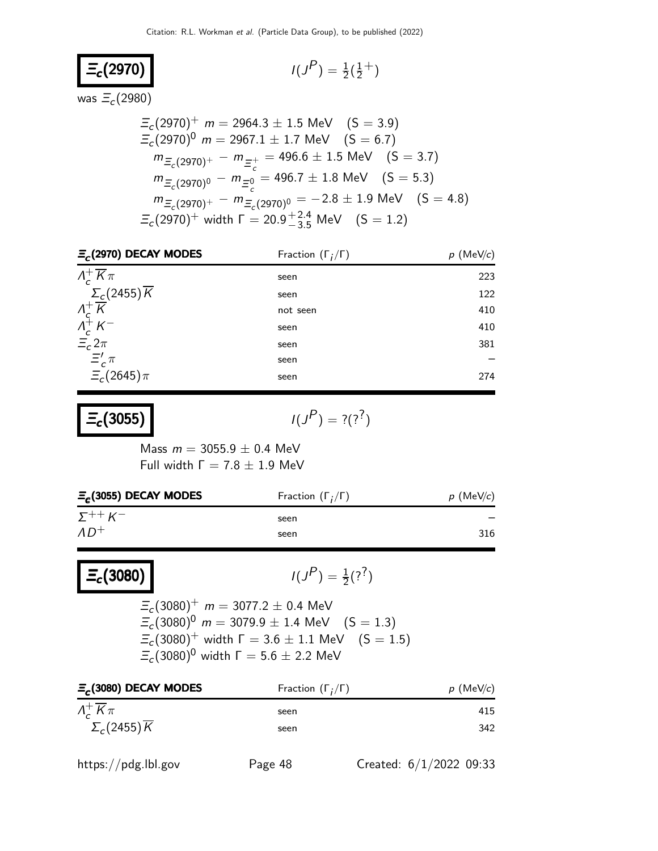$$
\Xi_c(2970) \qquad \qquad \qquad
$$

$$
I(J^P) = \frac{1}{2}(\frac{1}{2}^+)
$$

was  $\varXi_c(2980)$ 

$$
\begin{aligned}\n\Xi_c(2970)^+ & m = 2964.3 \pm 1.5 \text{ MeV} \quad (S = 3.9) \\
\Xi_c(2970)^0 & m = 2967.1 \pm 1.7 \text{ MeV} \quad (S = 6.7) \\
m_{\Xi_c(2970)^+} - m_{\Xi_c^+} & = 496.6 \pm 1.5 \text{ MeV} \quad (S = 3.7) \\
m_{\Xi_c(2970)^0} - m_{\Xi_c^0} & = 496.7 \pm 1.8 \text{ MeV} \quad (S = 5.3) \\
m_{\Xi_c(2970)^+} - m_{\Xi_c(2970)^0} & = -2.8 \pm 1.9 \text{ MeV} \quad (S = 4.8) \\
\Xi_c(2970)^+ \text{ width } \Gamma & = 20.9_{-3.5}^{+2.4} \text{ MeV} \quad (S = 1.2)\n\end{aligned}
$$

| $E_c$ (2970) DECAY MODES                                    | Fraction $(\Gamma_i/\Gamma)$ | $p$ (MeV/c) |
|-------------------------------------------------------------|------------------------------|-------------|
| $\Lambda_c^+ \overline{K} \pi$                              | seen                         | 223         |
| $\Sigma_c(2455)\overline{K}$                                | seen                         | 122         |
|                                                             | not seen                     | 410         |
| $\frac{\Lambda_c^+ \overline{K}}{\Lambda_c^+ \overline{K}}$ | seen                         | 410         |
| $\Xi_c 2\pi$                                                | seen                         | 381         |
| $\Xi'_{c} \pi$                                              | seen                         |             |
| $\Xi_c(2645)\pi$                                            | seen                         | 274         |

 $\Xi_c(3055)$ 

 $P$ ) = ?(?<sup>?</sup>)

Mass  $m = 3055.9 \pm 0.4$  MeV Full width  $Γ = 7.8 ± 1.9$  MeV

| $E_c(3055)$ DECAY MODES       | Fraction $(\Gamma_i/\Gamma)$ | $p$ (MeV/c) |
|-------------------------------|------------------------------|-------------|
| $\Sigma^{++}$ K <sup>-1</sup> | seen                         |             |
| $AD^+$                        | seen                         | 316         |
|                               |                              |             |

 $\Xi_c$ (3080)

 $P$ <sub>)</sub> =  $\frac{1}{2}$ (?<sup>?</sup>)

 $\varXi_c(3080)^+$   $m=3077.2\pm0.4$  MeV  $\Xi_c(3080)^0$  m = 3079.9  $\pm$  1.4 MeV  $(S = 1.3)$  $\Xi_c(3080)^+$  width  $\Gamma=3.6\pm1.1$  MeV  $\quad (\text{S}=1.5)$  $\varXi_c(3080)^0$  width  $\Gamma=5.6\pm2.2$  MeV

| Fraction $(\Gamma_i/\Gamma)$ | $p$ (MeV/c) |
|------------------------------|-------------|
| seen                         | 415         |
| seen                         | 342         |
|                              |             |

| https://pdg.lbl.gov |  |  |  |  |
|---------------------|--|--|--|--|
|---------------------|--|--|--|--|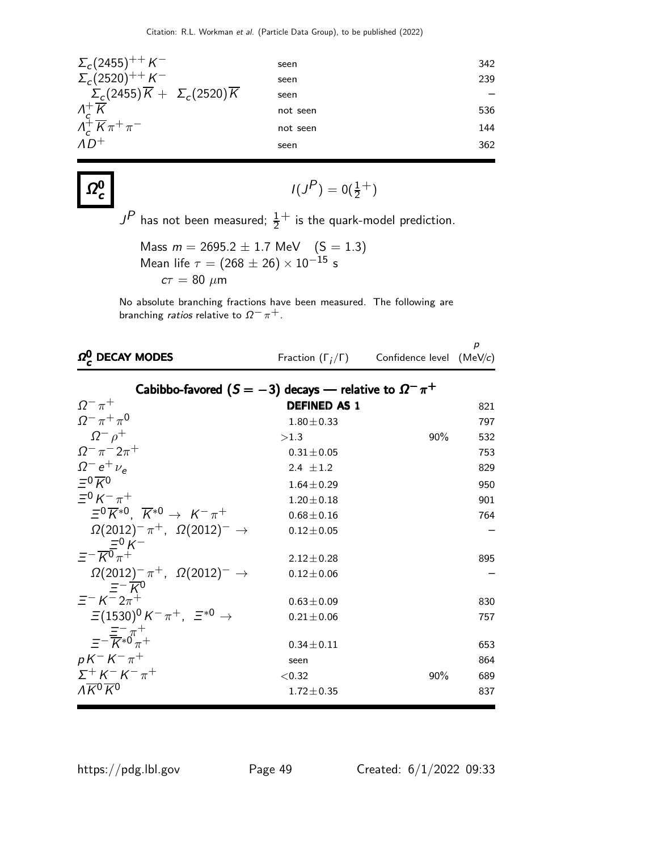| $\Sigma_c(2455)^{++} K^-$                                 | seen     | 342 |
|-----------------------------------------------------------|----------|-----|
| $\sum_{c} (2520)^{++} K^-$                                | seen     | 239 |
| $\Sigma_c(2455)\overline{K} + \Sigma_c(2520)\overline{K}$ | seen     |     |
| $\Lambda_c^+ \overline{K}$                                | not seen | 536 |
| $\Lambda_c^+ \overline{K} \pi^+ \pi^-$                    | not seen | 144 |
| $AD^+$                                                    | seen     | 362 |

 $I(J^P) = 0(\frac{1}{2}^+)$  $J^{\textstyle P}$  has not been measured;  $\frac{1}{2}^+$  is the quark-model prediction. Mass  $m = 2695.2 \pm 1.7 \text{ MeV}$   $(S = 1.3)$ Mean life  $\tau = (268 \pm 26) \times 10^{-15}$  s  $c\tau = 80 \mu m$ 

No absolute branching fractions have been measured. The following are branching *ratios* relative to  $\Omega^- \pi^+$ .

| $\Omega^0$ , DECAY MODES                                                  |                     | Fraction $(\Gamma_i/\Gamma)$ Confidence level (MeV/c) | p   |
|---------------------------------------------------------------------------|---------------------|-------------------------------------------------------|-----|
| Cabibbo-favored $(S = -3)$ decays — relative to $\Omega^- \pi^+$          |                     |                                                       |     |
| $\Omega^{-} \pi^{+}$                                                      | <b>DEFINED AS 1</b> |                                                       | 821 |
| $\Omega^- \pi^+ \pi^0$                                                    | $1.80 \pm 0.33$     |                                                       | 797 |
| $\Omega^- \rho^+$                                                         | >1.3                | 90%                                                   | 532 |
| $\Omega^{-} \pi^{-} 2\pi^{+}$                                             | $0.31 \pm 0.05$     |                                                       | 753 |
| $\Omega^- e^+ \nu_e$                                                      | 2.4 $\pm 1.2$       |                                                       | 829 |
| $= 0 \overline{K}0$                                                       | $1.64 \pm 0.29$     |                                                       | 950 |
| $= 0 \kappa^- \pi^+$                                                      | $1.20 \pm 0.18$     |                                                       | 901 |
| $\Xi^{0}\overline{K}^{*0}$ . $\overline{K}^{*0} \rightarrow K^{-}\pi^{+}$ | $0.68 \pm 0.16$     |                                                       | 764 |
| $\Omega(2012)^{-} \pi^{+}$ , $\Omega(2012)^{-} \rightarrow$               | $0.12 \pm 0.05$     |                                                       |     |
| $\equiv -\frac{\overline{e}^0}{K^0\pi^+}$                                 | $2.12 \pm 0.28$     |                                                       | 895 |
| $\Omega(2012)^{-} \pi^{+}$ , $\Omega(2012)^{-} \to$<br>$=-\overline{K}0$  | $0.12 \pm 0.06$     |                                                       |     |
| $\equiv$ – $K$ – $2\pi$ <sup>+</sup>                                      | $0.63 \pm 0.09$     |                                                       | 830 |
| $\Xi(1530)^{0} K^{-} \pi^{+}$ , $\Xi^{*0} \to$                            | $0.21 \pm 0.06$     |                                                       | 757 |
| $=-\frac{\overline{z}^{-}\pi}{K^{*0}\pi^{+}}$                             | $0.34 \pm 0.11$     |                                                       | 653 |
| $pK^-K^-\pi^+$                                                            | seen                |                                                       | 864 |
| $\Sigma^+ K^- K^- \pi^+$                                                  | < 0.32              | 90%                                                   | 689 |
| $\Lambda \overline{K}{}^0 \overline{K}{}^0$                               | $1.72 \pm 0.35$     |                                                       | 837 |

 $Ω<sub>c</sub><sup>0</sup>$ c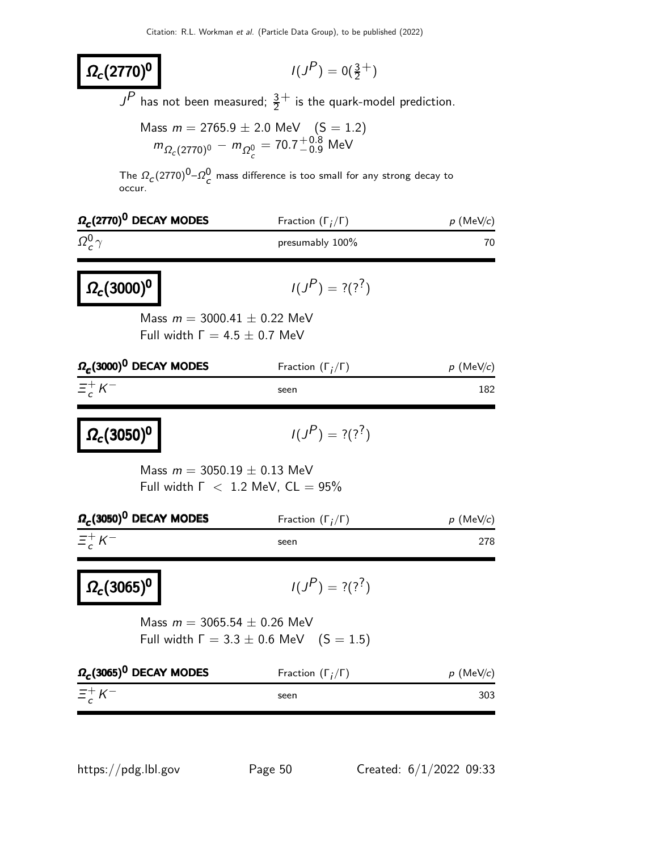# $P$ ) = 0( $\frac{3}{2}$ <sup>+</sup>)

 $\boxed{\Omega_c(2770)^{0}}$ 

 $J^P$  has not been measured;  $\frac{3}{2}^+$  is the quark-model prediction.

Mass 
$$
m = 2765.9 \pm 2.0
$$
 MeV  $(S = 1.2)$   
\n $m_{\Omega_c(2770)^0} - m_{\Omega_c^0} = 70.7^{+0.8}_{-0.9}$  MeV

The  $\Omega_{\rm c}(2770)^{\rm 0}$ – $\Omega_{\rm c}^{\rm 0}$  mass difference is too small for any strong decay to occur.

| $\Omega_c$ (2770) <sup>0</sup> DECAY MODES                                                                              | Fraction $(\Gamma_i/\Gamma)$                      | p (MeV/c)                        |
|-------------------------------------------------------------------------------------------------------------------------|---------------------------------------------------|----------------------------------|
| $\Omega_c^0 \gamma$                                                                                                     | presumably 100%                                   | 70                               |
| $\Omega_c(3000)^0$                                                                                                      | $I(J^{P}) = ?(?)^{7}$                             |                                  |
| Mass $m = 3000.41 \pm 0.22$ MeV<br>Full width $\Gamma = 4.5 \pm 0.7$ MeV                                                |                                                   |                                  |
| $\Omega_c(3000)^0$ DECAY MODES                                                                                          | Fraction $(\Gamma_i/\Gamma)$                      | $p \text{ (MeV/}c)$              |
| $E_c^+ K^-$                                                                                                             | seen                                              | 182                              |
| $\Omega_c(3050)^{0}$                                                                                                    | $I(J^P) = ?(?)^2$                                 |                                  |
| Mass $m = 3050.19 \pm 0.13$ MeV<br>Full width $\Gamma$ < 1.2 MeV, CL = 95%                                              |                                                   |                                  |
|                                                                                                                         |                                                   |                                  |
|                                                                                                                         | Fraction $(\Gamma_i/\Gamma)$                      |                                  |
|                                                                                                                         | seen                                              | 278                              |
|                                                                                                                         | $I(J^P) = ?(?)^?$                                 |                                  |
| $\Omega_c(3050)^{0}$ DECAY MODES<br>$E_c^+ K^-$<br>$\left \Omega_c(3065)^{0}\right $<br>Mass $m = 3065.54 \pm 0.26$ MeV | Full width $\Gamma = 3.3 \pm 0.6$ MeV $(S = 1.5)$ |                                  |
| $\Omega_c(3065)^0$ DECAY MODES                                                                                          | Fraction $(\Gamma_i/\Gamma)$                      | $p \,$ (MeV/c)<br>$p \,$ (MeV/c) |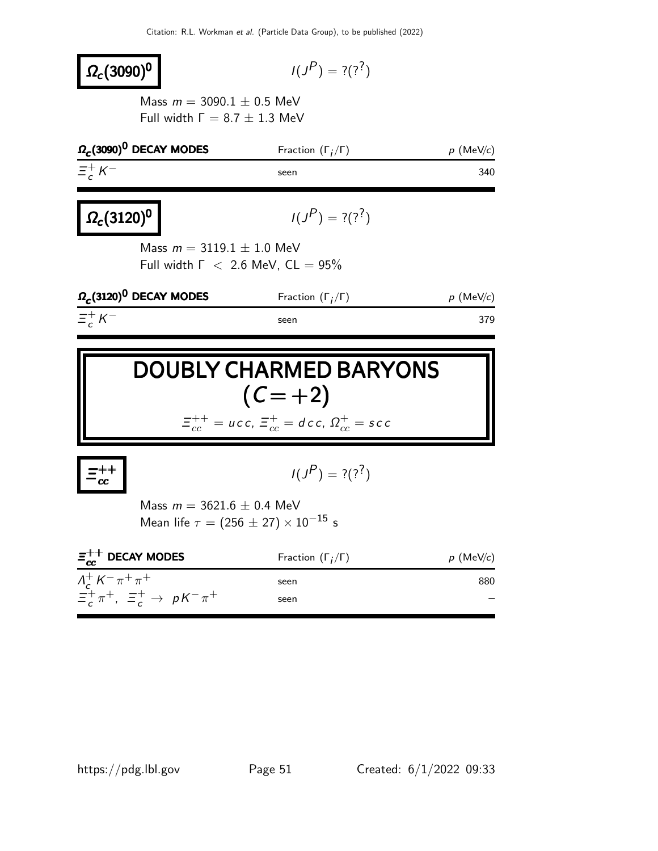#### $\Omega_c(3090)^0$  $P$ ) = ?(??) Mass  $m = 3090.1 \pm 0.5$  MeV Full width  $Γ = 8.7 ± 1.3$  MeV  $\Omega_c$ (3090)<sup>0</sup> DECAY MODES Fraction (Γ<sub>j</sub> Fraction  $(\Gamma_j/\Gamma)$  p (MeV/c)  $\equiv -\frac{1}{2}$  $\frac{+}{c}K$  $-$  seen 340  $\Omega_c(3120)^{0}$  $P$ ) = ?(??) Mass  $m = 3119.1 \pm 1.0$  MeV Full width  $\Gamma$  < 2.6 MeV,  $CL = 95\%$  $\Omega_c(3120)^{0}$  DECAY MODES Fraction (Γ<sub>j</sub> Fraction  $(\Gamma_j/\Gamma)$  p (MeV/c)  $\equiv_{c}^{+}$  $\frac{+}{c}K$ − seen 379

# DOUBLY CHARMED BARYONS  $(C = +2)$  $\varXi_{cc}^{++}=\textit{ucc},\, \varXi_{cc}^{+}=\textit{dec},\, \varOmega_{cc}^{+}=\textit{sec}$

 $\equiv_{cc}^{++}$  $\overset{~}{cc}$ 

$$
I(J^P) = ?(?^?)
$$

Mass  $m = 3621.6 \pm 0.4$  MeV Mean life  $\tau = (256 \pm 27) \times 10^{-15}$  s

| $\Xi_{cc}^{++}$ DECAY MODES             | Fraction $(\Gamma_i/\Gamma)$ | $p$ (MeV/c) |
|-----------------------------------------|------------------------------|-------------|
| $\Lambda_c^+ K^- \pi^+ \pi^+$           | seen                         | 880         |
| $\Xi_c^+\pi^+$ , $\Xi_c^+\to pK^-\pi^+$ | seen                         |             |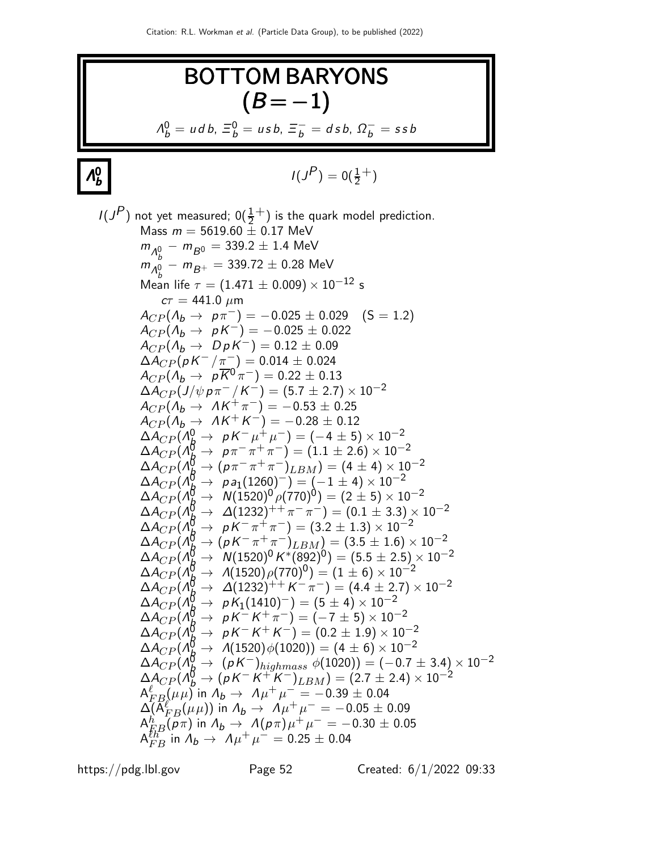**BOTTOM BARAYONS**  
\n
$$
(B = -1)
$$
\n
$$
\Lambda_b^0 = u \, d \, b, \ \Xi_b^0 = u \, s \, b, \ \Xi_b^- = d \, s \, b, \ \Omega_b^- = s \, s \, b
$$
\n
$$
I(J^P)
$$
\nnot yet measured;  $0(\frac{1}{2}^+)$  is the quark model prediction.  
\nMass  $m = 5619.60 \pm 0.17 \text{ MeV}$   
\n $m_{\Lambda_b^0} - m_{B^0} = 339.2 \pm 1.4 \text{ MeV}$   
\n $m_{\Lambda_b^0} - m_{B^+} = 339.72 \pm 0.28 \text{ MeV}$   
\nMean if  $\tau = (1.471 \pm 0.009) \times 10^{-12} \text{ s}$   
\n $\sigma = 441.0 \mu \text{m}$   
\n $A_{CP}(A_b \rightarrow p \pi^-) = -0.025 \pm 0.029 \text{ (S} = 1.2)$   
\n $A_{CP}(A_b \rightarrow p \pi^-) = -0.025 \pm 0.029 \text{ (S} = 1.2)$   
\n $A_{CP}(A_b \rightarrow p \pi^-) = -0.025 \pm 0.022 \text{ (S} = 1.2)$   
\n $A_{CP}(A_b \rightarrow p \pi^-) = 0.012 \pm 0.09 \text{ (S} = 1.2)$   
\n $A_{CP}(A_b \rightarrow p \pi^-) = 0.012 \pm 0.09 \text{ (S} = 1.2)$   
\n $A_{CP}(A_b \rightarrow p \pi^-) = 0.012 \pm 0.09 \text{ (S} = 1.2)$   
\n $A_{CP}(A_b \rightarrow p \pi^-) = 0.12 \pm 0.09 \text{ (S} = 1.2)$   
\n $A_{CP}(A_b \rightarrow p \pi^-) = 0.12 \pm 0.09 \text{ (S} = 1.2)$   
\n $A_{CP}(A_b \rightarrow p \pi^-) = (1.1 \pm 2.6) \times 10^{-2}$   
\n $A_{CP}(A_b \rightarrow p \pi^- \pi^+ \pi^-) = (1.1 \pm 2.6) \times 10^{-$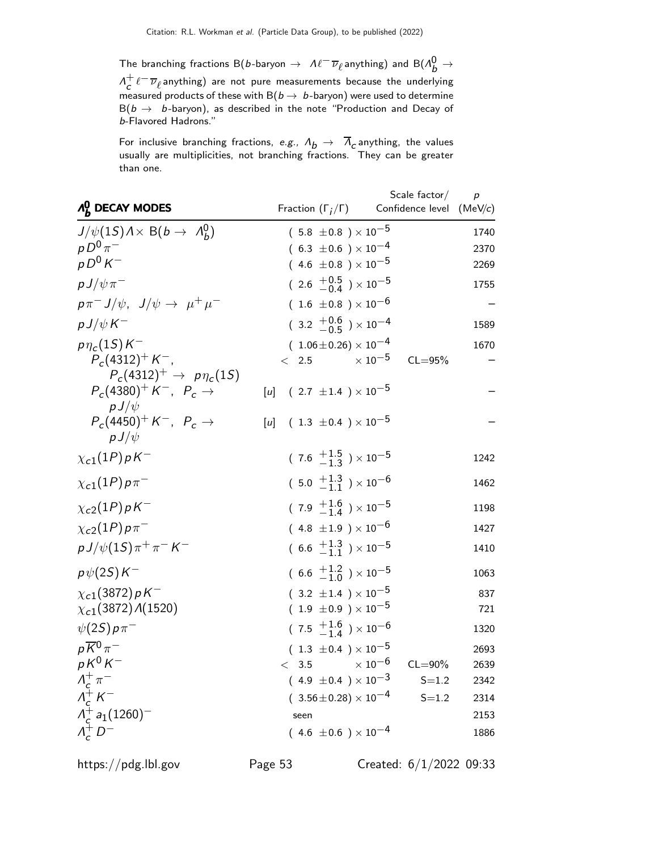The branching fractions B(b-baryon  $\to$   $\mathcal{M}^{\mathcal{-}}\overline{\nu}_\ell$ anything) and B( $\Lambda_b^0 \to$  $\Lambda^+$  $\frac{+}{c} \ell^- \overline{\nu}_{\ell}$ anything) are not pure measurements because the underlying measured products of these with B( $b\to\ b$ -baryon) were used to determine  $\mathsf{B}(b\to~b\text{-}b$ aryon), as described in the note "Production and Decay of b-Flavored Hadrons."

For inclusive branching fractions, *e.g.,*  $\Lambda_{\bm b} \rightarrow -\Lambda_{\bm c}$  anything, the values usually are multiplicities, not branching fractions. They can be greater than one.

| $\Lambda_h^0$ DECAY MODES                                                           | Fraction $(\Gamma_i/\Gamma)$              | Scale factor $/$<br>Confidence level (MeV/c) | $\boldsymbol{p}$ |
|-------------------------------------------------------------------------------------|-------------------------------------------|----------------------------------------------|------------------|
| $J/\psi(1S) \lambda \times B(b \to \Lambda_b^0)$                                    | $(.5.8 \pm 0.8) \times 10^{-5}$           |                                              | 1740             |
| $p D^{0} \pi^{-}$                                                                   | $(6.3 \pm 0.6) \times 10^{-4}$            |                                              | 2370             |
| $p D^0 K^-$                                                                         | $(4.6 \pm 0.8) \times 10^{-5}$            |                                              | 2269             |
| $pJ/\psi\pi^-$                                                                      | $(2.6 \frac{+0.5}{-0.4}) \times 10^{-5}$  |                                              | 1755             |
| $p\pi^- J/\psi$ , $J/\psi \rightarrow \mu^+ \mu^-$                                  | $(1.6 \pm 0.8) \times 10^{-6}$            |                                              |                  |
| $p J/\psi K^-$                                                                      | $(3.2 \frac{+0.6}{-0.5}) \times 10^{-4}$  |                                              | 1589             |
| $p\eta_c(1S)K^-$                                                                    | $(1.06\pm0.26)\times10^{-4}$              |                                              | 1670             |
| $P_c(4312)^+ K^-$ ,                                                                 | $\times$ 10 $^{-5}$<br>< 2.5              | $CL = 95%$                                   |                  |
| $P_c(4312)^+ \to p\eta_c(15)$<br>$P_c(4380)^+ K^-$ , $P_c \rightarrow$<br>$pJ/\psi$ | $(2.7 \pm 1.4) \times 10^{-5}$<br>[u]     |                                              |                  |
| $P_c(4450)^+ K^-$ , $P_c \rightarrow$<br>$pJ/\psi$                                  | $(1.3 \pm 0.4) \times 10^{-5}$<br>[u]     |                                              |                  |
| $\chi_{c1}(1P)\rho K^-$                                                             | $(7.6 \tfrac{+1.5}{-1.3}) \times 10^{-5}$ |                                              | 1242             |
| $\chi_{c1}(1P)\rho\pi^-$                                                            | $(5.0 \tfrac{+1.3}{-1.1}) \times 10^{-6}$ |                                              | 1462             |
| $\chi_{c2}(1P) pK^-$                                                                | $(7.9 \tfrac{+1.6}{-1.4}) \times 10^{-5}$ |                                              | 1198             |
| $\chi_{c2}(1P)p\pi^-$                                                               | $(4.8 \pm 1.9) \times 10^{-6}$            |                                              | 1427             |
| $p J/\psi(1S) \pi^+ \pi^- K^-$                                                      | $(6.6 \tfrac{+1.3}{-1.1}) \times 10^{-5}$ |                                              | 1410             |
| $p\psi(2S)K^-$                                                                      | $(6.6 \tfrac{+1.2}{-1.0}) \times 10^{-5}$ |                                              | 1063             |
| $\chi_{c1}(3872) pK^-$                                                              | $(3.2 \pm 1.4) \times 10^{-5}$            |                                              | 837              |
| $\chi_{c1}(3872)$ $\Lambda(1520)$                                                   | $(1.9 \pm 0.9) \times 10^{-5}$            |                                              | 721              |
| $\psi(2S) p \pi^-$                                                                  | $(7.5 \tfrac{+1.6}{-1.4}) \times 10^{-6}$ |                                              | 1320             |
| $p\overline{K}{}^0\pi^-$                                                            | $(1.3 \pm 0.4) \times 10^{-5}$            |                                              | 2693             |
| $pK^0K^-$                                                                           | $\times$ 10 $^{-6}$<br>< 3.5              | $CL = 90\%$                                  | 2639             |
| $\begin{array}{c}\nA_c^+ \pi^- \\ A_c^+ K^- \n\end{array}$                          | $(4.9 \pm 0.4) \times 10^{-3}$            | $S = 1.2$                                    | 2342             |
|                                                                                     | $(3.56 \pm 0.28) \times 10^{-4}$          | $S = 1.2$                                    | 2314             |
| $\Lambda_c^+ a_1(1260)^-$                                                           | seen                                      |                                              | 2153             |
| $\Lambda_c^+ D^-$                                                                   | $(4.6 \pm 0.6) \times 10^{-4}$            |                                              | 1886             |

https://pdg.lbl.gov Page 53 Created: 6/1/2022 09:33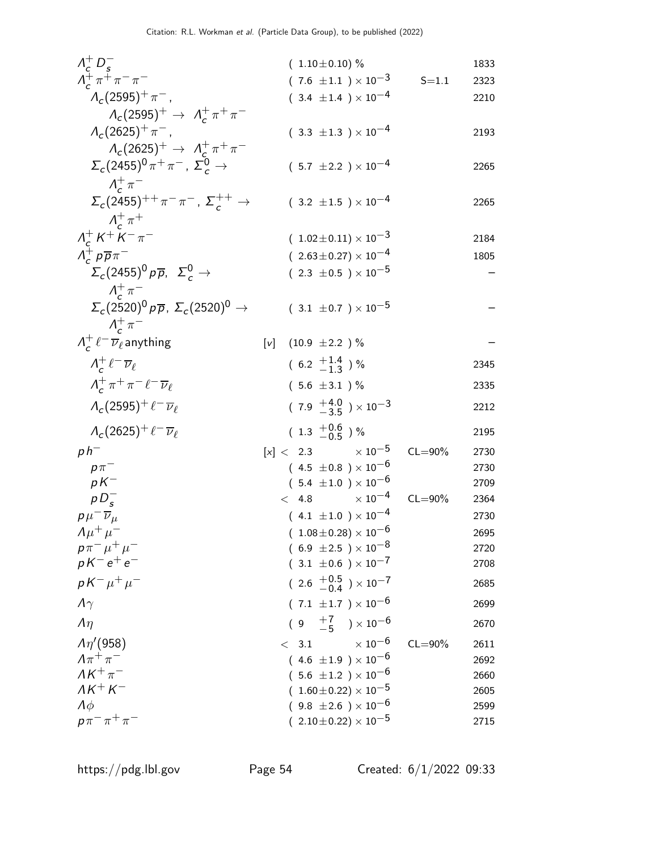|                                                                                               | $(1.10 \pm 0.10)$ %                       |             | 1833 |
|-----------------------------------------------------------------------------------------------|-------------------------------------------|-------------|------|
| $\begin{array}{l} \Lambda_c^+ \, D_s^- \\ \Lambda_c^+ \, \pi^+ \, \pi^- \, \pi^- \end{array}$ | $(7.6 \pm 1.1) \times 10^{-3}$            | $S = 1.1$   | 2323 |
| $\Lambda_c(2595)^+\pi^-$ ,                                                                    | $(3.4 \pm 1.4) \times 10^{-4}$            |             | 2210 |
| $\Lambda_c(2595)^+ \to \Lambda_c^+ \pi^+ \pi^-$                                               |                                           |             |      |
| $\Lambda_c(2625)^+\pi^-$ ,                                                                    | $(3.3 \pm 1.3) \times 10^{-4}$            |             | 2193 |
| $\Lambda_c(2625)^+ \to \Lambda_c^+ \pi^+ \pi^-$                                               |                                           |             |      |
| $\Sigma_c(2455)^0 \pi^+ \pi^-$ , $\Sigma_c^0 \rightarrow$                                     | $(5.7 \pm 2.2) \times 10^{-4}$            |             | 2265 |
| $\Lambda_{\sigma}^{+}\pi^{-}$                                                                 |                                           |             |      |
| $\Sigma_c(2455)^{++} \pi^- \pi^-$ , $\Sigma_c^{++} \to$                                       | $(3.2 \pm 1.5) \times 10^{-4}$            |             | 2265 |
| $\Lambda_c^+\pi^+$                                                                            |                                           |             |      |
| $\Lambda_c^+ K^+ K^- \pi^-$                                                                   | $(1.02 \pm 0.11) \times 10^{-3}$          |             | 2184 |
| $\Lambda_c^+ p \overline{p} \pi^-$                                                            | $(2.63 \pm 0.27) \times 10^{-4}$          |             | 1805 |
| $\Sigma_c(2455)^0 p\overline{p}$ , $\Sigma_c^0 \rightarrow$                                   | $(2.3 \pm 0.5) \times 10^{-5}$            |             |      |
|                                                                                               |                                           |             |      |
| $\Lambda_c^+\pi^-$                                                                            |                                           |             |      |
| $\Sigma_c(2520)^0 p\overline{p}$ , $\Sigma_c(2520)^0 \rightarrow$                             | $(3.1 \pm 0.7) \times 10^{-5}$            |             |      |
| $\Lambda_c^+\pi^-$                                                                            |                                           |             |      |
| $\Lambda_c^+ \ell^- \overline{\nu}_\ell$ anything                                             | $(10.9 \pm 2.2)$ %<br>[v]                 |             |      |
| $\Lambda_c^+ \ell^- \overline{\nu}_\ell$                                                      | $(6.2 \frac{+1.4}{1.3})$ %                |             | 2345 |
| $\Lambda_c^+\pi^+\pi^-\ell^-\overline{\nu}_\ell$                                              | $(5.6 \pm 3.1)$ %                         |             | 2335 |
| $\Lambda_c(2595)^+\ell^-\overline{\nu}_\ell$                                                  | $(7.9 \tfrac{+4.0}{-3.5}) \times 10^{-3}$ |             | 2212 |
| $\Lambda_c(2625)^+\ell^-\overline{\nu}_\ell$                                                  | $(1.3 \frac{+0.6}{-0.5})$ %               |             | 2195 |
| $ph^-$                                                                                        | $\times$ 10 $^{-5}$<br>[x] < 2.3          | $CL = 90\%$ | 2730 |
| $p\pi^-$                                                                                      | $(4.5 \pm 0.8) \times 10^{-6}$            |             | 2730 |
| $pK^-$                                                                                        | $(5.4 \pm 1.0) \times 10^{-6}$            |             | 2709 |
| $pD_s^-$                                                                                      | $\times$ 10 $^{-4}$<br>< 4.8              | $CL = 90\%$ | 2364 |
| $p\mu^{-}\overline{\nu}_{\mu}$                                                                | $(4.1 \pm 1.0) \times 10^{-4}$            |             | 2730 |
| $\Lambda \mu^+ \mu^-$                                                                         | $(1.08\pm0.28)\times10^{-6}$              |             | 2695 |
| $p\pi^-\mu^+\mu^-$                                                                            | $(6.9 \pm 2.5) \times 10^{-8}$            |             | 2720 |
| $pK^-e^+e^-$                                                                                  | $(3.1 \pm 0.6) \times 10^{-7}$            |             | 2708 |
| $pK^{-} \mu^{+} \mu^{-}$                                                                      | $(2.6 \frac{+0.5}{-0.4}) \times 10^{-7}$  |             | 2685 |
| $\Lambda\gamma$                                                                               | $(7.1 \pm 1.7) \times 10^{-6}$            |             | 2699 |
| $\Lambda$                                                                                     | $(9 + \frac{7}{5}) \times 10^{-6}$        |             | 2670 |
| $\Lambda\eta^{\prime}(958)$                                                                   | $\times$ 10 $^{-6}$<br>3.1<br>$\lt$       | $CL = 90\%$ | 2611 |
| $\Lambda \pi^+ \pi^-$                                                                         | $(4.6 \pm 1.9) \times 10^{-6}$            |             | 2692 |
| $\Lambda K^+\pi^-$                                                                            | $(.5.6 \pm 1.2) \times 10^{-6}$           |             | 2660 |
| $\Lambda K^+ K^-$                                                                             | $(1.60 \pm 0.22) \times 10^{-5}$          |             | 2605 |
| $\Lambda \phi$                                                                                | $(9.8 \pm 2.6) \times 10^{-6}$            |             | 2599 |
| $p\pi^{-}\pi^{+}\pi^{-}$                                                                      | $(~2.10\!\pm\!0.22)\times 10^{-5}$        |             | 2715 |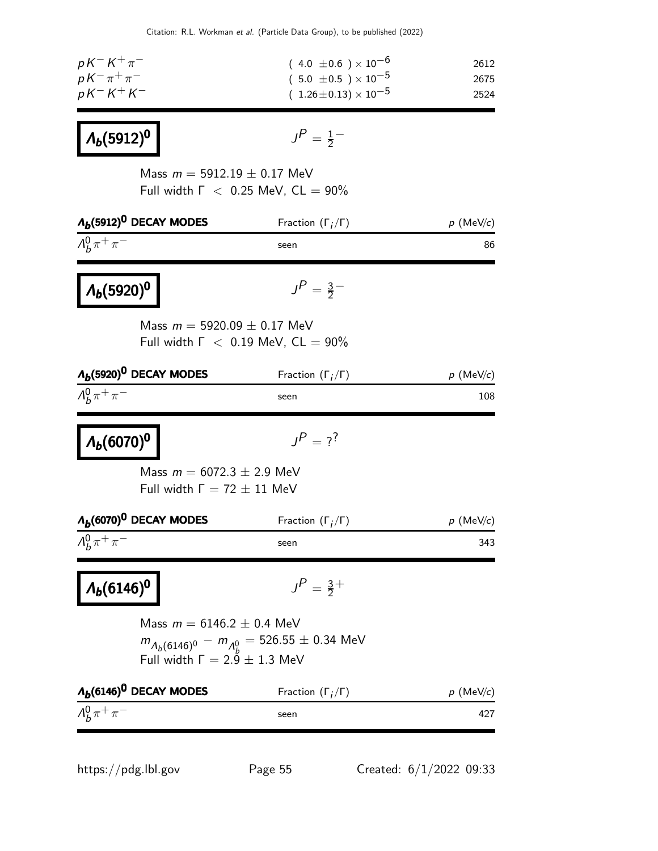| $pK^-K^+\pi^-$         | $(4.0 \pm 0.6) \times 10^{-6}$   | 2612 |
|------------------------|----------------------------------|------|
| $pK^{-}\pi^{+}\pi^{-}$ | $(5.0 \pm 0.5) \times 10^{-5}$   | 2675 |
| $pK^-K^+K^-$           | $(1.26 \pm 0.13) \times 10^{-5}$ | 2524 |

# $Λ<sub>b</sub>(5912)$ <sup>0</sup>

$$
\mathsf{J}^{\textstyle{P}} = \tfrac{1}{2}^-
$$

Mass  $m = 5912.19 \pm 0.17$  MeV Full width  $\Gamma$  < 0.25 MeV,  $CL = 90\%$ 

| $\Lambda_b(5912)^0$ DECAY MODES                                      | Fraction $(\Gamma_i/\Gamma)$                        | $p$ (MeV/c)                  |
|----------------------------------------------------------------------|-----------------------------------------------------|------------------------------|
| $\Lambda_h^0 \pi^+ \pi^-$                                            | seen                                                | 86                           |
| $\Lambda_b(5920)^0$                                                  | $J^P = \frac{3}{2}$                                 |                              |
| Mass $m = 5920.09 \pm 0.17$ MeV                                      | Full width $\Gamma$ < 0.19 MeV, $CL = 90\%$         |                              |
| $\Lambda_b(5920)^0$ DECAY MODES                                      | Fraction $(\Gamma_i/\Gamma)$                        | $p \,\,(\mathrm{MeV}\!/\!c)$ |
| $\Lambda_h^0 \pi^+ \pi^-$                                            | seen                                                | 108                          |
| $\Lambda_b(6070)^0$                                                  | $J^P = ?^?$                                         |                              |
| Mass $m = 6072.3 \pm 2.9$ MeV<br>Full width $\Gamma = 72 \pm 11$ MeV |                                                     |                              |
| $\Lambda_b(6070)^0$ DECAY MODES                                      | Fraction $(\Gamma_i/\Gamma)$                        | $p \text{ (MeV/}c)$          |
| $\Lambda_h^0 \pi^+ \pi^-$                                            | seen                                                | 343                          |
| $\Lambda_b(6146)^0$                                                  | $J^P = \frac{3}{2}$ +                               |                              |
| Mass $m = 6146.2 \pm 0.4$ MeV                                        |                                                     |                              |
| Full width $\Gamma = 2.9 \pm 1.3$ MeV                                | $m_{A_h(6146)^0} - m_{A_h^0} = 526.55 \pm 0.34$ MeV |                              |
| $\Lambda_b(6146)^0$ DECAY MODES                                      | Fraction $(\Gamma_i/\Gamma)$                        | $p \,$ (MeV/c)               |
| $\Lambda_h^0 \pi^+ \pi^-$                                            | seen                                                | 427                          |

https://pdg.lbl.gov Page 55 Created: 6/1/2022 09:33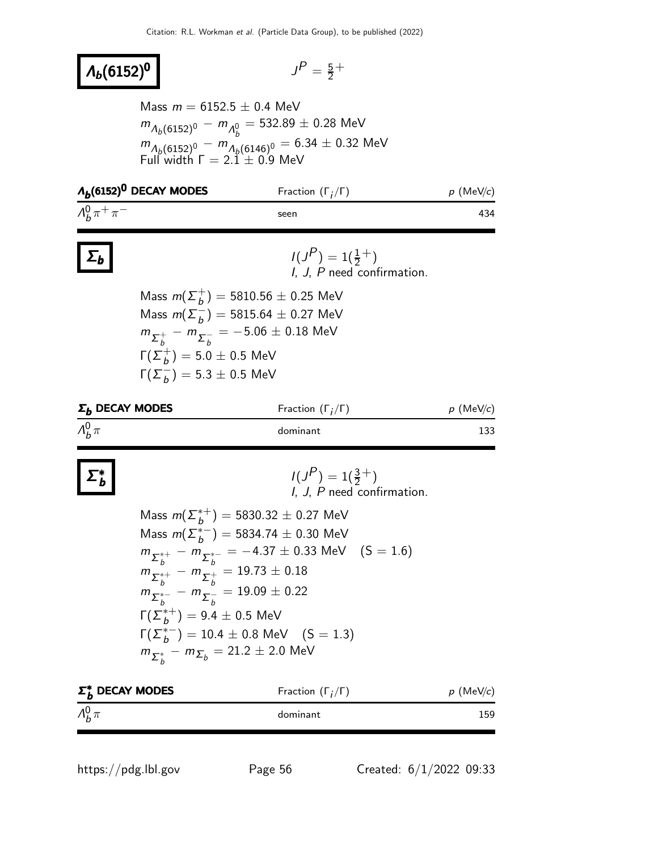#### $\Lambda_b(6152)^0$   $\blacksquare$

$$
J^P = \frac{5}{2}^+
$$

Mass  $m = 6152.5 \pm 0.4$  MeV  $m_{\Lambda_b(6152)^0} - m_{\Lambda_b^0} = 532.89 \pm 0.28$  MeV  $m_{A_b(6152)^0} - m_{A_b(6146)^0} = 6.34 \pm 0.32$  MeV Full width  $\Gamma = 2.\tilde{1} \pm 0.9$  MeV

| $\Lambda_b(6152)^0$ DECAY MODES | Fraction $(\Gamma_i/\Gamma)$ | $p$ (MeV/c) |
|---------------------------------|------------------------------|-------------|
| $\Lambda_h^0 \pi^+ \pi^-$       | seen                         | 434         |

## $\Sigma_b$

Σ ∗ b

#### $I(J^P) = 1(\frac{1}{2}^+)$ I, J, P need confirmation.

Mass  $m(\Sigma_h^+$  $\dot{b}^+) = 5810.56 \pm 0.25$  MeV Mass  $m(\Sigma_h^-)$  $\overline{b}_b^-$ ) = 5815.64  $\pm$  0.27 MeV  $m_{\Sigma_b^+} - m_{\Sigma_b^-}$ b  $= -5.06 \pm 0.18$  MeV  $\Gamma(\Sigma_h^+$  $\mathcal{b}^+_{b})=5.0\pm0.5$  MeV  $Γ(Σ<sub>b</sub><sup>-</sup>)$  $\overline{b}$ ) = 5.3  $\pm$  0.5 MeV

| $\Sigma_h$ DECAY MODES | Fraction $(\Gamma_i/\Gamma)$ | $p$ (MeV/c) |
|------------------------|------------------------------|-------------|
| $\Lambda_h^0 \pi$      | dominant                     | 133         |

$$
I(JP) = 1(\frac{3}{2}^+)
$$
  
I, J, P need confirmation.

Mass 
$$
m(\Sigma_b^{*+}) = 5830.32 \pm 0.27
$$
 MeV  
\nMass  $m(\Sigma_b^{*-}) = 5834.74 \pm 0.30$  MeV  
\n $m_{\Sigma_b^{*+}} - m_{\Sigma_b^{*-}} = -4.37 \pm 0.33$  MeV (S = 1.6)  
\n $m_{\Sigma_b^{*+}} - m_{\Sigma_b^{+}} = 19.73 \pm 0.18$   
\n $m_{\Sigma_b^{*-}} - m_{\Sigma_b^{-}} = 19.09 \pm 0.22$   
\n $\Gamma(\Sigma_b^{*+}) = 9.4 \pm 0.5$  MeV  
\n $\Gamma(\Sigma_b^{*-}) = 10.4 \pm 0.8$  MeV (S = 1.3)  
\n $m_{\Sigma_b^{*}} - m_{\Sigma_b} = 21.2 \pm 2.0$  MeV

| $\Sigma_h^*$ DECAY MODES | Fraction $(\Gamma_i/\Gamma)$ | $p$ (MeV/c) |
|--------------------------|------------------------------|-------------|
| $\Lambda_h^0 \pi$        | dominant                     | 159         |
|                          |                              |             |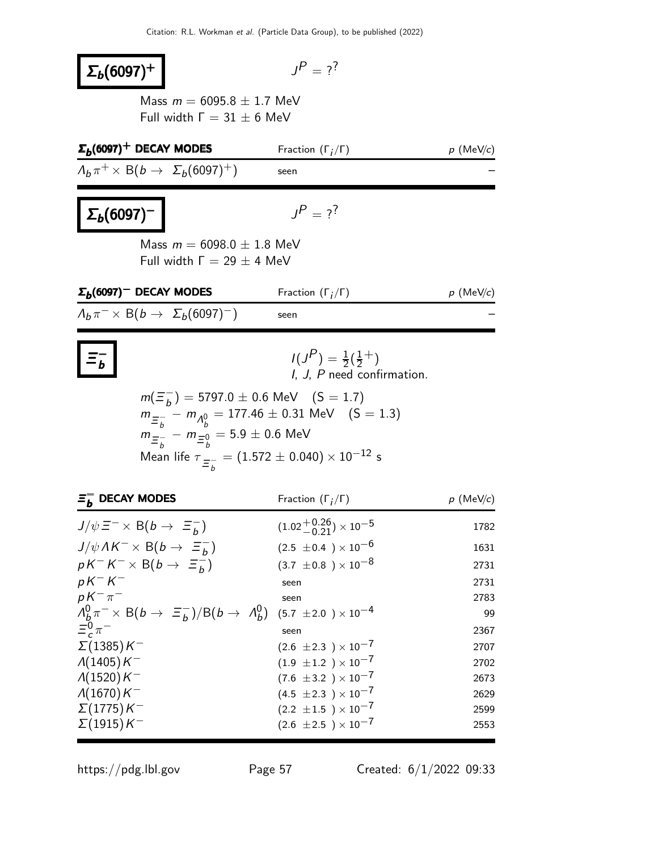| $\Sigma_b(6097)^+$                                                                                                                                                                                                                          | $I^P = 2^7$                                                             |                     |
|---------------------------------------------------------------------------------------------------------------------------------------------------------------------------------------------------------------------------------------------|-------------------------------------------------------------------------|---------------------|
| Mass $m = 6095.8 \pm 1.7$ MeV<br>Full width $\Gamma = 31 \pm 6$ MeV                                                                                                                                                                         |                                                                         |                     |
| $\Sigma_b(6097)^+$ DECAY MODES                                                                                                                                                                                                              | Fraction $(\Gamma_i/\Gamma)$                                            | $p \text{ (MeV/c)}$ |
| $\Lambda_b \pi^+ \times B(b \to \Sigma_b (6097)^+)$                                                                                                                                                                                         | seen                                                                    |                     |
| $\Sigma_b(6097)^-$                                                                                                                                                                                                                          | $J^P = ?^?$                                                             |                     |
| Mass $m = 6098.0 \pm 1.8$ MeV<br>Full width $\Gamma = 29 \pm 4$ MeV                                                                                                                                                                         |                                                                         |                     |
| $\Sigma_b(6097)^-$ DECAY MODES                                                                                                                                                                                                              | Fraction $(\Gamma_i/\Gamma)$                                            | $p$ (MeV/c)         |
| $A_h \pi^- \times B(b \rightarrow \Sigma_h(6097)^-)$                                                                                                                                                                                        | seen                                                                    |                     |
| $m(\Xi_b^{-}) = 5797.0 \pm 0.6$ MeV $(S = 1.7)$<br>$m_{\Xi_b^-} - m_{\Lambda_b^0} = 177.46 \pm 0.31$ MeV (S = 1.3)<br>$m_{\Xi_h^-} - m_{\Xi_h^0} = 5.9 \pm 0.6$ MeV<br>Mean life $\tau_{\Xi_{h}^{-}} = (1.572 \pm 0.040) \times 10^{-12}$ s | $I(J^{P}) = \frac{1}{2}(\frac{1}{2}^{+})$<br>I, J, P need confirmation. |                     |
| $\bar{z}_b^-$ DECAY MODES                                                                                                                                                                                                                   | Fraction $(\Gamma_i/\Gamma)$                                            | $p \text{ (MeV/c)}$ |
| $J/\psi \equiv^- \times B(b \to \equiv^-_h)$                                                                                                                                                                                                | $(1.02 + 0.26) \times 10^{-5}$                                          | 1782                |
| $J/\psi\Lambda K^{-} \times B(b \to \Xi_{b}^{-})$                                                                                                                                                                                           | $(2.5 \pm 0.4) \times 10^{-6}$                                          | 1631                |
| $pK^{-}K^{-} \times B(b \rightarrow \Xi_{b}^{-})$                                                                                                                                                                                           | $(3.7 \pm 0.8) \times 10^{-8}$                                          | 2731                |
| $pK-K^-$<br>$pK^{-}\pi^{-}$                                                                                                                                                                                                                 | seen                                                                    | 2731                |
| $\Lambda_b^0 \pi^- \times B(b \to \Xi_b^-)/B(b \to \Lambda_b^0)$                                                                                                                                                                            | seen<br>$(5.7 \pm 2.0) \times 10^{-4}$                                  | 2783<br>99          |
| $\Xi_c^0 \pi^-$                                                                                                                                                                                                                             | seen                                                                    | 2367                |
| $\Sigma(1385)K^{-}$                                                                                                                                                                                                                         | $(2.6 \pm 2.3) \times 10^{-7}$                                          | 2707                |
| $\Lambda(1405)K^-$                                                                                                                                                                                                                          | $(1.9 \pm 1.2) \times 10^{-7}$                                          | 2702                |
| $\Lambda(1520)K^-$                                                                                                                                                                                                                          | $(7.6 \pm 3.2) \times 10^{-7}$                                          | 2673                |
| $\Lambda(1670)K^-$                                                                                                                                                                                                                          | $(4.5 \pm 2.3) \times 10^{-7}$                                          | 2629                |
| $\Sigma(1775)K^{-}$<br>$\Sigma(1915)K^-$                                                                                                                                                                                                    | $(2.2 \pm 1.5) \times 10^{-7}$<br>$(2.6 \pm 2.5) \times 10^{-7}$        | 2599<br>2553        |

https://pdg.lbl.gov Page 57 Created: 6/1/2022 09:33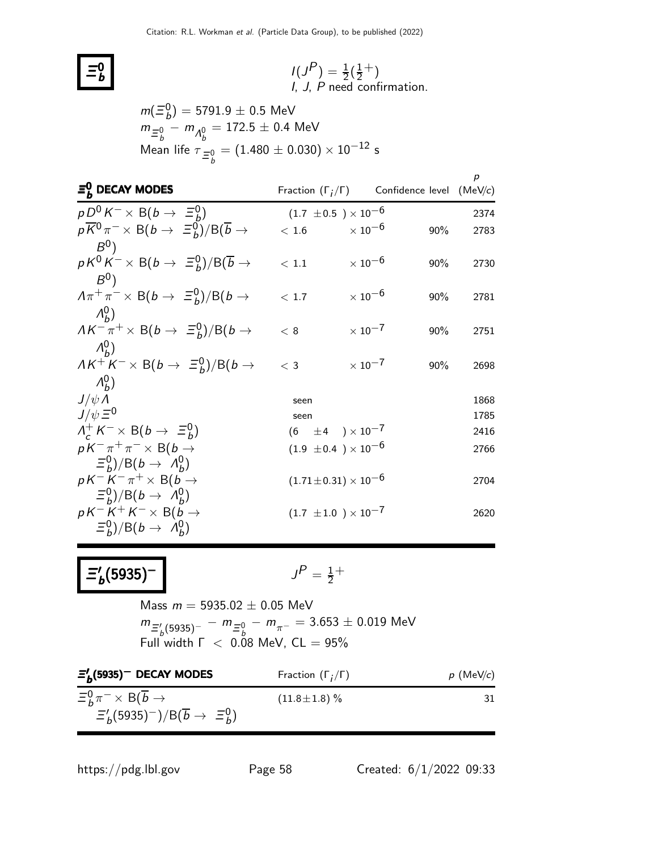

$$
I(JP) = \frac{1}{2}(\frac{1}{2}^+)
$$
  
*I, J, P* need confirmation.

$$
m(\Xi_b^0) = 5791.9 \pm 0.5 \text{ MeV}
$$
  
\n
$$
m_{\Xi_b^0} - m_{\Lambda_b^0} = 172.5 \pm 0.4 \text{ MeV}
$$
  
\nMean life  $\tau_{\Xi_b^0} = (1.480 \pm 0.030) \times 10^{-12} \text{ s}$ 

| $\Xi_{h}^{0}$ DECAY MODES                                                                      | Fraction $(\Gamma_i/\Gamma)$     |                           | Confidence level (MeV/c) | р            |
|------------------------------------------------------------------------------------------------|----------------------------------|---------------------------|--------------------------|--------------|
| $pD^0 K^- \times B(b \rightarrow \Xi_b^0)$                                                     | $(1.7 \pm 0.5) \times 10^{-6}$   |                           |                          | 2374         |
| $p\overline{K}^0 \pi^- \times B(b \to \Xi_b^0)/B(\overline{b} \to$                             | < 1.6                            | $\times$ 10 <sup>-6</sup> | 90%                      | 2783         |
| $B^0$<br>$pK^0K^{-} \times B(b \to \Xi_b^0)/B(\overline{b} \to$<br>$B^{0}$                     | < 1.1                            | $\times$ 10 $^{-6}$       | 90%                      | 2730         |
| $A\pi^+\pi^ \times$ B(b $\rightarrow$ $\Xi_b^0$ )/B(b $\rightarrow$                            | < 1.7                            | $\times$ 10 <sup>-6</sup> | 90%                      | 2781         |
| $\Lambda_{h}^{0}$ )<br>$AK^{-} \pi^{+} \times B(b \rightarrow \Xi_{b}^{0})/B(b \rightarrow$    | < 8                              | $\times$ 10 <sup>-7</sup> | 90%                      | 2751         |
| $\Lambda_{\mu}^{0}$<br>$AK^+K^- \times B(b \to \Xi_b^0)/B(b \to$                               | $<$ 3                            | $\times$ 10 $^{-7}$       | 90%                      | 2698         |
| $\Lambda_{h}^{0}$ )<br>$J/\psi \Lambda$<br>$J/\psi \equiv 0$                                   | seen<br>seen                     |                           |                          | 1868<br>1785 |
| $\Lambda_c^+ K^- \times B(b \to \Xi_b^0)$                                                      | $(6 \pm 4) \times 10^{-7}$       |                           |                          | 2416         |
| $pK^{-}\pi^{+}\pi^{-} \times B(b \rightarrow$<br>$\Xi_b^0$ )/B(b $\rightarrow$ $\Lambda_b^0$ ) | $(1.9 \pm 0.4) \times 10^{-6}$   |                           |                          | 2766         |
| $pK^-K^-\pi^+\times B(b\to$<br>$\Xi_b^0$ )/B(b $\rightarrow$ $\Lambda_b^0$ )                   | $(1.71 \pm 0.31) \times 10^{-6}$ |                           |                          | 2704         |
| $pK^-K^+K^- \times B(b \rightarrow$<br>$(\Xi_b^0)/B(b \to \Lambda_b^0)$                        | $(1.7 \pm 1.0) \times 10^{-7}$   |                           |                          | 2620         |

$$
\Xi_b^{\prime}(5935)^-\qquad \qquad \qquad \Box
$$

$$
J^P = \frac{1}{2}^+
$$

Mass  $m = 5935.02 \pm 0.05$  MeV  $m_{\Xi_b^\prime (5935)^-} - m_{\Xi_b^0} - m_{\pi^-} = 3.653 \pm 0.019$  MeV Full width  $\Gamma$   $<$  0.08 MeV, CL  $=$  95%

| $\Xi_b^{\prime}$ (5935) <sup>--</sup> DECAY MODES                                                                                   | Fraction $(\Gamma_i/\Gamma)$ | $p$ (MeV/c) |
|-------------------------------------------------------------------------------------------------------------------------------------|------------------------------|-------------|
| $\Xi_b^0 \pi^- \times B(\overline{b} \rightarrow$<br>$\Xi_b^{\prime}$ (5935) <sup>-</sup> )/B( $\overline{b} \rightarrow \Xi_b^0$ ) | $(11.8 \pm 1.8)$ %           | 31          |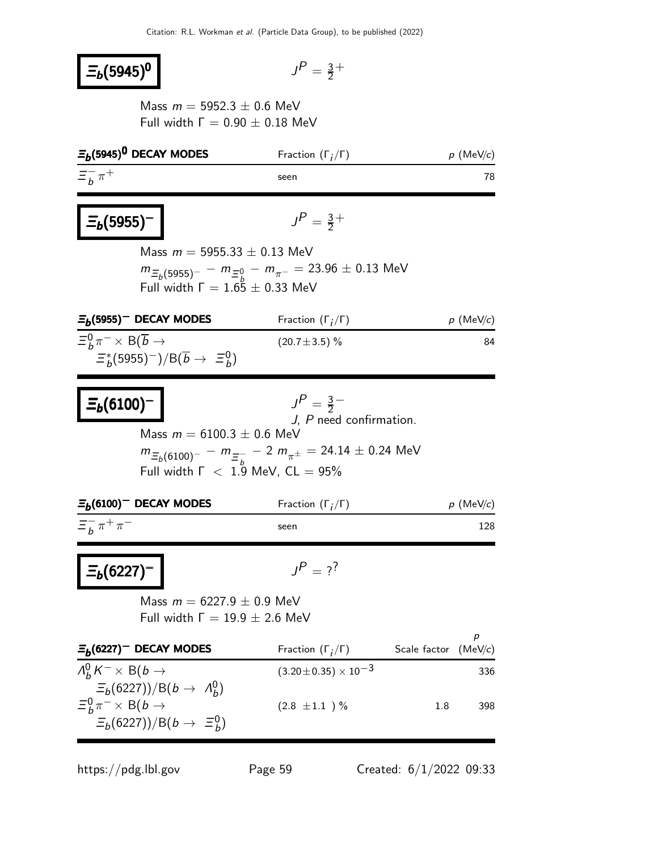# $\equiv_b (5945)^0$

$$
J^P = \frac{3}{2}^+
$$

Mass  $m = 5952.3 \pm 0.6$  MeV Full width  $Γ = 0.90 ± 0.18$  MeV

| $\Xi_b$ (5945) <sup>0</sup> DECAY MODES                                                                                                              | Fraction $(\Gamma_i/\Gamma)$                                                                                                                                             | $p \text{ (MeV/}c)$          |
|------------------------------------------------------------------------------------------------------------------------------------------------------|--------------------------------------------------------------------------------------------------------------------------------------------------------------------------|------------------------------|
| $\Xi^-_h \pi^+$                                                                                                                                      | seen                                                                                                                                                                     | 78                           |
| $\frac{1}{2}$ = $(5955)^{-}$<br>Mass $m = 5955.33 \pm 0.13$ MeV<br>Full width $\Gamma = 1.65 \pm 0.33$ MeV                                           | $J^P = \frac{3}{2}^+$<br>$m_{\Xi_b(5955)^-} - m_{\Xi_b^0} - m_{\pi^-} = 23.96 \pm 0.13$ MeV                                                                              |                              |
| $E_b(5955)$ <sup>-</sup> DECAY MODES                                                                                                                 | Fraction $(\Gamma_i/\Gamma)$                                                                                                                                             | $p \,$ (MeV/c)               |
| $\Xi_b^0 \pi^- \times B(\overline{b} \to$<br>$\Xi_b^*(5955)^-)/B(\overline{b} \to \Xi_b^0)$                                                          | $(20.7 \pm 3.5)\%$                                                                                                                                                       | 84                           |
| $\sum_{b} (6100)^{-}$<br>Mass $m = 6100.3 \pm 0.6$ MeV                                                                                               | $J^P = \frac{3}{2}$<br>J, P need confirmation.<br>$m_{\Xi_b(6100)^-} - m_{\Xi_h^-} - 2 m_{\pi^{\pm}} = 24.14 \pm 0.24$ MeV<br>Full width $\Gamma$ < 1.9 MeV, $CL = 95\%$ |                              |
| $\Xi_b(6100)^-$ DECAY MODES                                                                                                                          | Fraction $(\Gamma_i/\Gamma)$                                                                                                                                             | $p \text{ (MeV/}c)$          |
| $\Xi_{b}^{-}$ $\pi^{+}$ $\pi^{-}$                                                                                                                    | seen                                                                                                                                                                     | 128                          |
| $E_b(6227)^-$<br>Mass $m = 6227.9 \pm 0.9$ MeV<br>Full width $\Gamma = 19.9 \pm 2.6$ MeV                                                             | $J^P = ?^?$                                                                                                                                                              |                              |
| $\Xi_b(6227)$ <sup>-</sup> DECAY MODES                                                                                                               | Fraction $(\Gamma_i/\Gamma)$                                                                                                                                             | р<br>Scale factor<br>(MeV/c) |
| $\Lambda_h^0 K^- \times B(b \to$<br>$\Xi_b(6227))/B(b \to \Lambda_h^0)$<br>$\Xi_b^0 \pi^- \times B(b \to$<br>$\Xi_b(6227))/B(b \rightarrow \Xi_b^0)$ | $(3.20 \pm 0.35) \times 10^{-3}$<br>$(2.8 \pm 1.1)$ %                                                                                                                    | 336<br>1.8<br>398            |

https://pdg.lbl.gov Page 59 Created: 6/1/2022 09:33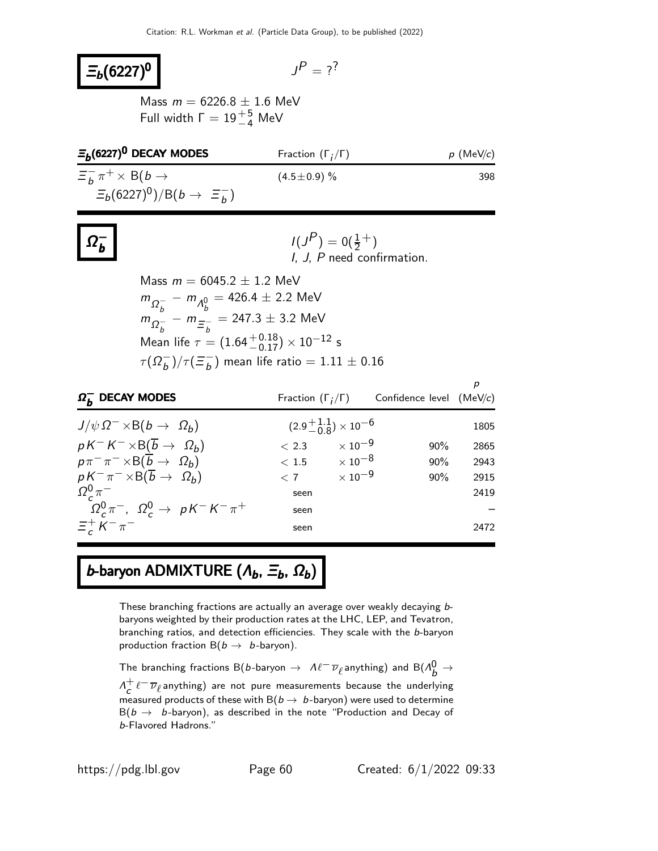# $\Xi_b(6227)^0$

$$
J^P = ?^?
$$

Mass  $m = 6226.8 \pm 1.6$  MeV Full width  $\Gamma = 19^{+5}_{-4}$  MeV

| $E_h(6227)^0$ DECAY MODES                    | Fraction $(\Gamma_i/\Gamma)$ | $p$ (MeV/c) |
|----------------------------------------------|------------------------------|-------------|
| $\Xi_{b}^{-} \pi^{+} \times B(b \rightarrow$ | $(4.5 \pm 0.9)$ %            | 398         |
| $E_b(6227)^0)/B(b \to \Xi_b^-)$              |                              |             |

|--|

$$
I(JP) = 0(\frac{1}{2}^+)
$$
  
*I, J, P* need confirmation.

Mass  $m = 6045.2 \pm 1.2$  MeV  $m_{\Omega_h^-} - m_{\Lambda_h^0} = 426.4 \pm 2.2$  MeV  $m_{\Omega_b^-}^2 - m_{\Xi_b^-}^2$  $\frac{1}{b} - m_{\equiv \frac{1}{b}}$ b  $= 247.3 \pm 3.2$  MeV Mean life  $\tau = (1.64 {+0.18 \atop -0.17}) \times 10^{-12}$  s  $\tau(\Omega_h^{-})$  $\frac{1}{b}$ )/ $\tau (\equiv_b^ \bar{b}_b^-$ ) mean life ratio  $= 1.11 \pm 0.16$ 

| $\Omega_h^-$ DECAY MODES                                     | Fraction $(\Gamma_i/\Gamma)$ |                              | Confidence level $(MeV/c)$ |      |
|--------------------------------------------------------------|------------------------------|------------------------------|----------------------------|------|
| $J/\psi \Omega^{-} \times B(b \to \Omega_b)$                 |                              | $(2.9 + 1.1) \times 10^{-6}$ |                            | 1805 |
| $pK^-K^ \times$ B( $\overline{b}$ $\rightarrow$ $\Omega_b$ ) | < 2.3                        | $\times$ 10 $^{-9}$          | 90%                        | 2865 |
| $p\pi^{-}\pi^{-}\times B(\overline{b}\to \Omega_{b})$        |                              | $< 1.5 \times 10^{-8}$       | 90%                        | 2943 |
| $pK^{-}\pi^{-} \times B(\overline{b} \to \Omega_b)$          | $\langle 7 \rangle$          | $\times$ 10 $^{-9}$          | 90%                        | 2915 |
| $\Omega_c^0 \pi^-$                                           | seen                         |                              |                            | 2419 |
| $\Omega_c^0 \pi^-$ , $\Omega_c^0 \to pK^-K^-\pi^+$           | seen                         |                              |                            |      |
| $\Xi^+$ K <sup>-</sup> $\pi^-$                               | seen                         |                              |                            | 2472 |

## b-baryon ADMIXTURE  $(A_b, \Xi_b, \Omega_b)$

These branching fractions are actually an average over weakly decaying bbaryons weighted by their production rates at the LHC, LEP, and Tevatron, branching ratios, and detection efficiencies. They scale with the b-baryon production fraction  $B(b \rightarrow b$ -baryon).

The branching fractions B(b-baryon  $\to$   $\mathcal{M}^{\mathcal{-}}\overline{\nu}_\ell$ anything) and B( $\Lambda_b^0 \to$  $\Lambda^+$  $\frac{+}{c} \ell^- \overline{\nu}_{\ell}$ anything) are not pure measurements because the underlying measured products of these with  $B(b \to b$ -baryon) were used to determine  $B(b \rightarrow b$ -baryon), as described in the note "Production and Decay of b-Flavored Hadrons."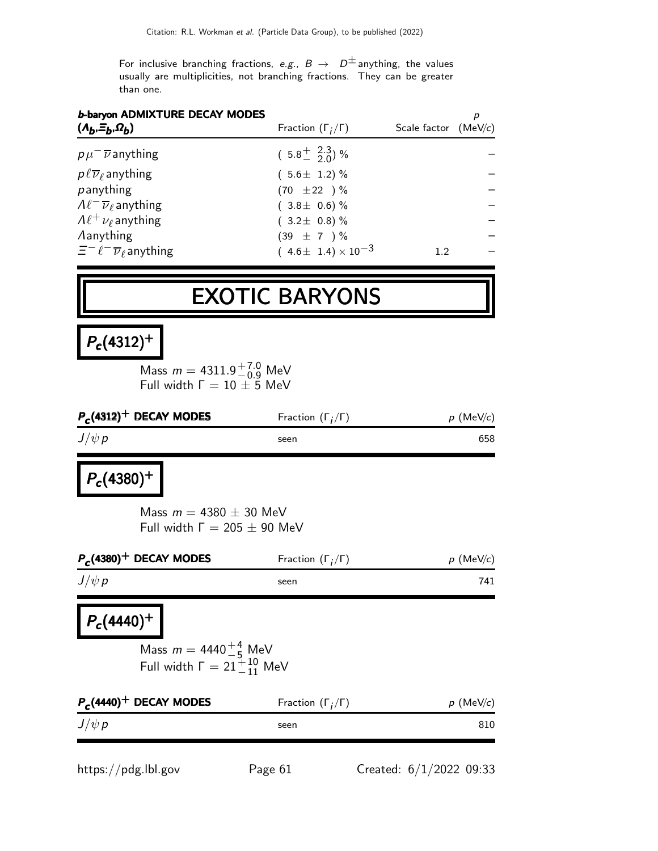For inclusive branching fractions, e.g.,  $B \to D^{\pm}$  anything, the values usually are multiplicities, not branching fractions. They can be greater than one.

| Fraction $(\Gamma_i/\Gamma)$<br>Scale factor $(MeV/c)$ | <b>b-baryon ADMIXTURE DECAY MODES</b><br>$(A_b, \Xi_b, \Omega_b)$ |
|--------------------------------------------------------|-------------------------------------------------------------------|
| $(5.8\frac{+}{2} \frac{2.3}{2.0})\%$                   | $p\mu^{-}$ $\overline{\nu}$ anything                              |
| $(5.6 \pm 1.2)$ %                                      | $p\ell\overline{\nu}_\ell$ anything                               |
| $(70 \pm 22) \%$                                       | panything                                                         |
| $(3.8 \pm 0.6)\%$                                      | $\Lambda \ell^- \overline{\nu}_\ell$ anything                     |
| $(3.2 \pm 0.8)\%$                                      | $\Lambda \ell^+ \nu_\ell$ anything                                |
| $(39 \pm 7) \%$                                        | <b>Aanything</b>                                                  |
| $(4.6 \pm 1.4) \times 10^{-3}$<br>$1.2\,$              | $\Xi^- \ell^- \overline{\nu}_{\ell}$ anything                     |
|                                                        |                                                                   |

# EXOTIC BARYONS

# $P_c(4312)^+$

Mass  $m = 4311.9^{+7.0}_{-0.9}$  MeV Full width  $\Gamma = 10 \pm 5$  MeV

| $P_c(4312)^+$ DECAY MODES | Fraction $(\Gamma_i/\Gamma)$ | $p \,$ (MeV/c) |
|---------------------------|------------------------------|----------------|
| $J/\psi p$                | seen                         | 658            |

### $P_c(4380)^+$

Mass  $m = 4380 \pm 30$  MeV Full width  $Γ = 205 ± 90$  MeV

| $P_c(4380)^+$ DECAY MODES                                                                          | Fraction $(\Gamma_i/\Gamma)$ | $p$ (MeV/c)         |  |
|----------------------------------------------------------------------------------------------------|------------------------------|---------------------|--|
| $J/\psi p$                                                                                         | seen                         | 741                 |  |
| $P_c(4440)^+$<br>Mass $m = 4440^{+4}_{-5}$ MeV<br>Full width $\Gamma = 21 \frac{1}{11} \text{MeV}$ |                              |                     |  |
| $P_c$ (4440) <sup>+</sup> DECAY MODES                                                              | Fraction $(\Gamma_i/\Gamma)$ | $p \text{ (MeV/c)}$ |  |
| $J/\psi p$                                                                                         | seen                         | 810                 |  |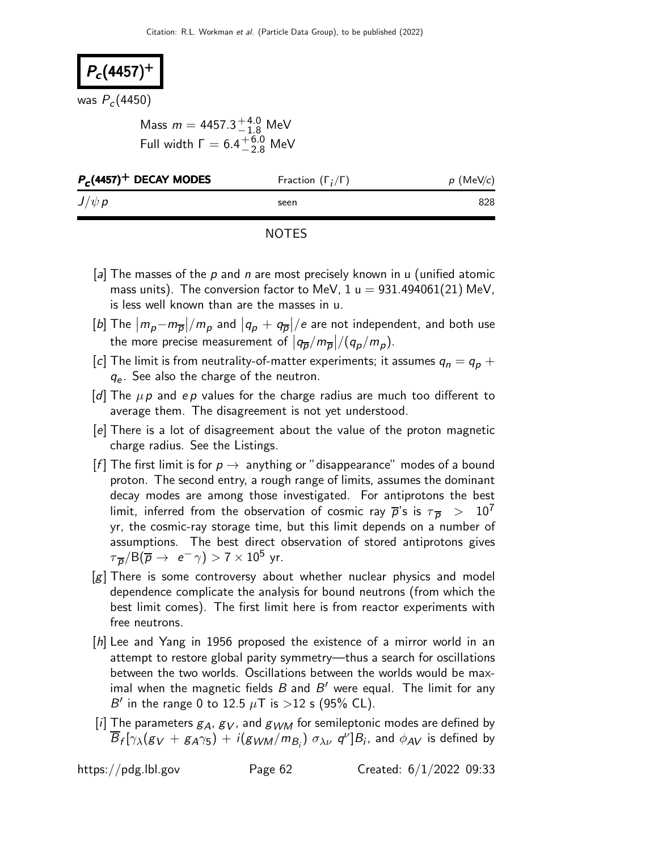# $P_c(4457)^+$

was  $P_c(4450)$ 

Mass  $m = 4457.3^{+4.0}_{-1.8}$  MeV Full width  $\Gamma = 6.4^{+6.0}_{-2.8}$  MeV

| $J/\psi p$<br>seen | $P_c$ (4457) <sup>+</sup> DECAY MODES | Fraction $(\Gamma_i/\Gamma)$ | $p$ (MeV/c) |
|--------------------|---------------------------------------|------------------------------|-------------|
|                    |                                       |                              | 828         |

- [a] The masses of the  $p$  and n are most precisely known in u (unified atomic mass units). The conversion factor to MeV,  $1 u = 931.494061(21)$  MeV, is less well known than are the masses in u.
- $\lceil b \rceil$  The  $\big|m_p-m_{\overline{p}}\big|/m_p$  and  $\big|q_p+q_{\overline{p}}\big|/e$  are not independent, and both use the more precise measurement of  $\left|q_{\overline{p}}/m_{\overline{p}}\right|/(q_p/m_p)$ .
- [c] The limit is from neutrality-of-matter experiments; it assumes  $q_n = q_p + q_p$  $q_e$ . See also the charge of the neutron.
- [d] The  $\mu$ p and ep values for the charge radius are much too different to average them. The disagreement is not yet understood.
- [e] There is a lot of disagreement about the value of the proton magnetic charge radius. See the Listings.
- [f] The first limit is for  $p \to \text{anything}$  anything or "disappearance" modes of a bound proton. The second entry, a rough range of limits, assumes the dominant decay modes are among those investigated. For antiprotons the best limit, inferred from the observation of cosmic ray  $\overline{p}$ 's is  $\tau_{\overline{p}} > 10^7$ yr, the cosmic-ray storage time, but this limit depends on a number of assumptions. The best direct observation of stored antiprotons gives  $\tau_{\,\overline{\rho}}/\mathsf{B}(\overline{\rho}\rightarrow\,\,$  e $^{-}\,\gamma) > 7\times10^{5}\,$  yr.
- [g] There is some controversy about whether nuclear physics and model dependence complicate the analysis for bound neutrons (from which the best limit comes). The first limit here is from reactor experiments with free neutrons.
- [h] Lee and Yang in 1956 proposed the existence of a mirror world in an attempt to restore global parity symmetry—thus a search for oscillations between the two worlds. Oscillations between the worlds would be maximal when the magnetic fields  $B$  and  $B'$  were equal. The limit for any B' in the range 0 to 12.5  $\mu$ T is >12 s (95% CL).
- [i] The parameters  $g_A$ ,  $g_V$ , and  $g_{WM}$  for semileptonic modes are defined by  $\overline{B}_f[\gamma_\lambda(g_V+g_A\gamma_5)+i(g_{WM}/m_{B_j})\; \sigma_{\lambda\nu}\; q^\nu]B_i$ , and  $\phi_{AV}$  is defined by